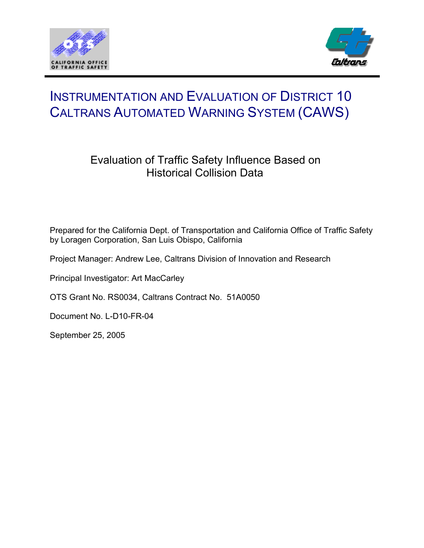



# INSTRUMENTATION AND EVALUATION OF DISTRICT 10 CALTRANS AUTOMATED WARNING SYSTEM (CAWS)

# Evaluation of Traffic Safety Influence Based on Historical Collision Data

Prepared for the California Dept. of Transportation and California Office of Traffic Safety by Loragen Corporation, San Luis Obispo, California

Project Manager: Andrew Lee, Caltrans Division of Innovation and Research

Principal Investigator: Art MacCarley

OTS Grant No. RS0034, Caltrans Contract No. 51A0050

Document No. L-D10-FR-04

September 25, 2005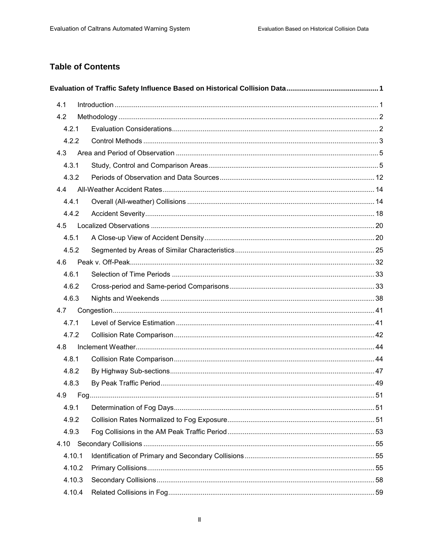# **Table of Contents**

| 4.1 |        |  |
|-----|--------|--|
| 4.2 |        |  |
|     | 4.2.1  |  |
|     | 4.2.2  |  |
|     | 4.3    |  |
|     | 4.3.1  |  |
|     | 4.3.2  |  |
|     | 4.4    |  |
|     | 4.4.1  |  |
|     | 4.4.2  |  |
|     | 4.5    |  |
|     | 4.5.1  |  |
|     | 4.5.2  |  |
|     | 4.6    |  |
|     | 4.6.1  |  |
|     | 4.6.2  |  |
|     | 4.6.3  |  |
|     | 4.7    |  |
|     | 4.7.1  |  |
|     | 4.7.2  |  |
|     | 4.8    |  |
|     | 4.8.1  |  |
|     | 4.8.2  |  |
|     | 4.8.3  |  |
|     |        |  |
|     | 4.9.1  |  |
|     | 4.9.2  |  |
|     | 4.9.3  |  |
|     |        |  |
|     | 4.10.1 |  |
|     | 4.10.2 |  |
|     | 4.10.3 |  |
|     | 4.10.4 |  |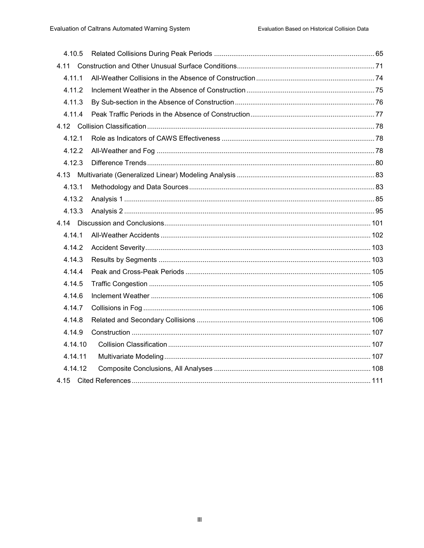| 4.10.5  |  |
|---------|--|
|         |  |
| 4.11.1  |  |
| 4.11.2  |  |
| 4.11.3  |  |
| 4.11.4  |  |
|         |  |
| 4.12.1  |  |
| 4.12.2  |  |
| 4.12.3  |  |
|         |  |
| 4.13.1  |  |
| 4.13.2  |  |
| 4.13.3  |  |
|         |  |
| 4.14.1  |  |
| 4.14.2  |  |
| 4.14.3  |  |
| 4.14.4  |  |
| 4.14.5  |  |
| 4.14.6  |  |
| 4.14.7  |  |
| 4.14.8  |  |
| 4.14.9  |  |
| 4.14.10 |  |
| 4.14.11 |  |
| 4.14.12 |  |
|         |  |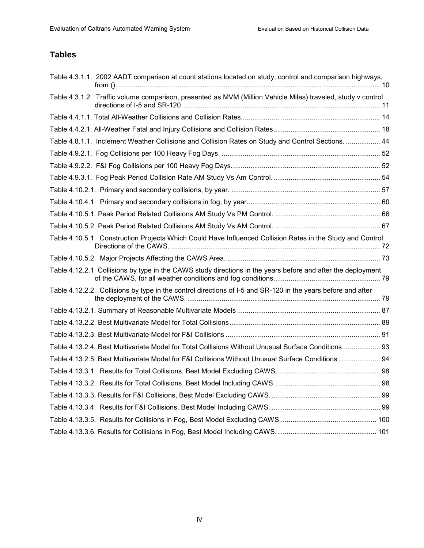# **Tables**

| Table 4.3.1.1. 2002 AADT comparison at count stations located on study, control and comparison highways,     |  |
|--------------------------------------------------------------------------------------------------------------|--|
| Table 4.3.1.2. Traffic volume comparison, presented as MVM (Million Vehicle Miles) traveled, study v control |  |
|                                                                                                              |  |
|                                                                                                              |  |
| Table 4.8.1.1. Inclement Weather Collisions and Collision Rates on Study and Control Sections.  44           |  |
|                                                                                                              |  |
|                                                                                                              |  |
|                                                                                                              |  |
|                                                                                                              |  |
|                                                                                                              |  |
|                                                                                                              |  |
|                                                                                                              |  |
| Table 4.10.5.1. Construction Projects Which Could Have Influenced Collision Rates in the Study and Control   |  |
|                                                                                                              |  |
| Table 4.12.2.1 Collisions by type in the CAWS study directions in the years before and after the deployment  |  |
| Table 4.12.2.2. Collisions by type in the control directions of I-5 and SR-120 in the years before and after |  |
|                                                                                                              |  |
|                                                                                                              |  |
|                                                                                                              |  |
| Table 4.13.2.4. Best Multivariate Model for Total Collisions Without Unusual Surface Conditions 93           |  |
| Table 4.13.2.5. Best Multivariate Model for F&I Collisions Without Unusual Surface Conditions  94            |  |
|                                                                                                              |  |
|                                                                                                              |  |
|                                                                                                              |  |
|                                                                                                              |  |
|                                                                                                              |  |
|                                                                                                              |  |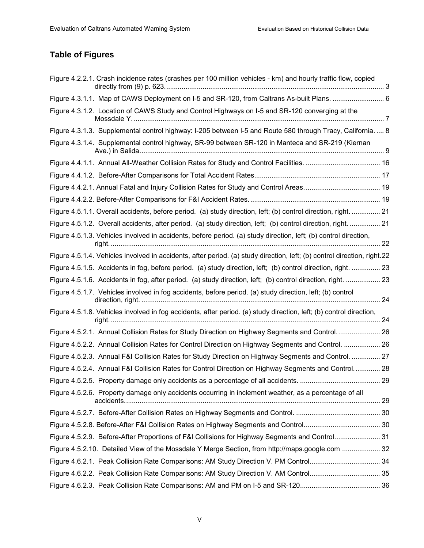# **Table of Figures**

| Figure 4.2.2.1. Crash incidence rates (crashes per 100 million vehicles - km) and hourly traffic flow, copied            |  |
|--------------------------------------------------------------------------------------------------------------------------|--|
|                                                                                                                          |  |
| Figure 4.3.1.2. Location of CAWS Study and Control Highways on I-5 and SR-120 converging at the                          |  |
| Figure 4.3.1.3. Supplemental control highway: I-205 between I-5 and Route 580 through Tracy, California.  8              |  |
| Figure 4.3.1.4. Supplemental control highway, SR-99 between SR-120 in Manteca and SR-219 (Kiernan                        |  |
|                                                                                                                          |  |
|                                                                                                                          |  |
|                                                                                                                          |  |
|                                                                                                                          |  |
| Figure 4.5.1.1. Overall accidents, before period. (a) study direction, left; (b) control direction, right.  21           |  |
| Figure 4.5.1.2. Overall accidents, after period. (a) study direction, left; (b) control direction, right.  21            |  |
| Figure 4.5.1.3. Vehicles involved in accidents, before period. (a) study direction, left; (b) control direction,         |  |
| Figure 4.5.1.4. Vehicles involved in accidents, after period. (a) study direction, left; (b) control direction, right.22 |  |
| Figure 4.5.1.5. Accidents in fog, before period. (a) study direction, left; (b) control direction, right.  23            |  |
| Figure 4.5.1.6. Accidents in fog, after period. (a) study direction, left; (b) control direction, right.  23             |  |
| Figure 4.5.1.7. Vehicles involved in fog accidents, before period. (a) study direction, left; (b) control                |  |
| Figure 4.5.1.8. Vehicles involved in fog accidents, after period. (a) study direction, left; (b) control direction,      |  |
| Figure 4.5.2.1. Annual Collision Rates for Study Direction on Highway Segments and Control 26                            |  |
| Figure 4.5.2.2. Annual Collision Rates for Control Direction on Highway Segments and Control.  26                        |  |
| Figure 4.5.2.3. Annual F&I Collision Rates for Study Direction on Highway Segments and Control.  27                      |  |
| Figure 4.5.2.4. Annual F&I Collision Rates for Control Direction on Highway Segments and Control 28                      |  |
|                                                                                                                          |  |
| Figure 4.5.2.6. Property damage only accidents occurring in inclement weather, as a percentage of all                    |  |
|                                                                                                                          |  |
|                                                                                                                          |  |
| Figure 4.5.2.9. Before-After Proportions of F&I Collisions for Highway Segments and Control 31                           |  |
| Figure 4.5.2.10. Detailed View of the Mossdale Y Merge Section, from http://maps.google.com  32                          |  |
| Figure 4.6.2.1. Peak Collision Rate Comparisons: AM Study Direction V. PM Control 34                                     |  |
|                                                                                                                          |  |
|                                                                                                                          |  |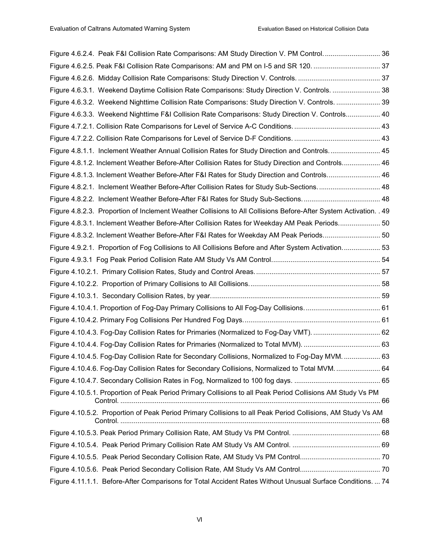| Figure 4.6.2.4. Peak F&I Collision Rate Comparisons: AM Study Direction V. PM Control 36                          |  |
|-------------------------------------------------------------------------------------------------------------------|--|
|                                                                                                                   |  |
|                                                                                                                   |  |
| Figure 4.6.3.1. Weekend Daytime Collision Rate Comparisons: Study Direction V. Controls.  38                      |  |
| Figure 4.6.3.2. Weekend Nighttime Collision Rate Comparisons: Study Direction V. Controls.  39                    |  |
| Figure 4.6.3.3. Weekend Nighttime F&I Collision Rate Comparisons: Study Direction V. Controls 40                  |  |
|                                                                                                                   |  |
|                                                                                                                   |  |
| Figure 4.8.1.1. Inclement Weather Annual Collision Rates for Study Direction and Controls 45                      |  |
| Figure 4.8.1.2. Inclement Weather Before-After Collision Rates for Study Direction and Controls 46                |  |
| Figure 4.8.1.3. Inclement Weather Before-After F&I Rates for Study Direction and Controls 46                      |  |
| Figure 4.8.2.1. Inclement Weather Before-After Collision Rates for Study Sub-Sections 48                          |  |
|                                                                                                                   |  |
| Figure 4.8.2.3. Proportion of Inclement Weather Collisions to All Collisions Before-After System Activation. . 49 |  |
| Figure 4.8.3.1. Inclement Weather Before-After Collision Rates for Weekday AM Peak Periods 50                     |  |
| Figure 4.8.3.2. Inclement Weather Before-After F&I Rates for Weekday AM Peak Periods 50                           |  |
| Figure 4.9.2.1. Proportion of Fog Collisions to All Collisions Before and After System Activation 53              |  |
|                                                                                                                   |  |
|                                                                                                                   |  |
|                                                                                                                   |  |
|                                                                                                                   |  |
|                                                                                                                   |  |
|                                                                                                                   |  |
|                                                                                                                   |  |
|                                                                                                                   |  |
| Figure 4.10.4.5. Fog-Day Collision Rate for Secondary Collisions, Normalized to Fog-Day MVM.  63                  |  |
| Figure 4.10.4.6. Fog-Day Collision Rates for Secondary Collisions, Normalized to Total MVM 64                     |  |
|                                                                                                                   |  |
| Figure 4.10.5.1. Proportion of Peak Period Primary Collisions to all Peak Period Collisions AM Study Vs PM        |  |
| Figure 4.10.5.2. Proportion of Peak Period Primary Collisions to all Peak Period Collisions, AM Study Vs AM       |  |
|                                                                                                                   |  |
|                                                                                                                   |  |
|                                                                                                                   |  |
|                                                                                                                   |  |
| Figure 4.11.1.1. Before-After Comparisons for Total Accident Rates Without Unusual Surface Conditions.  74        |  |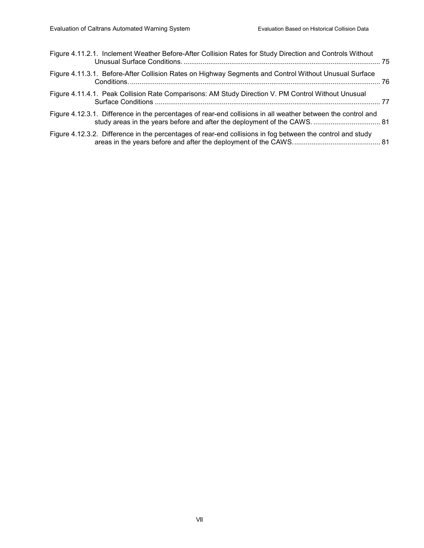| Figure 4.11.2.1. Inclement Weather Before-After Collision Rates for Study Direction and Controls Without     |  |
|--------------------------------------------------------------------------------------------------------------|--|
| Figure 4.11.3.1. Before-After Collision Rates on Highway Segments and Control Without Unusual Surface        |  |
| Figure 4.11.4.1. Peak Collision Rate Comparisons: AM Study Direction V. PM Control Without Unusual           |  |
| Figure 4.12.3.1. Difference in the percentages of rear-end collisions in all weather between the control and |  |
| Figure 4.12.3.2. Difference in the percentages of rear-end collisions in fog between the control and study   |  |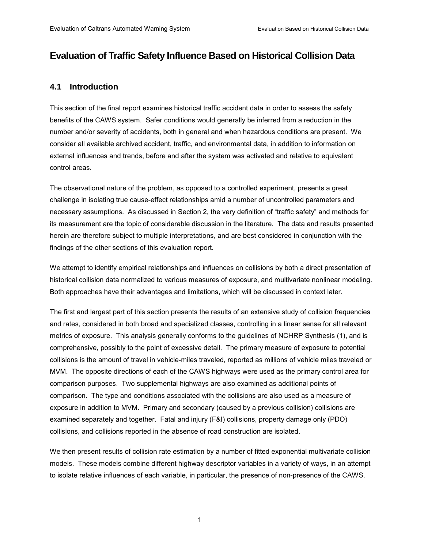## **Evaluation of Traffic Safety Influence Based on Historical Collision Data**

### **4.1 Introduction**

This section of the final report examines historical traffic accident data in order to assess the safety benefits of the CAWS system. Safer conditions would generally be inferred from a reduction in the number and/or severity of accidents, both in general and when hazardous conditions are present. We consider all available archived accident, traffic, and environmental data, in addition to information on external influences and trends, before and after the system was activated and relative to equivalent control areas.

The observational nature of the problem, as opposed to a controlled experiment, presents a great challenge in isolating true cause-effect relationships amid a number of uncontrolled parameters and necessary assumptions. As discussed in Section 2, the very definition of "traffic safety" and methods for its measurement are the topic of considerable discussion in the literature. The data and results presented herein are therefore subject to multiple interpretations, and are best considered in conjunction with the findings of the other sections of this evaluation report.

We attempt to identify empirical relationships and influences on collisions by both a direct presentation of historical collision data normalized to various measures of exposure, and multivariate nonlinear modeling. Both approaches have their advantages and limitations, which will be discussed in context later.

The first and largest part of this section presents the results of an extensive study of collision frequencies and rates, considered in both broad and specialized classes, controlling in a linear sense for all relevant metrics of exposure. This analysis generally conforms to the guidelines of NCHRP Synthesis (1), and is comprehensive, possibly to the point of excessive detail. The primary measure of exposure to potential collisions is the amount of travel in vehicle-miles traveled, reported as millions of vehicle miles traveled or MVM. The opposite directions of each of the CAWS highways were used as the primary control area for comparison purposes. Two supplemental highways are also examined as additional points of comparison. The type and conditions associated with the collisions are also used as a measure of exposure in addition to MVM. Primary and secondary (caused by a previous collision) collisions are examined separately and together. Fatal and injury (F&I) collisions, property damage only (PDO) collisions, and collisions reported in the absence of road construction are isolated.

We then present results of collision rate estimation by a number of fitted exponential multivariate collision models. These models combine different highway descriptor variables in a variety of ways, in an attempt to isolate relative influences of each variable, in particular, the presence of non-presence of the CAWS.

1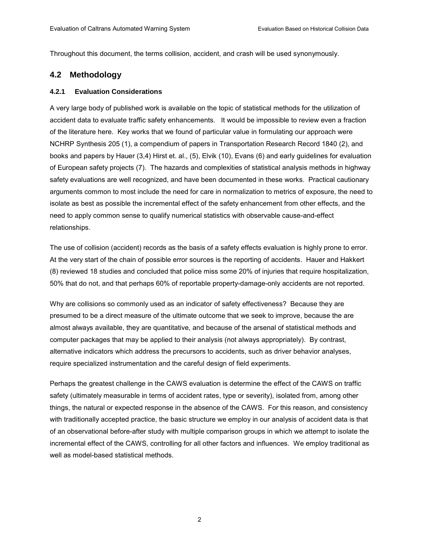Throughout this document, the terms collision, accident, and crash will be used synonymously.

### **4.2 Methodology**

#### **4.2.1 Evaluation Considerations**

A very large body of published work is available on the topic of statistical methods for the utilization of accident data to evaluate traffic safety enhancements. It would be impossible to review even a fraction of the literature here. Key works that we found of particular value in formulating our approach were NCHRP Synthesis 205 (1), a compendium of papers in Transportation Research Record 1840 (2), and books and papers by Hauer (3,4) Hirst et. al., (5), Elvik (10), Evans (6) and early guidelines for evaluation of European safety projects (7). The hazards and complexities of statistical analysis methods in highway safety evaluations are well recognized, and have been documented in these works. Practical cautionary arguments common to most include the need for care in normalization to metrics of exposure, the need to isolate as best as possible the incremental effect of the safety enhancement from other effects, and the need to apply common sense to qualify numerical statistics with observable cause-and-effect relationships.

The use of collision (accident) records as the basis of a safety effects evaluation is highly prone to error. At the very start of the chain of possible error sources is the reporting of accidents. Hauer and Hakkert (8) reviewed 18 studies and concluded that police miss some 20% of injuries that require hospitalization, 50% that do not, and that perhaps 60% of reportable property-damage-only accidents are not reported.

Why are collisions so commonly used as an indicator of safety effectiveness? Because they are presumed to be a direct measure of the ultimate outcome that we seek to improve, because the are almost always available, they are quantitative, and because of the arsenal of statistical methods and computer packages that may be applied to their analysis (not always appropriately). By contrast, alternative indicators which address the precursors to accidents, such as driver behavior analyses, require specialized instrumentation and the careful design of field experiments.

Perhaps the greatest challenge in the CAWS evaluation is determine the effect of the CAWS on traffic safety (ultimately measurable in terms of accident rates, type or severity), isolated from, among other things, the natural or expected response in the absence of the CAWS. For this reason, and consistency with traditionally accepted practice, the basic structure we employ in our analysis of accident data is that of an observational before-after study with multiple comparison groups in which we attempt to isolate the incremental effect of the CAWS, controlling for all other factors and influences. We employ traditional as well as model-based statistical methods.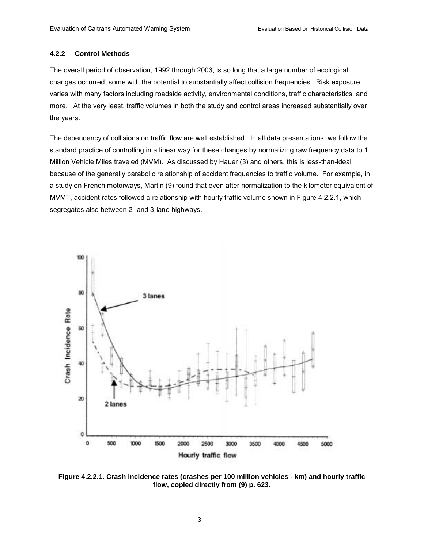#### **4.2.2 Control Methods**

The overall period of observation, 1992 through 2003, is so long that a large number of ecological changes occurred, some with the potential to substantially affect collision frequencies. Risk exposure varies with many factors including roadside activity, environmental conditions, traffic characteristics, and more. At the very least, traffic volumes in both the study and control areas increased substantially over the years.

The dependency of collisions on traffic flow are well established. In all data presentations, we follow the standard practice of controlling in a linear way for these changes by normalizing raw frequency data to 1 Million Vehicle Miles traveled (MVM). As discussed by Hauer (3) and others, this is less-than-ideal because of the generally parabolic relationship of accident frequencies to traffic volume. For example, in a study on French motorways, Martin (9) found that even after normalization to the kilometer equivalent of MVMT, accident rates followed a relationship with hourly traffic volume shown in Figure 4.2.2.1, which segregates also between 2- and 3-lane highways.



**Figure 4.2.2.1. Crash incidence rates (crashes per 100 million vehicles - km) and hourly traffic flow, copied directly from (9) p. 623.**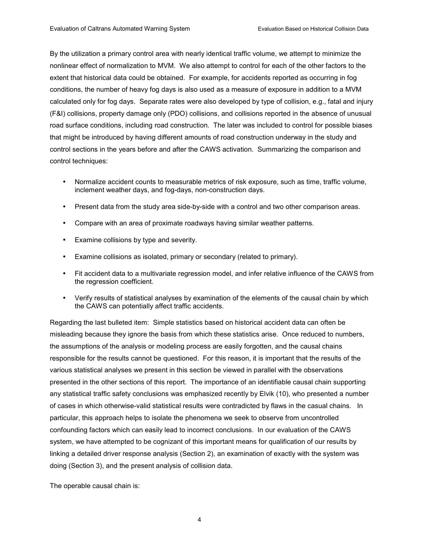By the utilization a primary control area with nearly identical traffic volume, we attempt to minimize the nonlinear effect of normalization to MVM. We also attempt to control for each of the other factors to the extent that historical data could be obtained. For example, for accidents reported as occurring in fog conditions, the number of heavy fog days is also used as a measure of exposure in addition to a MVM calculated only for fog days. Separate rates were also developed by type of collision, e.g., fatal and injury (F&I) collisions, property damage only (PDO) collisions, and collisions reported in the absence of unusual road surface conditions, including road construction. The later was included to control for possible biases that might be introduced by having different amounts of road construction underway in the study and control sections in the years before and after the CAWS activation. Summarizing the comparison and control techniques:

- Normalize accident counts to measurable metrics of risk exposure, such as time, traffic volume, inclement weather days, and fog-days, non-construction days.
- Present data from the study area side-by-side with a control and two other comparison areas.
- Compare with an area of proximate roadways having similar weather patterns.
- Examine collisions by type and severity.
- Examine collisions as isolated, primary or secondary (related to primary).
- Fit accident data to a multivariate regression model, and infer relative influence of the CAWS from the regression coefficient.
- Verify results of statistical analyses by examination of the elements of the causal chain by which the CAWS can potentially affect traffic accidents.

Regarding the last bulleted item: Simple statistics based on historical accident data can often be misleading because they ignore the basis from which these statistics arise. Once reduced to numbers, the assumptions of the analysis or modeling process are easily forgotten, and the causal chains responsible for the results cannot be questioned. For this reason, it is important that the results of the various statistical analyses we present in this section be viewed in parallel with the observations presented in the other sections of this report. The importance of an identifiable causal chain supporting any statistical traffic safety conclusions was emphasized recently by Elvik (10), who presented a number of cases in which otherwise-valid statistical results were contradicted by flaws in the casual chains. In particular, this approach helps to isolate the phenomena we seek to observe from uncontrolled confounding factors which can easily lead to incorrect conclusions. In our evaluation of the CAWS system, we have attempted to be cognizant of this important means for qualification of our results by linking a detailed driver response analysis (Section 2), an examination of exactly with the system was doing (Section 3), and the present analysis of collision data.

The operable causal chain is: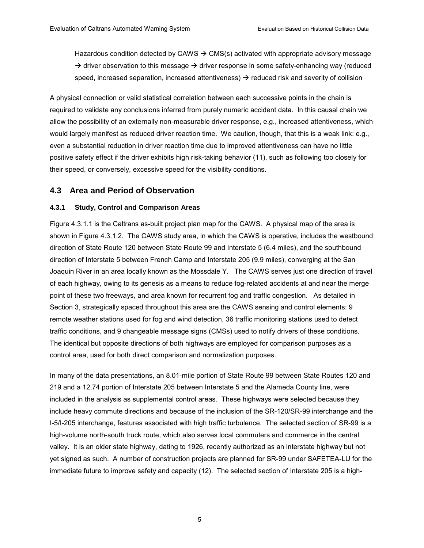Hazardous condition detected by CAWS  $\rightarrow$  CMS(s) activated with appropriate advisory message  $\rightarrow$  driver observation to this message  $\rightarrow$  driver response in some safety-enhancing way (reduced speed, increased separation, increased attentiveness)  $\rightarrow$  reduced risk and severity of collision

A physical connection or valid statistical correlation between each successive points in the chain is required to validate any conclusions inferred from purely numeric accident data. In this causal chain we allow the possibility of an externally non-measurable driver response, e.g., increased attentiveness, which would largely manifest as reduced driver reaction time. We caution, though, that this is a weak link: e.g., even a substantial reduction in driver reaction time due to improved attentiveness can have no little positive safety effect if the driver exhibits high risk-taking behavior (11), such as following too closely for their speed, or conversely, excessive speed for the visibility conditions.

### **4.3 Area and Period of Observation**

#### **4.3.1 Study, Control and Comparison Areas**

Figure 4.3.1.1 is the Caltrans as-built project plan map for the CAWS. A physical map of the area is shown in Figure 4.3.1.2. The CAWS study area, in which the CAWS is operative, includes the westbound direction of State Route 120 between State Route 99 and Interstate 5 (6.4 miles), and the southbound direction of Interstate 5 between French Camp and Interstate 205 (9.9 miles), converging at the San Joaquin River in an area locally known as the Mossdale Y. The CAWS serves just one direction of travel of each highway, owing to its genesis as a means to reduce fog-related accidents at and near the merge point of these two freeways, and area known for recurrent fog and traffic congestion. As detailed in Section 3, strategically spaced throughout this area are the CAWS sensing and control elements: 9 remote weather stations used for fog and wind detection, 36 traffic monitoring stations used to detect traffic conditions, and 9 changeable message signs (CMSs) used to notify drivers of these conditions. The identical but opposite directions of both highways are employed for comparison purposes as a control area, used for both direct comparison and normalization purposes.

In many of the data presentations, an 8.01-mile portion of State Route 99 between State Routes 120 and 219 and a 12.74 portion of Interstate 205 between Interstate 5 and the Alameda County line, were included in the analysis as supplemental control areas. These highways were selected because they include heavy commute directions and because of the inclusion of the SR-120/SR-99 interchange and the I-5/I-205 interchange, features associated with high traffic turbulence. The selected section of SR-99 is a high-volume north-south truck route, which also serves local commuters and commerce in the central valley. It is an older state highway, dating to 1926, recently authorized as an interstate highway but not yet signed as such. A number of construction projects are planned for SR-99 under SAFETEA-LU for the immediate future to improve safety and capacity (12). The selected section of Interstate 205 is a high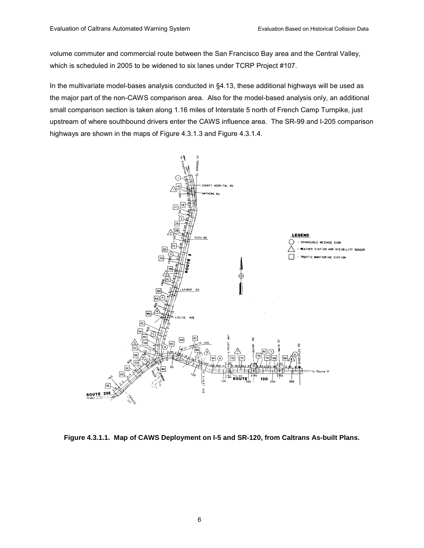volume commuter and commercial route between the San Francisco Bay area and the Central Valley, which is scheduled in 2005 to be widened to six lanes under TCRP Project #107.

In the multivariate model-bases analysis conducted in ß4.13, these additional highways will be used as the major part of the non-CAWS comparison area. Also for the model-based analysis only, an additional small comparison section is taken along 1.16 miles of Interstate 5 north of French Camp Turnpike, just upstream of where southbound drivers enter the CAWS influence area. The SR-99 and I-205 comparison highways are shown in the maps of Figure 4.3.1.3 and Figure 4.3.1.4.



**Figure 4.3.1.1. Map of CAWS Deployment on I-5 and SR-120, from Caltrans As-built Plans.**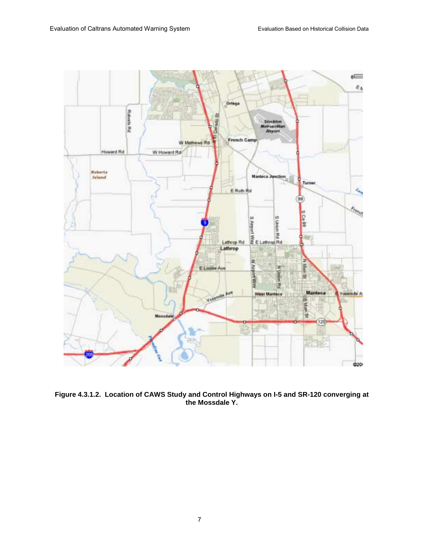

**Figure 4.3.1.2. Location of CAWS Study and Control Highways on I-5 and SR-120 converging at the Mossdale Y.**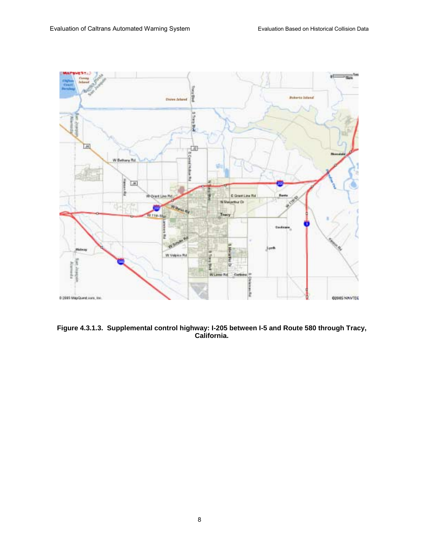

**Figure 4.3.1.3. Supplemental control highway: I-205 between I-5 and Route 580 through Tracy, California.**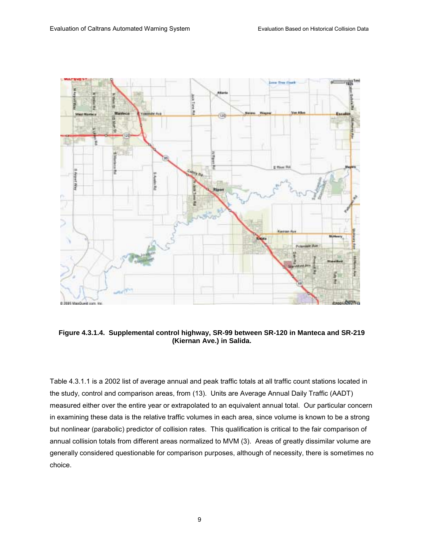

**Figure 4.3.1.4. Supplemental control highway, SR-99 between SR-120 in Manteca and SR-219 (Kiernan Ave.) in Salida.** 

Table 4.3.1.1 is a 2002 list of average annual and peak traffic totals at all traffic count stations located in the study, control and comparison areas, from (13). Units are Average Annual Daily Traffic (AADT) measured either over the entire year or extrapolated to an equivalent annual total. Our particular concern in examining these data is the relative traffic volumes in each area, since volume is known to be a strong but nonlinear (parabolic) predictor of collision rates. This qualification is critical to the fair comparison of annual collision totals from different areas normalized to MVM (3). Areas of greatly dissimilar volume are generally considered questionable for comparison purposes, although of necessity, there is sometimes no choice.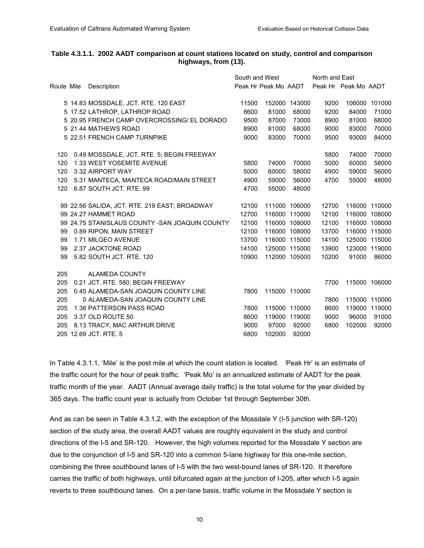#### **Table 4.3.1.1. 2002 AADT comparison at count stations located on study, control and comparison highways, from (13).**

|            |                                                 |                      | South and West |               | North and East |                      |               |  |
|------------|-------------------------------------------------|----------------------|----------------|---------------|----------------|----------------------|---------------|--|
| Route Mile | Description                                     | Peak Hr Peak Mo AADT |                |               |                | Peak Hr Peak Mo AADT |               |  |
|            | 5 14.83 MOSSDALE, JCT. RTE. 120 EAST            | 11500                |                | 152000 143000 | 9200           |                      | 106000 101000 |  |
|            | 5 17.52 LATHROP, LATHROP ROAD                   | 8600                 | 81000          | 68000         | 9200           | 84000                | 71000         |  |
|            | 5 20.95 FRENCH CAMP OVERCROSSING/ EL DORADO     | 9500                 | 87000          | 73000         | 8900           | 81000                | 68000         |  |
|            | 5 21.44 MATHEWS ROAD                            | 8900                 | 81000          | 68000         | 9000           | 83000                | 70000         |  |
|            | 5 22.51 FRENCH CAMP TURNPIKE                    | 9000                 | 83000          | 70000         | 9500           | 93000                | 84000         |  |
| 120        | 0.49 MOSSDALE, JCT. RTE. 5; BEGIN FREEWAY       |                      |                |               | 5800           | 74000                | 70000         |  |
| 120        | 1.33 WEST YOSEMITE AVENUE                       | 5800                 | 74000          | 70000         | 5000           | 60000                | 58000         |  |
| 120        | 3.32 AIRPORT WAY                                | 5000                 | 60000          | 58000         | 4900           | 59000                | 56000         |  |
| 120        | 5.31 MANTECA, MANTECA ROAD/MAIN STREET          | 4900                 | 59000          | 56000         | 4700           | 55000                | 48000         |  |
| 120        | 6.87 SOUTH JCT, RTE, 99                         | 4700                 | 55000          | 48000         |                |                      |               |  |
|            | 99 22.56 SALIDA, JCT. RTE. 219 EAST; BROADWAY   | 12100                |                | 111000 106000 | 12700          |                      | 116000 110000 |  |
|            | 99 24.27 HAMMET ROAD                            | 12700                |                | 116000 110000 | 12100          |                      | 116000 108000 |  |
|            | 99 24.75 STANISLAUS COUNTY - SAN JOAQUIN COUNTY | 12100                |                | 116000 108000 | 12100          |                      | 116000 108000 |  |
| 99         | 0.89 RIPON, MAIN STREET                         | 12100                |                | 116000 108000 | 13700          |                      | 116000 115000 |  |
| 99         | 1.71 MILGEO AVENUE                              | 13700                |                | 116000 115000 | 14100          |                      | 125000 115000 |  |
| 99         | 2.37 JACKTONE ROAD                              | 14100                |                | 125000 115000 | 13900          |                      | 123000 119000 |  |
| 99         | 5.82 SOUTH JCT. RTE. 120                        | 10900                |                | 112000 105000 | 10200          | 91000                | 86000         |  |
| 205        | ALAMEDA COUNTY                                  |                      |                |               |                |                      |               |  |
| 205        | 0.21 JCT. RTE. 580; BEGIN FREEWAY               |                      |                |               | 7700           |                      | 115000 106000 |  |
| 205        | 0.45 ALAMEDA-SAN JOAQUIN COUNTY LINE            | 7800                 |                | 115000 110000 |                |                      |               |  |
| 205        | 0 ALAMEDA-SAN JOAQUIN COUNTY LINE               |                      |                |               | 7800           |                      | 115000 110000 |  |
| 205        | 1.38 PATTERSON PASS ROAD                        | 7800                 |                | 115000 110000 | 8600           |                      | 119000 119000 |  |
| 205        | 3.37 OLD ROUTE 50                               | 8600                 |                | 119000 119000 | 9000           | 96000                | 91000         |  |
| 205        | 8.13 TRACY, MAC ARTHUR DRIVE                    | 9000                 | 97000          | 92000         | 6800           | 102000               | 92000         |  |
|            | 205 12.69 JCT, RTE, 5                           | 6800                 | 102000         | 92000         |                |                      |               |  |
|            |                                                 |                      |                |               |                |                      |               |  |

In Table 4.3.1.1, 'Mile' is the post mile at which the count station is located. 'Peak Hr' is an estimate of the traffic count for the hour of peak traffic. 'Peak Mo' is an annualized estimate of AADT for the peak traffic month of the year. AADT (Annual average daily traffic) is the total volume for the year divided by 365 days. The traffic count year is actually from October 1st through September 30th.

And as can be seen in Table 4.3.1.2, with the exception of the Mossdale Y (I-5 junction with SR-120) section of the study area, the overall AADT values are roughly equivalent in the study and control directions of the I-5 and SR-120. However, the high volumes reported for the Mossdale Y section are due to the conjunction of I-5 and SR-120 into a common 5-lane highway for this one-mile section, combining the three southbound lanes of I-5 with the two west-bound lanes of SR-120. It therefore carries the traffic of both highways, until bifurcated again at the junction of I-205, after which I-5 again reverts to three southbound lanes. On a per-lane basis, traffic volume in the Mossdale Y section is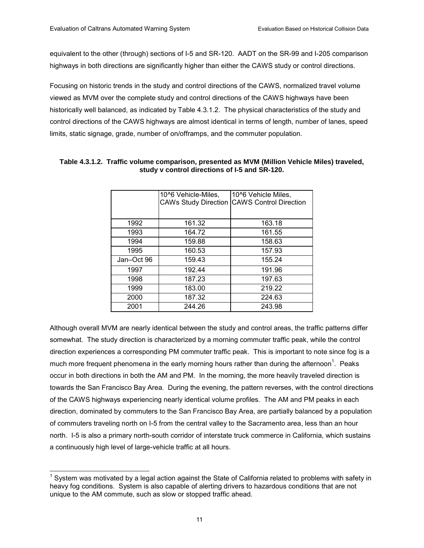equivalent to the other (through) sections of I-5 and SR-120. AADT on the SR-99 and I-205 comparison highways in both directions are significantly higher than either the CAWS study or control directions.

Focusing on historic trends in the study and control directions of the CAWS, normalized travel volume viewed as MVM over the complete study and control directions of the CAWS highways have been historically well balanced, as indicated by Table 4.3.1.2. The physical characteristics of the study and control directions of the CAWS highways are almost identical in terms of length, number of lanes, speed limits, static signage, grade, number of on/offramps, and the commuter population.

|            | 10^6 Vehicle-Miles,<br><b>CAWs Study Direction</b> | 10^6 Vehicle Miles,<br><b>CAWS Control Direction</b> |
|------------|----------------------------------------------------|------------------------------------------------------|
| 1992       | 161.32                                             | 163.18                                               |
| 1993       | 164.72                                             | 161.55                                               |
| 1994       | 159.88                                             | 158.63                                               |
| 1995       | 160.53                                             | 157.93                                               |
| Jan-Oct 96 | 159.43                                             | 155.24                                               |
| 1997       | 192.44                                             | 191.96                                               |
| 1998       | 187.23                                             | 197.63                                               |
| 1999       | 183.00                                             | 219.22                                               |
| 2000       | 187.32                                             | 224.63                                               |
| 2001       | 244.26                                             | 243.98                                               |

#### **Table 4.3.1.2. Traffic volume comparison, presented as MVM (Million Vehicle Miles) traveled, study v control directions of I-5 and SR-120.**

Although overall MVM are nearly identical between the study and control areas, the traffic patterns differ somewhat. The study direction is characterized by a morning commuter traffic peak, while the control direction experiences a corresponding PM commuter traffic peak. This is important to note since fog is a much more frequent phenomena in the early morning hours rather than during the afternoon<sup>1</sup>. Peaks occur in both directions in both the AM and PM. In the morning, the more heavily traveled direction is towards the San Francisco Bay Area. During the evening, the pattern reverses, with the control directions of the CAWS highways experiencing nearly identical volume profiles. The AM and PM peaks in each direction, dominated by commuters to the San Francisco Bay Area, are partially balanced by a population of commuters traveling north on I-5 from the central valley to the Sacramento area, less than an hour north. I-5 is also a primary north-south corridor of interstate truck commerce in California, which sustains a continuously high level of large-vehicle traffic at all hours.

 $\overline{\phantom{a}}$  $1$  System was motivated by a legal action against the State of California related to problems with safety in heavy fog conditions. System is also capable of alerting drivers to hazardous conditions that are not unique to the AM commute, such as slow or stopped traffic ahead.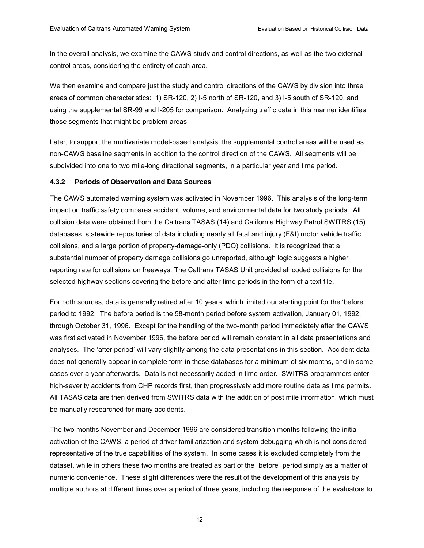In the overall analysis, we examine the CAWS study and control directions, as well as the two external control areas, considering the entirety of each area.

We then examine and compare just the study and control directions of the CAWS by division into three areas of common characteristics: 1) SR-120, 2) I-5 north of SR-120, and 3) I-5 south of SR-120, and using the supplemental SR-99 and I-205 for comparison. Analyzing traffic data in this manner identifies those segments that might be problem areas.

Later, to support the multivariate model-based analysis, the supplemental control areas will be used as non-CAWS baseline segments in addition to the control direction of the CAWS. All segments will be subdivided into one to two mile-long directional segments, in a particular year and time period.

#### **4.3.2 Periods of Observation and Data Sources**

The CAWS automated warning system was activated in November 1996. This analysis of the long-term impact on traffic safety compares accident, volume, and environmental data for two study periods. All collision data were obtained from the Caltrans TASAS (14) and California Highway Patrol SWITRS (15) databases, statewide repositories of data including nearly all fatal and injury (F&I) motor vehicle traffic collisions, and a large portion of property-damage-only (PDO) collisions. It is recognized that a substantial number of property damage collisions go unreported, although logic suggests a higher reporting rate for collisions on freeways. The Caltrans TASAS Unit provided all coded collisions for the selected highway sections covering the before and after time periods in the form of a text file.

For both sources, data is generally retired after 10 years, which limited our starting point for the 'before' period to 1992. The before period is the 58-month period before system activation, January 01, 1992, through October 31, 1996. Except for the handling of the two-month period immediately after the CAWS was first activated in November 1996, the before period will remain constant in all data presentations and analyses. The 'after period' will vary slightly among the data presentations in this section. Accident data does not generally appear in complete form in these databases for a minimum of six months, and in some cases over a year afterwards. Data is not necessarily added in time order. SWITRS programmers enter high-severity accidents from CHP records first, then progressively add more routine data as time permits. All TASAS data are then derived from SWITRS data with the addition of post mile information, which must be manually researched for many accidents.

The two months November and December 1996 are considered transition months following the initial activation of the CAWS, a period of driver familiarization and system debugging which is not considered representative of the true capabilities of the system. In some cases it is excluded completely from the dataset, while in others these two months are treated as part of the "before" period simply as a matter of numeric convenience. These slight differences were the result of the development of this analysis by multiple authors at different times over a period of three years, including the response of the evaluators to

12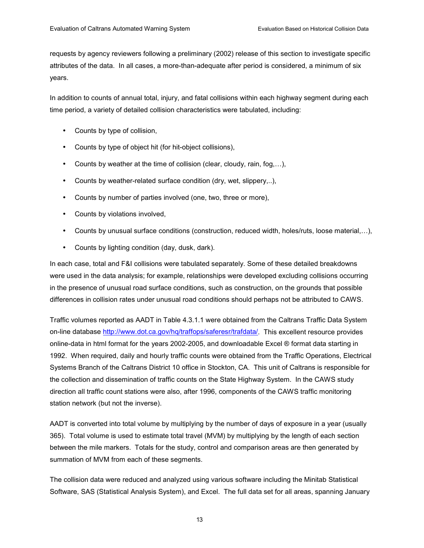requests by agency reviewers following a preliminary (2002) release of this section to investigate specific attributes of the data. In all cases, a more-than-adequate after period is considered, a minimum of six years.

In addition to counts of annual total, injury, and fatal collisions within each highway segment during each time period, a variety of detailed collision characteristics were tabulated, including:

- Counts by type of collision,
- Counts by type of object hit (for hit-object collisions),
- Counts by weather at the time of collision (clear, cloudy, rain, fog,...),
- Counts by weather-related surface condition (dry, wet, slippery,..),
- Counts by number of parties involved (one, two, three or more),
- Counts by violations involved,
- Counts by unusual surface conditions (construction, reduced width, holes/ruts, loose material,...),
- Counts by lighting condition (day, dusk, dark).

In each case, total and F&I collisions were tabulated separately. Some of these detailed breakdowns were used in the data analysis; for example, relationships were developed excluding collisions occurring in the presence of unusual road surface conditions, such as construction, on the grounds that possible differences in collision rates under unusual road conditions should perhaps not be attributed to CAWS.

Traffic volumes reported as AADT in Table 4.3.1.1 were obtained from the Caltrans Traffic Data System on-line database http://www.dot.ca.gov/hq/traffops/saferesr/trafdata/. This excellent resource provides online-data in html format for the years 2002-2005, and downloadable Excel ® format data starting in 1992. When required, daily and hourly traffic counts were obtained from the Traffic Operations, Electrical Systems Branch of the Caltrans District 10 office in Stockton, CA. This unit of Caltrans is responsible for the collection and dissemination of traffic counts on the State Highway System. In the CAWS study direction all traffic count stations were also, after 1996, components of the CAWS traffic monitoring station network (but not the inverse).

AADT is converted into total volume by multiplying by the number of days of exposure in a year (usually 365). Total volume is used to estimate total travel (MVM) by multiplying by the length of each section between the mile markers. Totals for the study, control and comparison areas are then generated by summation of MVM from each of these segments.

The collision data were reduced and analyzed using various software including the Minitab Statistical Software, SAS (Statistical Analysis System), and Excel. The full data set for all areas, spanning January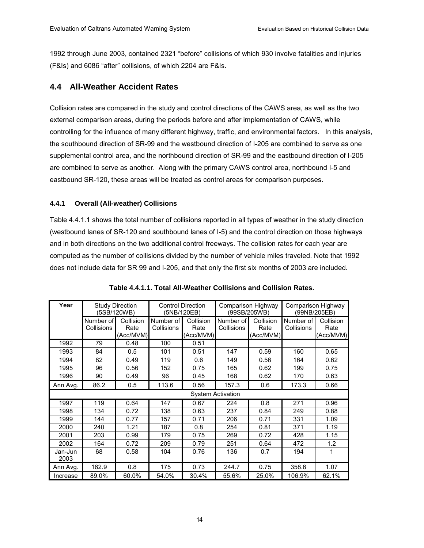1992 through June 2003, contained 2321 "before" collisions of which 930 involve fatalities and injuries (F&Is) and 6086 "after" collisions, of which 2204 are F&Is.

### **4.4 All-Weather Accident Rates**

Collision rates are compared in the study and control directions of the CAWS area, as well as the two external comparison areas, during the periods before and after implementation of CAWS, while controlling for the influence of many different highway, traffic, and environmental factors. In this analysis, the southbound direction of SR-99 and the westbound direction of I-205 are combined to serve as one supplemental control area, and the northbound direction of SR-99 and the eastbound direction of I-205 are combined to serve as another. Along with the primary CAWS control area, northbound I-5 and eastbound SR-120, these areas will be treated as control areas for comparison purposes.

#### **4.4.1 Overall (All-weather) Collisions**

Table 4.4.1.1 shows the total number of collisions reported in all types of weather in the study direction (westbound lanes of SR-120 and southbound lanes of I-5) and the control direction on those highways and in both directions on the two additional control freeways. The collision rates for each year are computed as the number of collisions divided by the number of vehicle miles traveled. Note that 1992 does not include data for SR 99 and I-205, and that only the first six months of 2003 are included.

| Year            |                          | <b>Study Direction</b><br>(5SB/120WB) |                         | <b>Control Direction</b><br>Comparison Highway<br>(99SB/205WB)<br>(5NB/120EB) |                         | Comparison Highway<br>(99NB/205EB) |                         |                                |
|-----------------|--------------------------|---------------------------------------|-------------------------|-------------------------------------------------------------------------------|-------------------------|------------------------------------|-------------------------|--------------------------------|
|                 | Number of<br>Collisions  | Collision<br>Rate<br>(Acc/MVM)        | Number of<br>Collisions | Collision<br>Rate<br>(Acc/MVM)                                                | Number of<br>Collisions | Collision<br>Rate<br>(Acc/MVM)     | Number of<br>Collisions | Collision<br>Rate<br>(Acc/MVM) |
| 1992            | 79                       | 0.48                                  | 100                     | 0.51                                                                          |                         |                                    |                         |                                |
| 1993            | 84                       | 0.5                                   | 101                     | 0.51                                                                          | 147                     | 0.59                               | 160                     | 0.65                           |
| 1994            | 82                       | 0.49                                  | 119                     | 0.6                                                                           | 149                     | 0.56                               | 164                     | 0.62                           |
| 1995            | 96                       | 0.56                                  | 152                     | 0.75                                                                          | 165                     | 0.62                               | 199                     | 0.75                           |
| 1996            | 90                       | 0.49                                  | 96                      | 0.45                                                                          | 168                     | 0.62                               | 170                     | 0.63                           |
| Ann Avg.        | 86.2                     | 0.5                                   | 113.6                   | 0.56                                                                          | 157.3                   | 0.6                                | 173.3                   | 0.66                           |
|                 | <b>System Activation</b> |                                       |                         |                                                                               |                         |                                    |                         |                                |
| 1997            | 119                      | 0.64                                  | 147                     | 0.67                                                                          | 224                     | 0.8                                | 271                     | 0.96                           |
| 1998            | 134                      | 0.72                                  | 138                     | 0.63                                                                          | 237                     | 0.84                               | 249                     | 0.88                           |
| 1999            | 144                      | 0.77                                  | 157                     | 0.71                                                                          | 206                     | 0.71                               | 331                     | 1.09                           |
| 2000            | 240                      | 1.21                                  | 187                     | 0.8                                                                           | 254                     | 0.81                               | 371                     | 1.19                           |
| 2001            | 203                      | 0.99                                  | 179                     | 0.75                                                                          | 269                     | 0.72                               | 428                     | 1.15                           |
| 2002            | 164                      | 0.72                                  | 209                     | 0.79                                                                          | 251                     | 0.64                               | 472                     | 1.2                            |
| Jan-Jun<br>2003 | 68                       | 0.58                                  | 104                     | 0.76                                                                          | 136                     | 0.7                                | 194                     | 1                              |
| Ann Avg.        | 162.9                    | 0.8                                   | 175                     | 0.73                                                                          | 244.7                   | 0.75                               | 358.6                   | 1.07                           |
| Increase        | 89.0%                    | 60.0%                                 | 54.0%                   | 30.4%                                                                         | 55.6%                   | 25.0%                              | 106.9%                  | 62.1%                          |

|  | Table 4.4.1.1. Total All-Weather Collisions and Collision Rates. |
|--|------------------------------------------------------------------|
|--|------------------------------------------------------------------|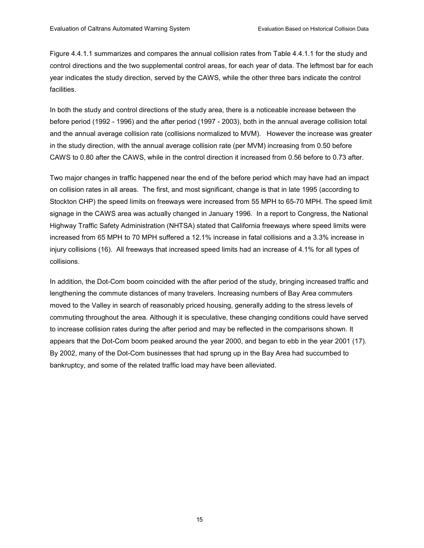Figure 4.4.1.1 summarizes and compares the annual collision rates from Table 4.4.1.1 for the study and control directions and the two supplemental control areas, for each year of data. The leftmost bar for each year indicates the study direction, served by the CAWS, while the other three bars indicate the control facilities.

In both the study and control directions of the study area, there is a noticeable increase between the before period (1992 - 1996) and the after period (1997 - 2003), both in the annual average collision total and the annual average collision rate (collisions normalized to MVM). However the increase was greater in the study direction, with the annual average collision rate (per MVM) increasing from 0.50 before CAWS to 0.80 after the CAWS, while in the control direction it increased from 0.56 before to 0.73 after.

Two major changes in traffic happened near the end of the before period which may have had an impact on collision rates in all areas. The first, and most significant, change is that in late 1995 (according to Stockton CHP) the speed limits on freeways were increased from 55 MPH to 65-70 MPH. The speed limit signage in the CAWS area was actually changed in January 1996. In a report to Congress, the National Highway Traffic Safety Administration (NHTSA) stated that California freeways where speed limits were increased from 65 MPH to 70 MPH suffered a 12.1% increase in fatal collisions and a 3.3% increase in injury collisions (16). All freeways that increased speed limits had an increase of 4.1% for all types of collisions.

In addition, the Dot-Com boom coincided with the after period of the study, bringing increased traffic and lengthening the commute distances of many travelers. Increasing numbers of Bay Area commuters moved to the Valley in search of reasonably priced housing, generally adding to the stress levels of commuting throughout the area. Although it is speculative, these changing conditions could have served to increase collision rates during the after period and may be reflected in the comparisons shown. It appears that the Dot-Com boom peaked around the year 2000, and began to ebb in the year 2001 (17). By 2002, many of the Dot-Com businesses that had sprung up in the Bay Area had succumbed to bankruptcy, and some of the related traffic load may have been alleviated.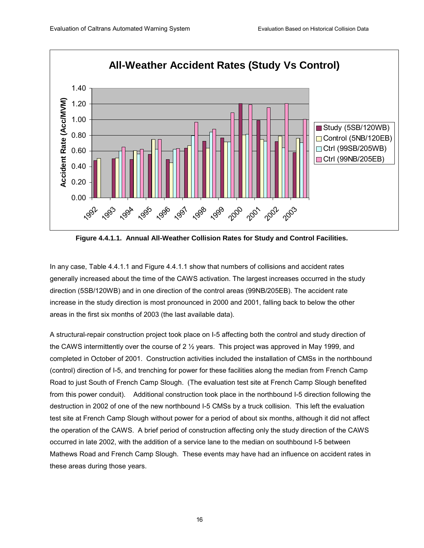

**Figure 4.4.1.1. Annual All-Weather Collision Rates for Study and Control Facilities.** 

In any case, Table 4.4.1.1 and Figure 4.4.1.1 show that numbers of collisions and accident rates generally increased about the time of the CAWS activation. The largest increases occurred in the study direction (5SB/120WB) and in one direction of the control areas (99NB/205EB). The accident rate increase in the study direction is most pronounced in 2000 and 2001, falling back to below the other areas in the first six months of 2003 (the last available data).

A structural-repair construction project took place on I-5 affecting both the control and study direction of the CAWS intermittently over the course of 2  $\frac{1}{2}$  years. This project was approved in May 1999, and completed in October of 2001. Construction activities included the installation of CMSs in the northbound (control) direction of I-5, and trenching for power for these facilities along the median from French Camp Road to just South of French Camp Slough. (The evaluation test site at French Camp Slough benefited from this power conduit). Additional construction took place in the northbound I-5 direction following the destruction in 2002 of one of the new northbound I-5 CMSs by a truck collision. This left the evaluation test site at French Camp Slough without power for a period of about six months, although it did not affect the operation of the CAWS. A brief period of construction affecting only the study direction of the CAWS occurred in late 2002, with the addition of a service lane to the median on southbound I-5 between Mathews Road and French Camp Slough. These events may have had an influence on accident rates in these areas during those years.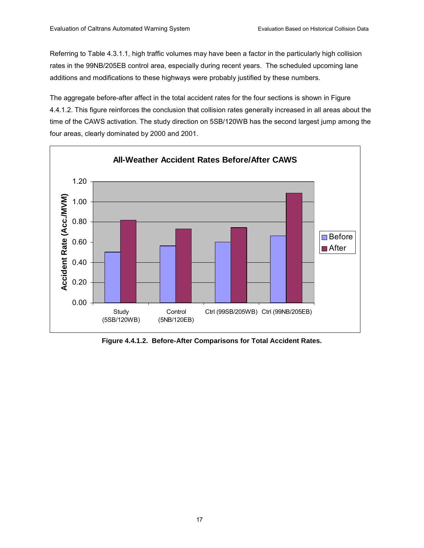Referring to Table 4.3.1.1, high traffic volumes may have been a factor in the particularly high collision rates in the 99NB/205EB control area, especially during recent years. The scheduled upcoming lane additions and modifications to these highways were probably justified by these numbers.

The aggregate before-after affect in the total accident rates for the four sections is shown in Figure 4.4.1.2. This figure reinforces the conclusion that collision rates generally increased in all areas about the time of the CAWS activation. The study direction on 5SB/120WB has the second largest jump among the four areas, clearly dominated by 2000 and 2001.



**Figure 4.4.1.2. Before-After Comparisons for Total Accident Rates.**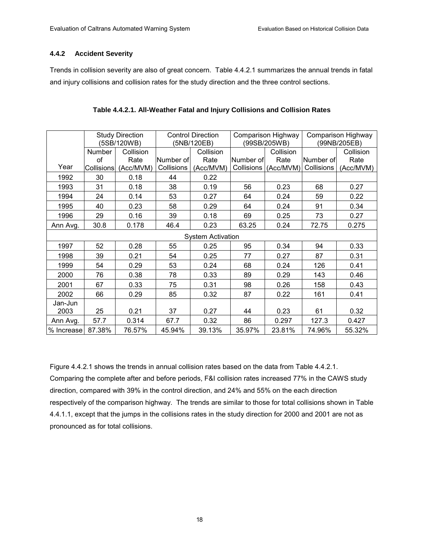#### **4.4.2 Accident Severity**

Trends in collision severity are also of great concern. Table 4.4.2.1 summarizes the annual trends in fatal and injury collisions and collision rates for the study direction and the three control sections.

|                          |                   | <b>Study Direction</b><br>(5SB/120WB) | <b>Control Direction</b><br>(5NB/120EB) |           | Comparison Highway<br>(99SB/205WB) |           | Comparison Highway<br>(99NB/205EB) |           |
|--------------------------|-------------------|---------------------------------------|-----------------------------------------|-----------|------------------------------------|-----------|------------------------------------|-----------|
|                          | Number            | Collision                             |                                         | Collision |                                    | Collision |                                    | Collision |
|                          | of                | Rate                                  | Number of                               | Rate      | Number of                          | Rate      | Number ofl                         | Rate      |
| Year                     | <b>Collisions</b> | (Acc/MVM)                             | Collisions                              | (Acc/MVM) | Collisions                         | (Acc/MVM) | Collisions                         | (Acc/MVM) |
| 1992                     | 30                | 0.18                                  | 44                                      | 0.22      |                                    |           |                                    |           |
| 1993                     | 31                | 0.18                                  | 38                                      | 0.19      | 56                                 | 0.23      | 68                                 | 0.27      |
| 1994                     | 24                | 0.14                                  | 53                                      | 0.27      | 64                                 | 0.24      | 59                                 | 0.22      |
| 1995                     | 40                | 0.23                                  | 58                                      | 0.29      | 64                                 | 0.24      | 91                                 | 0.34      |
| 1996                     | 29                | 0.16                                  | 39                                      | 0.18      | 69                                 | 0.25      | 73                                 | 0.27      |
| Ann Avg.                 | 30.8              | 0.178                                 | 46.4                                    | 0.23      | 63.25                              | 0.24      | 72.75                              | 0.275     |
| <b>System Activation</b> |                   |                                       |                                         |           |                                    |           |                                    |           |
| 1997                     | 52                | 0.28                                  | 55                                      | 0.25      | 95                                 | 0.34      | 94                                 | 0.33      |
| 1998                     | 39                | 0.21                                  | 54                                      | 0.25      | 77                                 | 0.27      | 87                                 | 0.31      |
| 1999                     | 54                | 0.29                                  | 53                                      | 0.24      | 68                                 | 0.24      | 126                                | 0.41      |
| 2000                     | 76                | 0.38                                  | 78                                      | 0.33      | 89                                 | 0.29      | 143                                | 0.46      |
| 2001                     | 67                | 0.33                                  | 75                                      | 0.31      | 98                                 | 0.26      | 158                                | 0.43      |
| 2002                     | 66                | 0.29                                  | 85                                      | 0.32      | 87                                 | 0.22      | 161                                | 0.41      |
| Jan-Jun                  |                   |                                       |                                         |           |                                    |           |                                    |           |
| 2003                     | 25                | 0.21                                  | 37                                      | 0.27      | 44                                 | 0.23      | 61                                 | 0.32      |
| Ann Avg.                 | 57.7              | 0.314                                 | 67.7                                    | 0.32      | 86                                 | 0.297     | 127.3                              | 0.427     |
| % Increase               | 87.38%            | 76.57%                                | 45.94%                                  | 39.13%    | 35.97%                             | 23.81%    | 74.96%                             | 55.32%    |

| Table 4.4.2.1. All-Weather Fatal and Injury Collisions and Collision Rates |  |
|----------------------------------------------------------------------------|--|
|----------------------------------------------------------------------------|--|

Figure 4.4.2.1 shows the trends in annual collision rates based on the data from Table 4.4.2.1. Comparing the complete after and before periods, F&I collision rates increased 77% in the CAWS study direction, compared with 39% in the control direction, and 24% and 55% on the each direction respectively of the comparison highway. The trends are similar to those for total collisions shown in Table 4.4.1.1, except that the jumps in the collisions rates in the study direction for 2000 and 2001 are not as pronounced as for total collisions.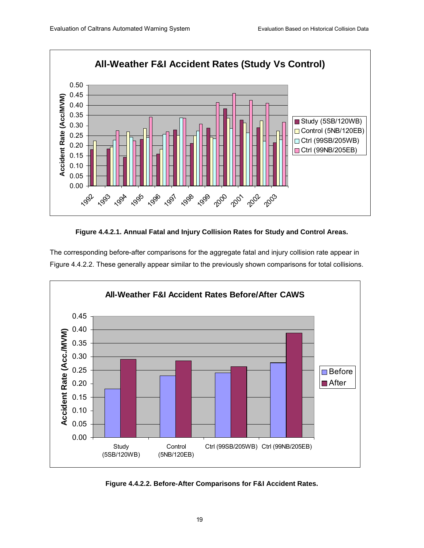

**Figure 4.4.2.1. Annual Fatal and Injury Collision Rates for Study and Control Areas.** 

The corresponding before-after comparisons for the aggregate fatal and injury collision rate appear in Figure 4.4.2.2. These generally appear similar to the previously shown comparisons for total collisions.



**Figure 4.4.2.2. Before-After Comparisons for F&I Accident Rates.**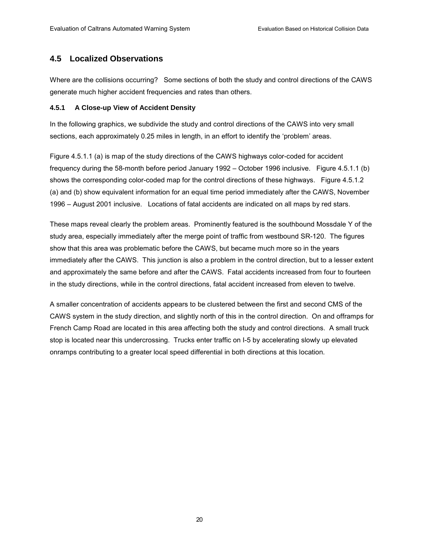### **4.5 Localized Observations**

Where are the collisions occurring? Some sections of both the study and control directions of the CAWS generate much higher accident frequencies and rates than others.

#### **4.5.1 A Close-up View of Accident Density**

In the following graphics, we subdivide the study and control directions of the CAWS into very small sections, each approximately 0.25 miles in length, in an effort to identify the 'problem' areas.

Figure 4.5.1.1 (a) is map of the study directions of the CAWS highways color-coded for accident frequency during the 58-month before period January 1992 – October 1996 inclusive. Figure 4.5.1.1 (b) shows the corresponding color-coded map for the control directions of these highways. Figure 4.5.1.2 (a) and (b) show equivalent information for an equal time period immediately after the CAWS, November 1996 – August 2001 inclusive. Locations of fatal accidents are indicated on all maps by red stars.

These maps reveal clearly the problem areas. Prominently featured is the southbound Mossdale Y of the study area, especially immediately after the merge point of traffic from westbound SR-120. The figures show that this area was problematic before the CAWS, but became much more so in the years immediately after the CAWS. This junction is also a problem in the control direction, but to a lesser extent and approximately the same before and after the CAWS. Fatal accidents increased from four to fourteen in the study directions, while in the control directions, fatal accident increased from eleven to twelve.

A smaller concentration of accidents appears to be clustered between the first and second CMS of the CAWS system in the study direction, and slightly north of this in the control direction. On and offramps for French Camp Road are located in this area affecting both the study and control directions. A small truck stop is located near this undercrossing. Trucks enter traffic on I-5 by accelerating slowly up elevated onramps contributing to a greater local speed differential in both directions at this location.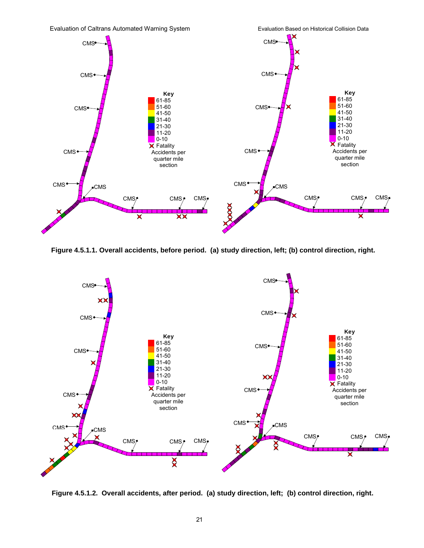

**Figure 4.5.1.1. Overall accidents, before period. (a) study direction, left; (b) control direction, right.** 



 **Figure 4.5.1.2. Overall accidents, after period. (a) study direction, left; (b) control direction, right.**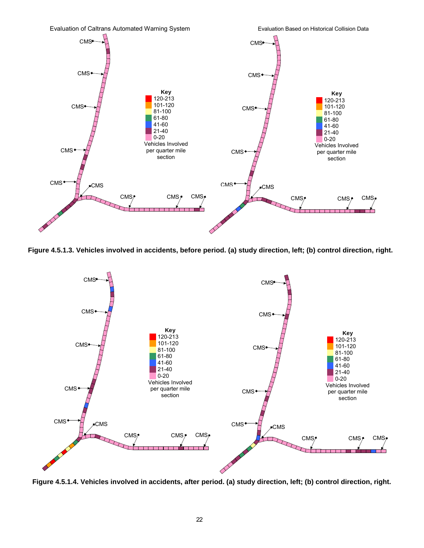

**Figure 4.5.1.3. Vehicles involved in accidents, before period. (a) study direction, left; (b) control direction, right.** 



**Figure 4.5.1.4. Vehicles involved in accidents, after period. (a) study direction, left; (b) control direction, right.**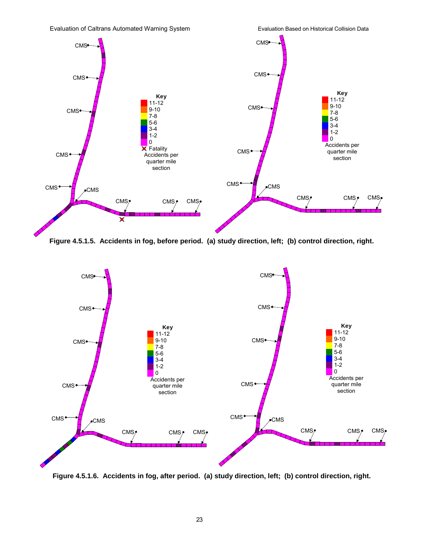

**Figure 4.5.1.5. Accidents in fog, before period. (a) study direction, left; (b) control direction, right.** 



**Figure 4.5.1.6. Accidents in fog, after period. (a) study direction, left; (b) control direction, right.**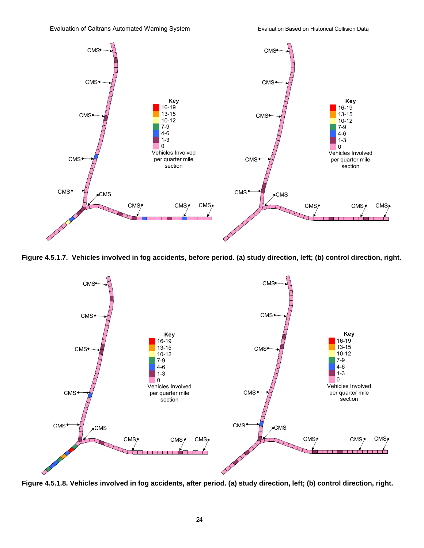

**Figure 4.5.1.7. Vehicles involved in fog accidents, before period. (a) study direction, left; (b) control direction, right.** 



**Figure 4.5.1.8. Vehicles involved in fog accidents, after period. (a) study direction, left; (b) control direction, right.**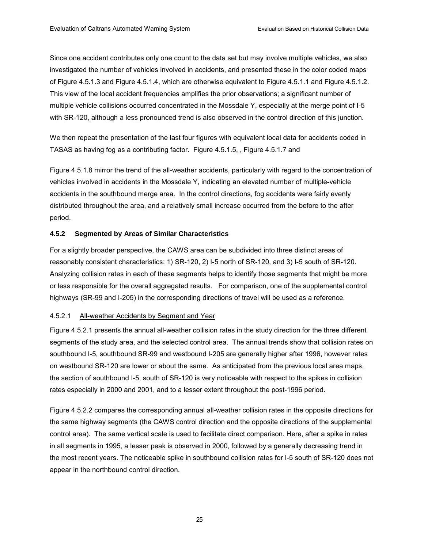Since one accident contributes only one count to the data set but may involve multiple vehicles, we also investigated the number of vehicles involved in accidents, and presented these in the color coded maps of Figure 4.5.1.3 and Figure 4.5.1.4, which are otherwise equivalent to Figure 4.5.1.1 and Figure 4.5.1.2. This view of the local accident frequencies amplifies the prior observations; a significant number of multiple vehicle collisions occurred concentrated in the Mossdale Y, especially at the merge point of I-5 with SR-120, although a less pronounced trend is also observed in the control direction of this junction.

We then repeat the presentation of the last four figures with equivalent local data for accidents coded in TASAS as having fog as a contributing factor. Figure 4.5.1.5, , Figure 4.5.1.7 and

Figure 4.5.1.8 mirror the trend of the all-weather accidents, particularly with regard to the concentration of vehicles involved in accidents in the Mossdale Y, indicating an elevated number of multiple-vehicle accidents in the southbound merge area. In the control directions, fog accidents were fairly evenly distributed throughout the area, and a relatively small increase occurred from the before to the after period.

#### **4.5.2 Segmented by Areas of Similar Characteristics**

For a slightly broader perspective, the CAWS area can be subdivided into three distinct areas of reasonably consistent characteristics: 1) SR-120, 2) I-5 north of SR-120, and 3) I-5 south of SR-120. Analyzing collision rates in each of these segments helps to identify those segments that might be more or less responsible for the overall aggregated results. For comparison, one of the supplemental control highways (SR-99 and I-205) in the corresponding directions of travel will be used as a reference.

#### 4.5.2.1 All-weather Accidents by Segment and Year

Figure 4.5.2.1 presents the annual all-weather collision rates in the study direction for the three different segments of the study area, and the selected control area. The annual trends show that collision rates on southbound I-5, southbound SR-99 and westbound I-205 are generally higher after 1996, however rates on westbound SR-120 are lower or about the same. As anticipated from the previous local area maps, the section of southbound I-5, south of SR-120 is very noticeable with respect to the spikes in collision rates especially in 2000 and 2001, and to a lesser extent throughout the post-1996 period.

Figure 4.5.2.2 compares the corresponding annual all-weather collision rates in the opposite directions for the same highway segments (the CAWS control direction and the opposite directions of the supplemental control area). The same vertical scale is used to facilitate direct comparison. Here, after a spike in rates in all segments in 1995, a lesser peak is observed in 2000, followed by a generally decreasing trend in the most recent years. The noticeable spike in southbound collision rates for I-5 south of SR-120 does not appear in the northbound control direction.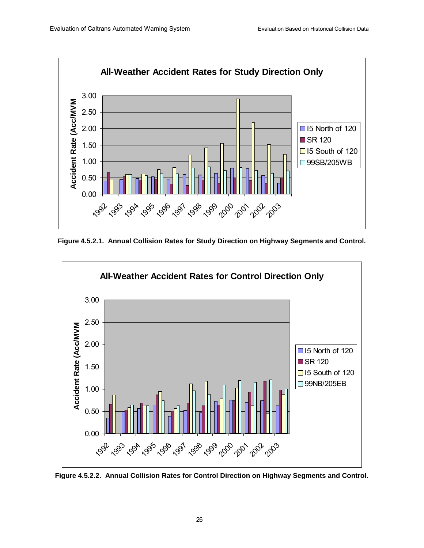

**Figure 4.5.2.1. Annual Collision Rates for Study Direction on Highway Segments and Control.** 



**Figure 4.5.2.2. Annual Collision Rates for Control Direction on Highway Segments and Control.**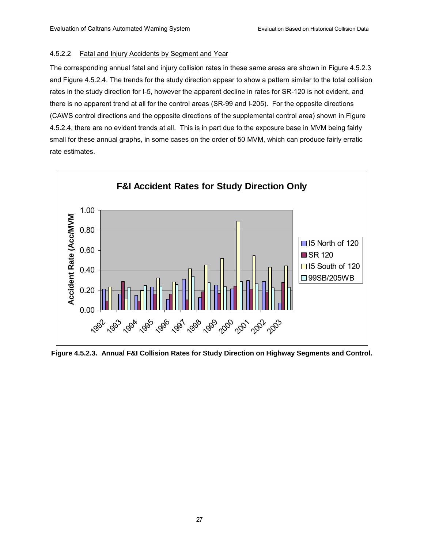#### 4.5.2.2 Fatal and Injury Accidents by Segment and Year

The corresponding annual fatal and injury collision rates in these same areas are shown in Figure 4.5.2.3 and Figure 4.5.2.4. The trends for the study direction appear to show a pattern similar to the total collision rates in the study direction for I-5, however the apparent decline in rates for SR-120 is not evident, and there is no apparent trend at all for the control areas (SR-99 and I-205). For the opposite directions (CAWS control directions and the opposite directions of the supplemental control area) shown in Figure 4.5.2.4, there are no evident trends at all. This is in part due to the exposure base in MVM being fairly small for these annual graphs, in some cases on the order of 50 MVM, which can produce fairly erratic rate estimates.



**Figure 4.5.2.3. Annual F&I Collision Rates for Study Direction on Highway Segments and Control.**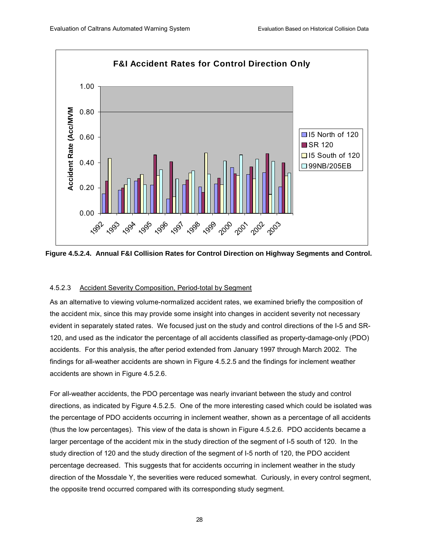

**Figure 4.5.2.4. Annual F&I Collision Rates for Control Direction on Highway Segments and Control.** 

#### 4.5.2.3 Accident Severity Composition, Period-total by Segment

As an alternative to viewing volume-normalized accident rates, we examined briefly the composition of the accident mix, since this may provide some insight into changes in accident severity not necessary evident in separately stated rates. We focused just on the study and control directions of the I-5 and SR-120, and used as the indicator the percentage of all accidents classified as property-damage-only (PDO) accidents. For this analysis, the after period extended from January 1997 through March 2002. The findings for all-weather accidents are shown in Figure 4.5.2.5 and the findings for inclement weather accidents are shown in Figure 4.5.2.6.

For all-weather accidents, the PDO percentage was nearly invariant between the study and control directions, as indicated by Figure 4.5.2.5. One of the more interesting cased which could be isolated was the percentage of PDO accidents occurring in inclement weather, shown as a percentage of all accidents (thus the low percentages). This view of the data is shown in Figure 4.5.2.6. PDO accidents became a larger percentage of the accident mix in the study direction of the segment of I-5 south of 120. In the study direction of 120 and the study direction of the segment of I-5 north of 120, the PDO accident percentage decreased. This suggests that for accidents occurring in inclement weather in the study direction of the Mossdale Y, the severities were reduced somewhat. Curiously, in every control segment, the opposite trend occurred compared with its corresponding study segment.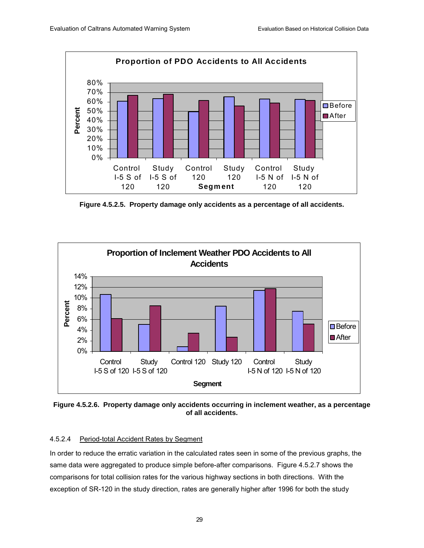

**Figure 4.5.2.5. Property damage only accidents as a percentage of all accidents.** 



**Figure 4.5.2.6. Property damage only accidents occurring in inclement weather, as a percentage of all accidents.** 

#### 4.5.2.4 Period-total Accident Rates by Segment

In order to reduce the erratic variation in the calculated rates seen in some of the previous graphs, the same data were aggregated to produce simple before-after comparisons. Figure 4.5.2.7 shows the comparisons for total collision rates for the various highway sections in both directions. With the exception of SR-120 in the study direction, rates are generally higher after 1996 for both the study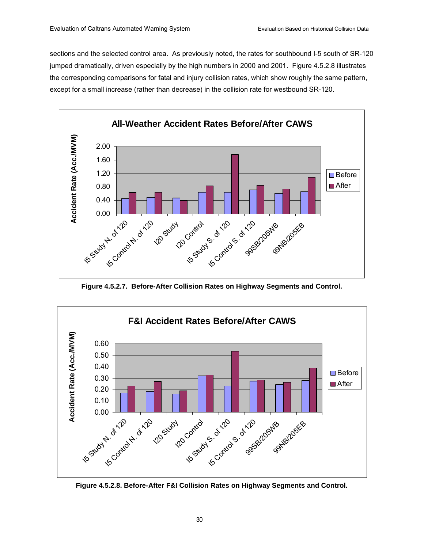sections and the selected control area. As previously noted, the rates for southbound I-5 south of SR-120 jumped dramatically, driven especially by the high numbers in 2000 and 2001. Figure 4.5.2.8 illustrates the corresponding comparisons for fatal and injury collision rates, which show roughly the same pattern, except for a small increase (rather than decrease) in the collision rate for westbound SR-120.



**Figure 4.5.2.7. Before-After Collision Rates on Highway Segments and Control.** 



**Figure 4.5.2.8. Before-After F&I Collision Rates on Highway Segments and Control.**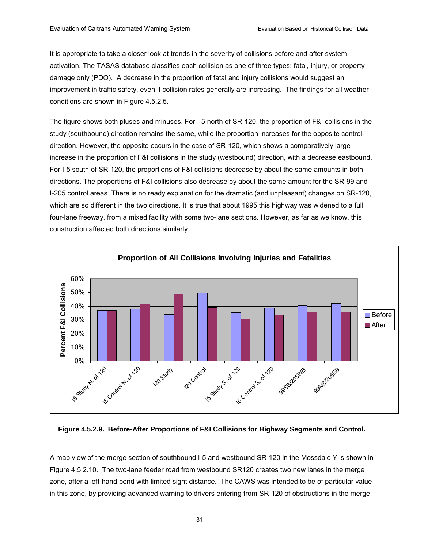It is appropriate to take a closer look at trends in the severity of collisions before and after system activation. The TASAS database classifies each collision as one of three types: fatal, injury, or property damage only (PDO). A decrease in the proportion of fatal and injury collisions would suggest an improvement in traffic safety, even if collision rates generally are increasing. The findings for all weather conditions are shown in Figure 4.5.2.5.

The figure shows both pluses and minuses. For I-5 north of SR-120, the proportion of F&I collisions in the study (southbound) direction remains the same, while the proportion increases for the opposite control direction. However, the opposite occurs in the case of SR-120, which shows a comparatively large increase in the proportion of F&I collisions in the study (westbound) direction, with a decrease eastbound. For I-5 south of SR-120, the proportions of F&I collisions decrease by about the same amounts in both directions. The proportions of F&I collisions also decrease by about the same amount for the SR-99 and I-205 control areas. There is no ready explanation for the dramatic (and unpleasant) changes on SR-120, which are so different in the two directions. It is true that about 1995 this highway was widened to a full four-lane freeway, from a mixed facility with some two-lane sections. However, as far as we know, this construction affected both directions similarly.



**Figure 4.5.2.9. Before-After Proportions of F&I Collisions for Highway Segments and Control.** 

A map view of the merge section of southbound I-5 and westbound SR-120 in the Mossdale Y is shown in Figure 4.5.2.10. The two-lane feeder road from westbound SR120 creates two new lanes in the merge zone, after a left-hand bend with limited sight distance. The CAWS was intended to be of particular value in this zone, by providing advanced warning to drivers entering from SR-120 of obstructions in the merge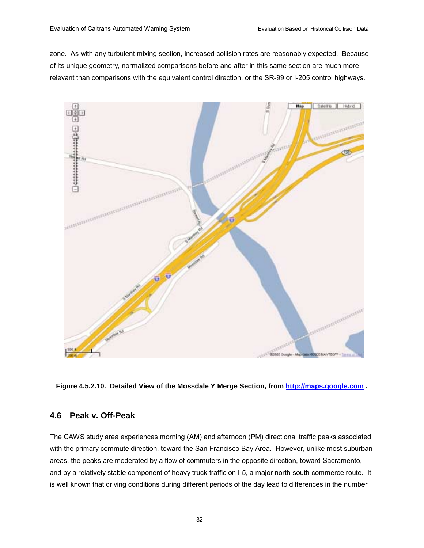zone. As with any turbulent mixing section, increased collision rates are reasonably expected. Because of its unique geometry, normalized comparisons before and after in this same section are much more relevant than comparisons with the equivalent control direction, or the SR-99 or I-205 control highways.



**Figure 4.5.2.10. Detailed View of the Mossdale Y Merge Section, from http://maps.google.com .** 

### **4.6 Peak v. Off-Peak**

The CAWS study area experiences morning (AM) and afternoon (PM) directional traffic peaks associated with the primary commute direction, toward the San Francisco Bay Area. However, unlike most suburban areas, the peaks are moderated by a flow of commuters in the opposite direction, toward Sacramento, and by a relatively stable component of heavy truck traffic on I-5, a major north-south commerce route. It is well known that driving conditions during different periods of the day lead to differences in the number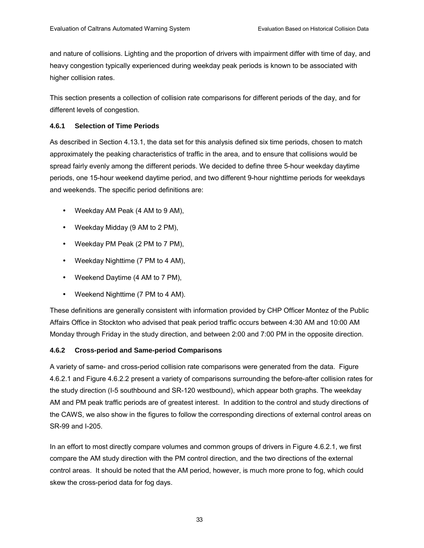and nature of collisions. Lighting and the proportion of drivers with impairment differ with time of day, and heavy congestion typically experienced during weekday peak periods is known to be associated with higher collision rates.

This section presents a collection of collision rate comparisons for different periods of the day, and for different levels of congestion.

### **4.6.1 Selection of Time Periods**

As described in Section 4.13.1, the data set for this analysis defined six time periods, chosen to match approximately the peaking characteristics of traffic in the area, and to ensure that collisions would be spread fairly evenly among the different periods. We decided to define three 5-hour weekday daytime periods, one 15-hour weekend daytime period, and two different 9-hour nighttime periods for weekdays and weekends. The specific period definitions are:

- Weekday AM Peak (4 AM to 9 AM),
- Weekday Midday (9 AM to 2 PM),
- Weekday PM Peak (2 PM to 7 PM),
- Weekday Nighttime (7 PM to 4 AM),
- Weekend Daytime (4 AM to 7 PM),
- Weekend Nighttime (7 PM to 4 AM).

These definitions are generally consistent with information provided by CHP Officer Montez of the Public Affairs Office in Stockton who advised that peak period traffic occurs between 4:30 AM and 10:00 AM Monday through Friday in the study direction, and between 2:00 and 7:00 PM in the opposite direction.

## **4.6.2 Cross-period and Same-period Comparisons**

A variety of same- and cross-period collision rate comparisons were generated from the data. Figure 4.6.2.1 and Figure 4.6.2.2 present a variety of comparisons surrounding the before-after collision rates for the study direction (I-5 southbound and SR-120 westbound), which appear both graphs. The weekday AM and PM peak traffic periods are of greatest interest. In addition to the control and study directions of the CAWS, we also show in the figures to follow the corresponding directions of external control areas on SR-99 and I-205.

In an effort to most directly compare volumes and common groups of drivers in Figure 4.6.2.1, we first compare the AM study direction with the PM control direction, and the two directions of the external control areas. It should be noted that the AM period, however, is much more prone to fog, which could skew the cross-period data for fog days.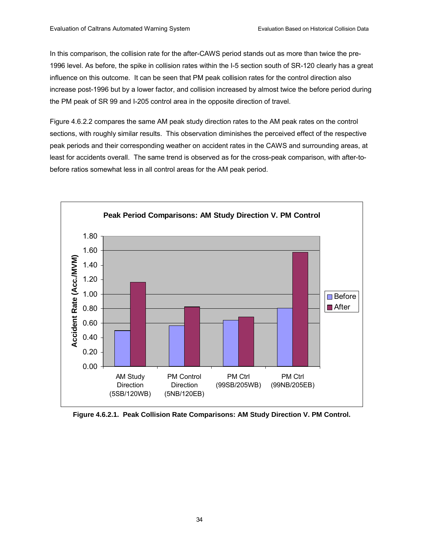In this comparison, the collision rate for the after-CAWS period stands out as more than twice the pre-1996 level. As before, the spike in collision rates within the I-5 section south of SR-120 clearly has a great influence on this outcome. It can be seen that PM peak collision rates for the control direction also increase post-1996 but by a lower factor, and collision increased by almost twice the before period during the PM peak of SR 99 and I-205 control area in the opposite direction of travel.

Figure 4.6.2.2 compares the same AM peak study direction rates to the AM peak rates on the control sections, with roughly similar results. This observation diminishes the perceived effect of the respective peak periods and their corresponding weather on accident rates in the CAWS and surrounding areas, at least for accidents overall. The same trend is observed as for the cross-peak comparison, with after-tobefore ratios somewhat less in all control areas for the AM peak period.



**Figure 4.6.2.1. Peak Collision Rate Comparisons: AM Study Direction V. PM Control.**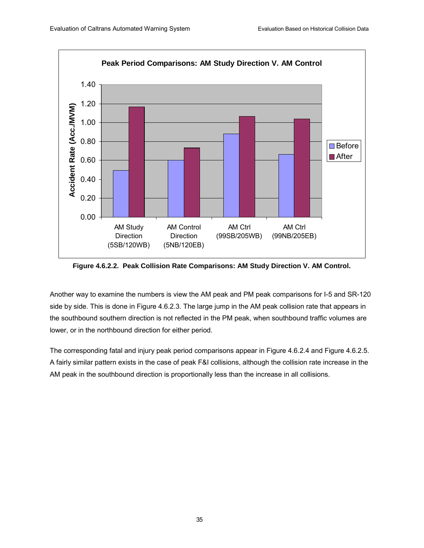

**Figure 4.6.2.2. Peak Collision Rate Comparisons: AM Study Direction V. AM Control.** 

Another way to examine the numbers is view the AM peak and PM peak comparisons for I-5 and SR-120 side by side. This is done in Figure 4.6.2.3. The large jump in the AM peak collision rate that appears in the southbound southern direction is not reflected in the PM peak, when southbound traffic volumes are lower, or in the northbound direction for either period.

The corresponding fatal and injury peak period comparisons appear in Figure 4.6.2.4 and Figure 4.6.2.5. A fairly similar pattern exists in the case of peak F&I collisions, although the collision rate increase in the AM peak in the southbound direction is proportionally less than the increase in all collisions.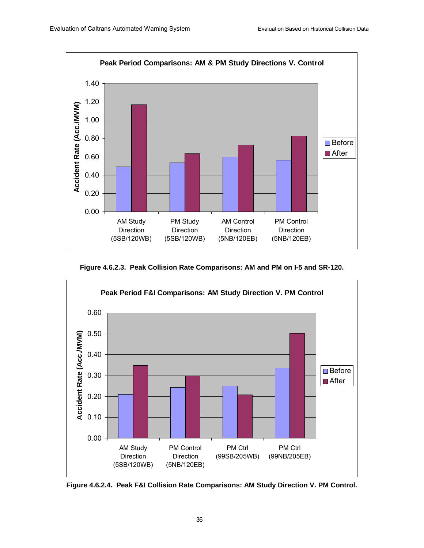

**Figure 4.6.2.3. Peak Collision Rate Comparisons: AM and PM on I-5 and SR-120.** 



**Figure 4.6.2.4. Peak F&I Collision Rate Comparisons: AM Study Direction V. PM Control.**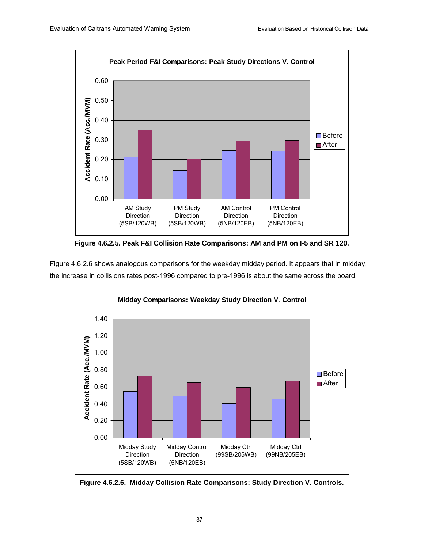

**Figure 4.6.2.5. Peak F&I Collision Rate Comparisons: AM and PM on I-5 and SR 120.** 

Figure 4.6.2.6 shows analogous comparisons for the weekday midday period. It appears that in midday, the increase in collisions rates post-1996 compared to pre-1996 is about the same across the board.



**Figure 4.6.2.6. Midday Collision Rate Comparisons: Study Direction V. Controls.**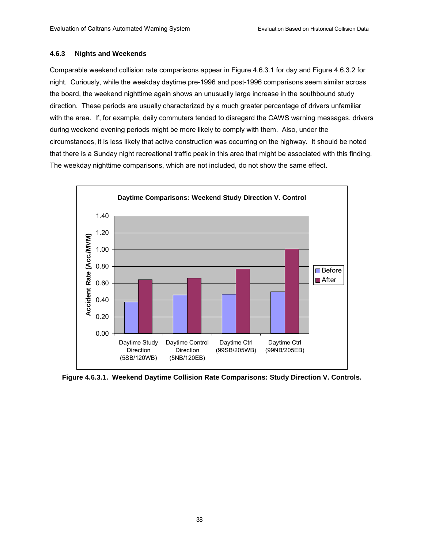#### **4.6.3 Nights and Weekends**

Comparable weekend collision rate comparisons appear in Figure 4.6.3.1 for day and Figure 4.6.3.2 for night. Curiously, while the weekday daytime pre-1996 and post-1996 comparisons seem similar across the board, the weekend nighttime again shows an unusually large increase in the southbound study direction. These periods are usually characterized by a much greater percentage of drivers unfamiliar with the area. If, for example, daily commuters tended to disregard the CAWS warning messages, drivers during weekend evening periods might be more likely to comply with them. Also, under the circumstances, it is less likely that active construction was occurring on the highway. It should be noted that there is a Sunday night recreational traffic peak in this area that might be associated with this finding. The weekday nighttime comparisons, which are not included, do not show the same effect.



**Figure 4.6.3.1. Weekend Daytime Collision Rate Comparisons: Study Direction V. Controls.**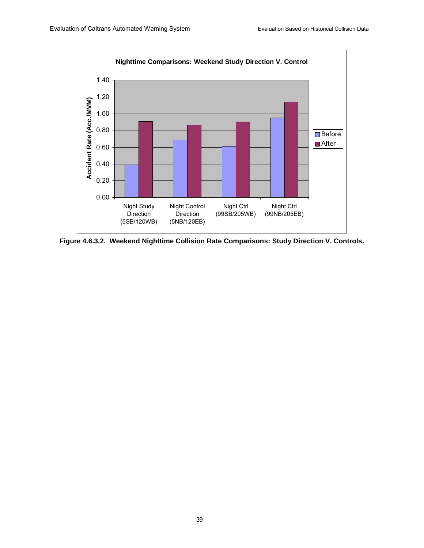

**Figure 4.6.3.2. Weekend Nighttime Collision Rate Comparisons: Study Direction V. Controls.**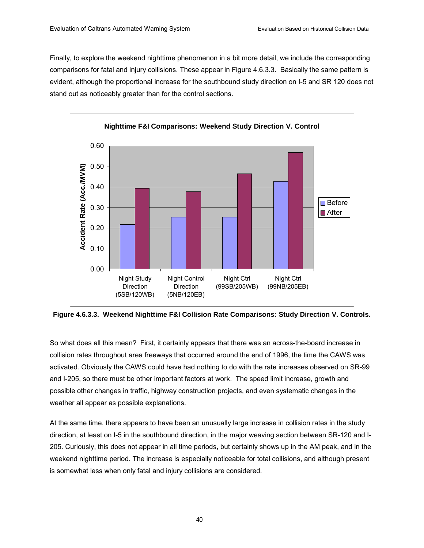Finally, to explore the weekend nighttime phenomenon in a bit more detail, we include the corresponding comparisons for fatal and injury collisions. These appear in Figure 4.6.3.3. Basically the same pattern is evident, although the proportional increase for the southbound study direction on I-5 and SR 120 does not stand out as noticeably greater than for the control sections.



**Figure 4.6.3.3. Weekend Nighttime F&I Collision Rate Comparisons: Study Direction V. Controls.** 

So what does all this mean? First, it certainly appears that there was an across-the-board increase in collision rates throughout area freeways that occurred around the end of 1996, the time the CAWS was activated. Obviously the CAWS could have had nothing to do with the rate increases observed on SR-99 and I-205, so there must be other important factors at work. The speed limit increase, growth and possible other changes in traffic, highway construction projects, and even systematic changes in the weather all appear as possible explanations.

At the same time, there appears to have been an unusually large increase in collision rates in the study direction, at least on I-5 in the southbound direction, in the major weaving section between SR-120 and I-205. Curiously, this does not appear in all time periods, but certainly shows up in the AM peak, and in the weekend nighttime period. The increase is especially noticeable for total collisions, and although present is somewhat less when only fatal and injury collisions are considered.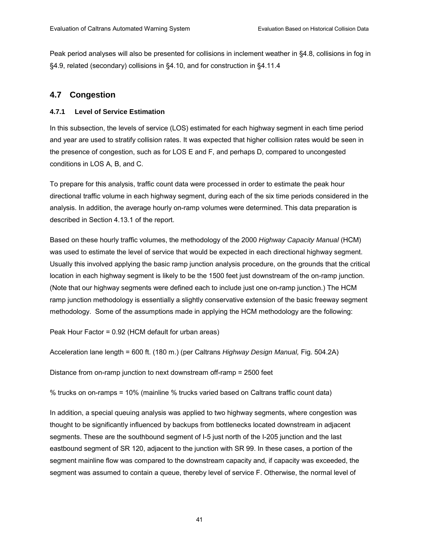Peak period analyses will also be presented for collisions in inclement weather in ß4.8, collisions in fog in ß4.9, related (secondary) collisions in ß4.10, and for construction in ß4.11.4

# **4.7 Congestion**

### **4.7.1 Level of Service Estimation**

In this subsection, the levels of service (LOS) estimated for each highway segment in each time period and year are used to stratify collision rates. It was expected that higher collision rates would be seen in the presence of congestion, such as for LOS E and F, and perhaps D, compared to uncongested conditions in LOS A, B, and C.

To prepare for this analysis, traffic count data were processed in order to estimate the peak hour directional traffic volume in each highway segment, during each of the six time periods considered in the analysis. In addition, the average hourly on-ramp volumes were determined. This data preparation is described in Section 4.13.1 of the report.

Based on these hourly traffic volumes, the methodology of the 2000 *Highway Capacity Manual* (HCM) was used to estimate the level of service that would be expected in each directional highway segment. Usually this involved applying the basic ramp junction analysis procedure, on the grounds that the critical location in each highway segment is likely to be the 1500 feet just downstream of the on-ramp junction. (Note that our highway segments were defined each to include just one on-ramp junction.) The HCM ramp junction methodology is essentially a slightly conservative extension of the basic freeway segment methodology. Some of the assumptions made in applying the HCM methodology are the following:

Peak Hour Factor = 0.92 (HCM default for urban areas)

Acceleration lane length = 600 ft. (180 m.) (per Caltrans *Highway Design Manual,* Fig. 504.2A)

Distance from on-ramp junction to next downstream off-ramp = 2500 feet

% trucks on on-ramps = 10% (mainline % trucks varied based on Caltrans traffic count data)

In addition, a special queuing analysis was applied to two highway segments, where congestion was thought to be significantly influenced by backups from bottlenecks located downstream in adjacent segments. These are the southbound segment of I-5 just north of the I-205 junction and the last eastbound segment of SR 120, adjacent to the junction with SR 99. In these cases, a portion of the segment mainline flow was compared to the downstream capacity and, if capacity was exceeded, the segment was assumed to contain a queue, thereby level of service F. Otherwise, the normal level of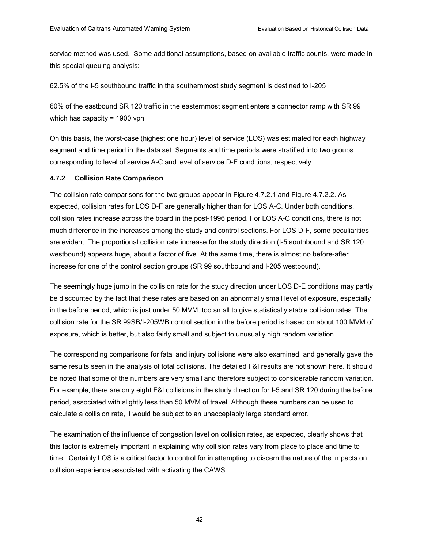service method was used. Some additional assumptions, based on available traffic counts, were made in this special queuing analysis:

62.5% of the I-5 southbound traffic in the southernmost study segment is destined to I-205

60% of the eastbound SR 120 traffic in the easternmost segment enters a connector ramp with SR 99 which has capacity = 1900 vph

On this basis, the worst-case (highest one hour) level of service (LOS) was estimated for each highway segment and time period in the data set. Segments and time periods were stratified into two groups corresponding to level of service A-C and level of service D-F conditions, respectively.

### **4.7.2 Collision Rate Comparison**

The collision rate comparisons for the two groups appear in Figure 4.7.2.1 and Figure 4.7.2.2. As expected, collision rates for LOS D-F are generally higher than for LOS A-C. Under both conditions, collision rates increase across the board in the post-1996 period. For LOS A-C conditions, there is not much difference in the increases among the study and control sections. For LOS D-F, some peculiarities are evident. The proportional collision rate increase for the study direction (I-5 southbound and SR 120 westbound) appears huge, about a factor of five. At the same time, there is almost no before-after increase for one of the control section groups (SR 99 southbound and I-205 westbound).

The seemingly huge jump in the collision rate for the study direction under LOS D-E conditions may partly be discounted by the fact that these rates are based on an abnormally small level of exposure, especially in the before period, which is just under 50 MVM, too small to give statistically stable collision rates. The collision rate for the SR 99SB/I-205WB control section in the before period is based on about 100 MVM of exposure, which is better, but also fairly small and subject to unusually high random variation.

The corresponding comparisons for fatal and injury collisions were also examined, and generally gave the same results seen in the analysis of total collisions. The detailed F&I results are not shown here. It should be noted that some of the numbers are very small and therefore subject to considerable random variation. For example, there are only eight F&I collisions in the study direction for I-5 and SR 120 during the before period, associated with slightly less than 50 MVM of travel. Although these numbers can be used to calculate a collision rate, it would be subject to an unacceptably large standard error.

The examination of the influence of congestion level on collision rates, as expected, clearly shows that this factor is extremely important in explaining why collision rates vary from place to place and time to time. Certainly LOS is a critical factor to control for in attempting to discern the nature of the impacts on collision experience associated with activating the CAWS.

42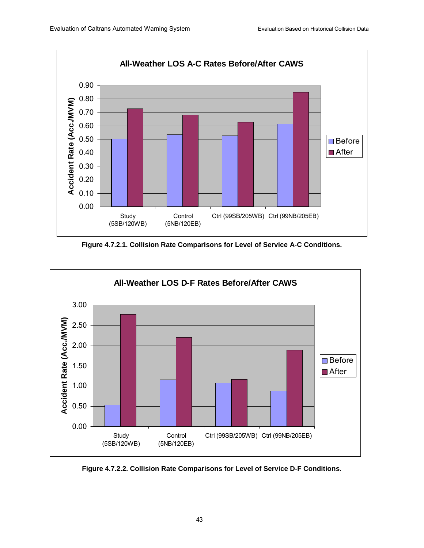

**Figure 4.7.2.1. Collision Rate Comparisons for Level of Service A-C Conditions.** 



**Figure 4.7.2.2. Collision Rate Comparisons for Level of Service D-F Conditions.**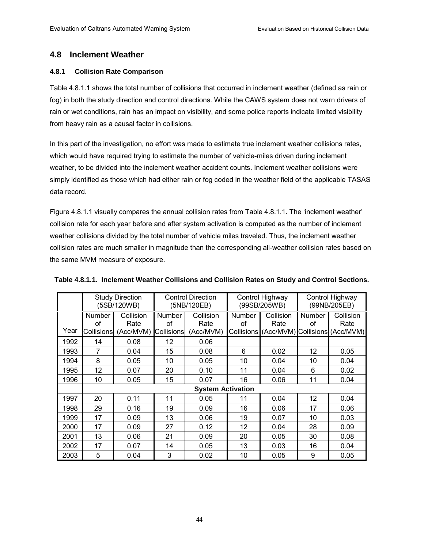# **4.8 Inclement Weather**

### **4.8.1 Collision Rate Comparison**

Table 4.8.1.1 shows the total number of collisions that occurred in inclement weather (defined as rain or fog) in both the study direction and control directions. While the CAWS system does not warn drivers of rain or wet conditions, rain has an impact on visibility, and some police reports indicate limited visibility from heavy rain as a causal factor in collisions.

In this part of the investigation, no effort was made to estimate true inclement weather collisions rates, which would have required trying to estimate the number of vehicle-miles driven during inclement weather, to be divided into the inclement weather accident counts. Inclement weather collisions were simply identified as those which had either rain or fog coded in the weather field of the applicable TASAS data record.

Figure 4.8.1.1 visually compares the annual collision rates from Table 4.8.1.1. The 'inclement weather' collision rate for each year before and after system activation is computed as the number of inclement weather collisions divided by the total number of vehicle miles traveled. Thus, the inclement weather collision rates are much smaller in magnitude than the corresponding all-weather collision rates based on the same MVM measure of exposure.

|      |                          | <b>Study Direction</b><br>(5SB/120WB) |               | <b>Control Direction</b><br>(5NB/120EB) | Control Highway<br>(99SB/205WB)<br>Collision<br><b>Number</b> |      | Control Highway<br>(99NB/205EB) |                                           |
|------|--------------------------|---------------------------------------|---------------|-----------------------------------------|---------------------------------------------------------------|------|---------------------------------|-------------------------------------------|
|      | <b>Number</b>            | Collision                             | <b>Number</b> | Collision                               |                                                               |      | <b>Number</b>                   | Collision                                 |
|      | of                       | Rate                                  | of            | Rate                                    | of                                                            | Rate | of                              | Rate                                      |
| Year | <b>Collisions</b>        | (Acc/MVM)                             | Collisions    | (Acc/MVM)                               |                                                               |      |                                 | Collisions (Acc/MVM) Collisions (Acc/MVM) |
| 1992 | 14                       | 0.08                                  | 12            | 0.06                                    |                                                               |      |                                 |                                           |
| 1993 | 7                        | 0.04                                  | 15            | 0.08                                    | 6                                                             | 0.02 | 12                              | 0.05                                      |
| 1994 | 8                        | 0.05                                  | 10            | 0.05                                    | 10                                                            | 0.04 | 10                              | 0.04                                      |
| 1995 | 12                       | 0.07                                  | 20            | 0.10                                    | 11                                                            | 0.04 | 6                               | 0.02                                      |
| 1996 | 10                       | 0.05                                  | 15            | 0.07                                    | 16                                                            | 0.06 | 11                              | 0.04                                      |
|      | <b>System Activation</b> |                                       |               |                                         |                                                               |      |                                 |                                           |
| 1997 | 20                       | 0.11                                  | 11            | 0.05                                    | 11                                                            | 0.04 | 12                              | 0.04                                      |
| 1998 | 29                       | 0.16                                  | 19            | 0.09                                    | 16                                                            | 0.06 | 17                              | 0.06                                      |
| 1999 | 17                       | 0.09                                  | 13            | 0.06                                    | 19                                                            | 0.07 | 10                              | 0.03                                      |
| 2000 | 17                       | 0.09                                  | 27            | 0.12                                    | 12                                                            | 0.04 | 28                              | 0.09                                      |
| 2001 | 13                       | 0.06                                  | 21            | 0.09                                    | 20                                                            | 0.05 | 30                              | 0.08                                      |
| 2002 | 17                       | 0.07                                  | 14            | 0.05                                    | 13                                                            | 0.03 | 16                              | 0.04                                      |
| 2003 | 5                        | 0.04                                  | 3             | 0.02                                    | 10                                                            | 0.05 | 9                               | 0.05                                      |

**Table 4.8.1.1. Inclement Weather Collisions and Collision Rates on Study and Control Sections.**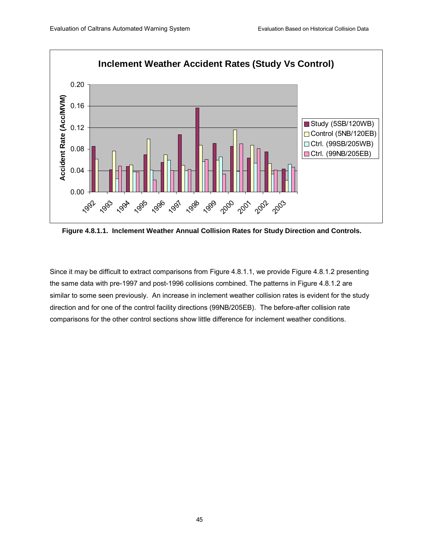

**Figure 4.8.1.1. Inclement Weather Annual Collision Rates for Study Direction and Controls.** 

Since it may be difficult to extract comparisons from Figure 4.8.1.1, we provide Figure 4.8.1.2 presenting the same data with pre-1997 and post-1996 collisions combined. The patterns in Figure 4.8.1.2 are similar to some seen previously. An increase in inclement weather collision rates is evident for the study direction and for one of the control facility directions (99NB/205EB). The before-after collision rate comparisons for the other control sections show little difference for inclement weather conditions.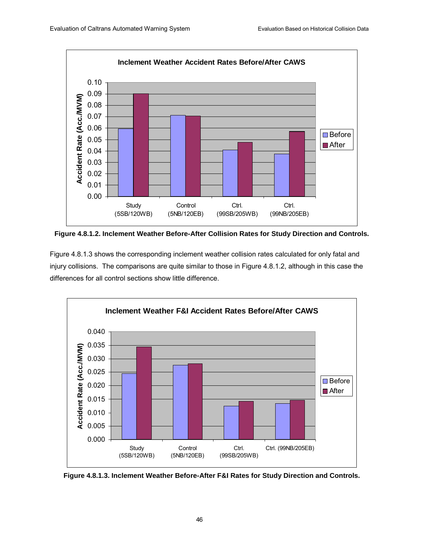

**Figure 4.8.1.2. Inclement Weather Before-After Collision Rates for Study Direction and Controls.** 

Figure 4.8.1.3 shows the corresponding inclement weather collision rates calculated for only fatal and injury collisions. The comparisons are quite similar to those in Figure 4.8.1.2, although in this case the differences for all control sections show little difference.



**Figure 4.8.1.3. Inclement Weather Before-After F&I Rates for Study Direction and Controls.**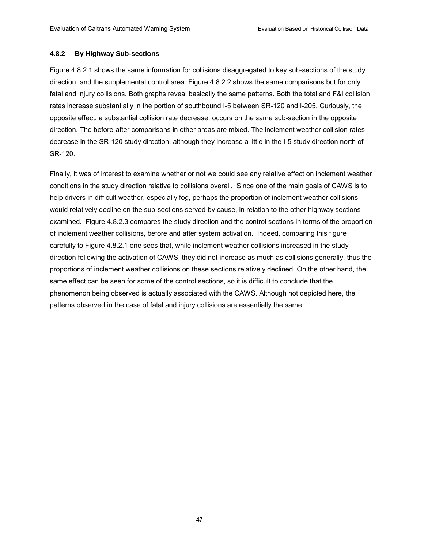### **4.8.2 By Highway Sub-sections**

Figure 4.8.2.1 shows the same information for collisions disaggregated to key sub-sections of the study direction, and the supplemental control area. Figure 4.8.2.2 shows the same comparisons but for only fatal and injury collisions. Both graphs reveal basically the same patterns. Both the total and F&I collision rates increase substantially in the portion of southbound I-5 between SR-120 and I-205. Curiously, the opposite effect, a substantial collision rate decrease, occurs on the same sub-section in the opposite direction. The before-after comparisons in other areas are mixed. The inclement weather collision rates decrease in the SR-120 study direction, although they increase a little in the I-5 study direction north of SR-120.

Finally, it was of interest to examine whether or not we could see any relative effect on inclement weather conditions in the study direction relative to collisions overall. Since one of the main goals of CAWS is to help drivers in difficult weather, especially fog, perhaps the proportion of inclement weather collisions would relatively decline on the sub-sections served by cause, in relation to the other highway sections examined. Figure 4.8.2.3 compares the study direction and the control sections in terms of the proportion of inclement weather collisions, before and after system activation. Indeed, comparing this figure carefully to Figure 4.8.2.1 one sees that, while inclement weather collisions increased in the study direction following the activation of CAWS, they did not increase as much as collisions generally, thus the proportions of inclement weather collisions on these sections relatively declined. On the other hand, the same effect can be seen for some of the control sections, so it is difficult to conclude that the phenomenon being observed is actually associated with the CAWS. Although not depicted here, the patterns observed in the case of fatal and injury collisions are essentially the same.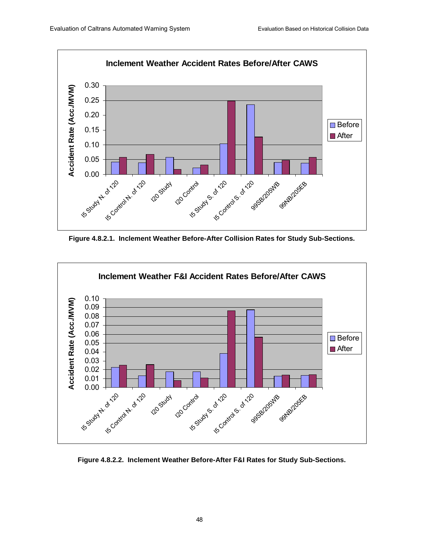

**Figure 4.8.2.1. Inclement Weather Before-After Collision Rates for Study Sub-Sections.** 



**Figure 4.8.2.2. Inclement Weather Before-After F&I Rates for Study Sub-Sections.**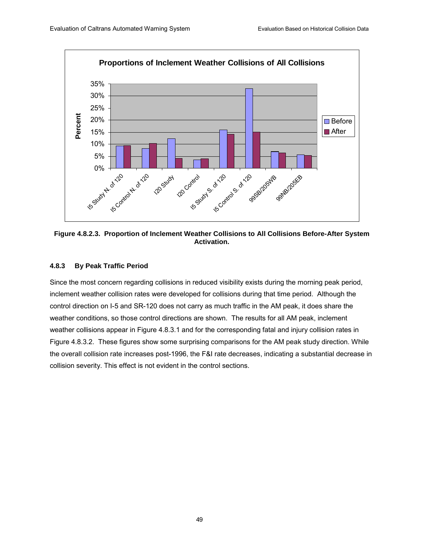

**Figure 4.8.2.3. Proportion of Inclement Weather Collisions to All Collisions Before-After System Activation.** 

### **4.8.3 By Peak Traffic Period**

Since the most concern regarding collisions in reduced visibility exists during the morning peak period, inclement weather collision rates were developed for collisions during that time period. Although the control direction on I-5 and SR-120 does not carry as much traffic in the AM peak, it does share the weather conditions, so those control directions are shown. The results for all AM peak, inclement weather collisions appear in Figure 4.8.3.1 and for the corresponding fatal and injury collision rates in Figure 4.8.3.2. These figures show some surprising comparisons for the AM peak study direction. While the overall collision rate increases post-1996, the F&I rate decreases, indicating a substantial decrease in collision severity. This effect is not evident in the control sections.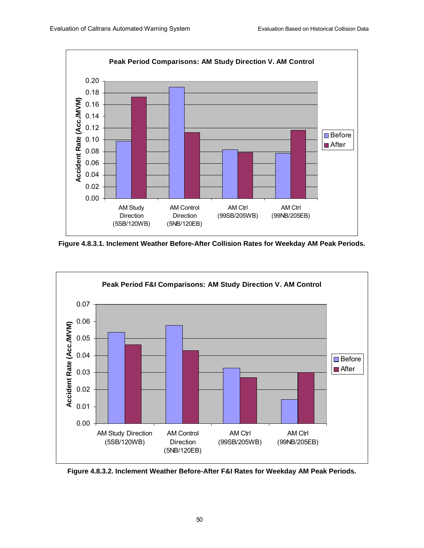

**Figure 4.8.3.1. Inclement Weather Before-After Collision Rates for Weekday AM Peak Periods.** 



**Figure 4.8.3.2. Inclement Weather Before-After F&I Rates for Weekday AM Peak Periods.**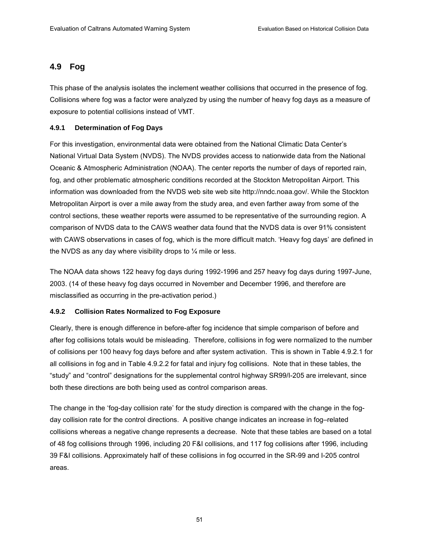# **4.9 Fog**

This phase of the analysis isolates the inclement weather collisions that occurred in the presence of fog. Collisions where fog was a factor were analyzed by using the number of heavy fog days as a measure of exposure to potential collisions instead of VMT.

### **4.9.1 Determination of Fog Days**

For this investigation, environmental data were obtained from the National Climatic Data Centerís National Virtual Data System (NVDS). The NVDS provides access to nationwide data from the National Oceanic & Atmospheric Administration (NOAA). The center reports the number of days of reported rain, fog, and other problematic atmospheric conditions recorded at the Stockton Metropolitan Airport. This information was downloaded from the NVDS web site web site http://nndc.noaa.gov/. While the Stockton Metropolitan Airport is over a mile away from the study area, and even farther away from some of the control sections, these weather reports were assumed to be representative of the surrounding region. A comparison of NVDS data to the CAWS weather data found that the NVDS data is over 91% consistent with CAWS observations in cases of fog, which is the more difficult match. 'Heavy fog days' are defined in the NVDS as any day where visibility drops to  $\frac{1}{4}$  mile or less.

The NOAA data shows 122 heavy fog days during 1992-1996 and 257 heavy fog days during 1997-June, 2003. (14 of these heavy fog days occurred in November and December 1996, and therefore are misclassified as occurring in the pre-activation period.)

### **4.9.2 Collision Rates Normalized to Fog Exposure**

Clearly, there is enough difference in before-after fog incidence that simple comparison of before and after fog collisions totals would be misleading. Therefore, collisions in fog were normalized to the number of collisions per 100 heavy fog days before and after system activation. This is shown in Table 4.9.2.1 for all collisions in fog and in Table 4.9.2.2 for fatal and injury fog collisions. Note that in these tables, the "study" and "control" designations for the supplemental control highway SR99/I-205 are irrelevant, since both these directions are both being used as control comparison areas.

The change in the 'fog-day collision rate' for the study direction is compared with the change in the fogday collision rate for the control directions. A positive change indicates an increase in fog-related collisions whereas a negative change represents a decrease. Note that these tables are based on a total of 48 fog collisions through 1996, including 20 F&I collisions, and 117 fog collisions after 1996, including 39 F&I collisions. Approximately half of these collisions in fog occurred in the SR-99 and I-205 control areas.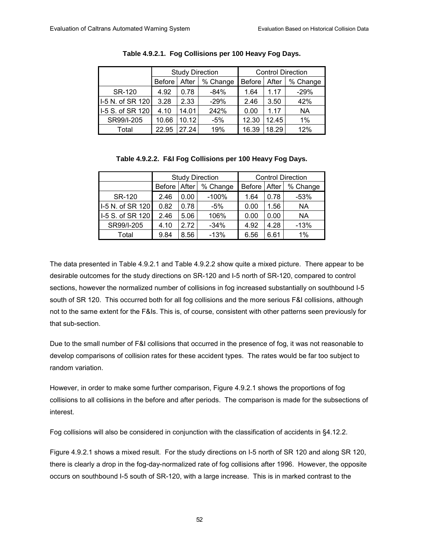|                  | <b>Study Direction</b> |       |          | <b>Control Direction</b> |       |           |
|------------------|------------------------|-------|----------|--------------------------|-------|-----------|
|                  | <b>Before</b>          | After | % Change | <b>Before</b>            | After | % Change  |
| <b>SR-120</b>    | 4.92                   | 0.78  | $-84%$   | 1.64                     | 1.17  | $-29%$    |
| I-5 N. of SR 120 | 3.28                   | 2.33  | $-29%$   | 2.46                     | 3.50  | 42%       |
| 1-5 S. of SR 120 | 4.10                   | 14.01 | 242%     | 0.00                     | 1.17  | <b>NA</b> |
| SR99/I-205       | 10.66                  | 10.12 | $-5%$    | 12.30                    | 12.45 | 1%        |
| Total            | 22.95                  | 27.24 | 19%      | 16.39                    | 18.29 | 12%       |

| Table 4.9.2.1. Fog Collisions per 100 Heavy Fog Days. |  |
|-------------------------------------------------------|--|
|                                                       |  |

**Table 4.9.2.2. F&I Fog Collisions per 100 Heavy Fog Days.** 

|                  |                                    |      | <b>Study Direction</b> | <b>Control Direction</b> |       |          |
|------------------|------------------------------------|------|------------------------|--------------------------|-------|----------|
|                  | % Change<br>After<br><b>Before</b> |      |                        | <b>Before</b>            | After | % Change |
| SR-120           | 2.46                               | 0.00 | $-100%$                | 1.64                     | 0.78  | $-53%$   |
| I-5 N. of SR 120 | 0.82                               | 0.78 | -5%                    | 0.00                     | 1.56  | NА       |
| I-5 S. of SR 120 | 2.46                               | 5.06 | 106%                   | 0.00                     | 0.00  | NA       |
| SR99/I-205       | 4.10                               | 2.72 | $-34%$                 | 4.92                     | 4.28  | $-13%$   |
| Total            | 9.84                               | 8.56 | $-13%$                 | 6.56                     | 6.61  | 1%       |

The data presented in Table 4.9.2.1 and Table 4.9.2.2 show quite a mixed picture. There appear to be desirable outcomes for the study directions on SR-120 and I-5 north of SR-120, compared to control sections, however the normalized number of collisions in fog increased substantially on southbound I-5 south of SR 120. This occurred both for all fog collisions and the more serious F&I collisions, although not to the same extent for the F&Is. This is, of course, consistent with other patterns seen previously for that sub-section.

Due to the small number of F&I collisions that occurred in the presence of fog, it was not reasonable to develop comparisons of collision rates for these accident types. The rates would be far too subject to random variation.

However, in order to make some further comparison, Figure 4.9.2.1 shows the proportions of fog collisions to all collisions in the before and after periods. The comparison is made for the subsections of interest.

Fog collisions will also be considered in conjunction with the classification of accidents in §4.12.2.

Figure 4.9.2.1 shows a mixed result. For the study directions on I-5 north of SR 120 and along SR 120, there is clearly a drop in the fog-day-normalized rate of fog collisions after 1996. However, the opposite occurs on southbound I-5 south of SR-120, with a large increase. This is in marked contrast to the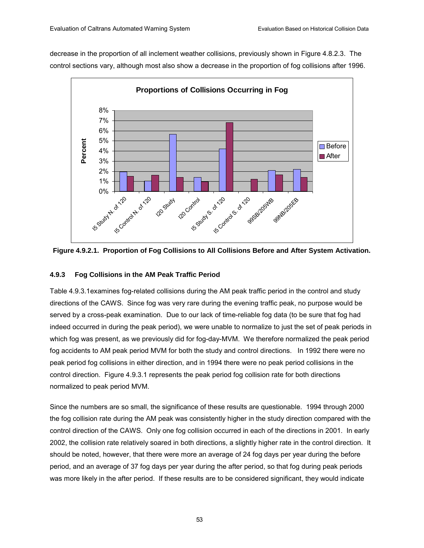decrease in the proportion of all inclement weather collisions, previously shown in Figure 4.8.2.3. The control sections vary, although most also show a decrease in the proportion of fog collisions after 1996.





### **4.9.3 Fog Collisions in the AM Peak Traffic Period**

Table 4.9.3.1examines fog-related collisions during the AM peak traffic period in the control and study directions of the CAWS. Since fog was very rare during the evening traffic peak, no purpose would be served by a cross-peak examination. Due to our lack of time-reliable fog data (to be sure that fog had indeed occurred in during the peak period), we were unable to normalize to just the set of peak periods in which fog was present, as we previously did for fog-day-MVM. We therefore normalized the peak period fog accidents to AM peak period MVM for both the study and control directions. In 1992 there were no peak period fog collisions in either direction, and in 1994 there were no peak period collisions in the control direction. Figure 4.9.3.1 represents the peak period fog collision rate for both directions normalized to peak period MVM.

Since the numbers are so small, the significance of these results are questionable. 1994 through 2000 the fog collision rate during the AM peak was consistently higher in the study direction compared with the control direction of the CAWS. Only one fog collision occurred in each of the directions in 2001. In early 2002, the collision rate relatively soared in both directions, a slightly higher rate in the control direction. It should be noted, however, that there were more an average of 24 fog days per year during the before period, and an average of 37 fog days per year during the after period, so that fog during peak periods was more likely in the after period. If these results are to be considered significant, they would indicate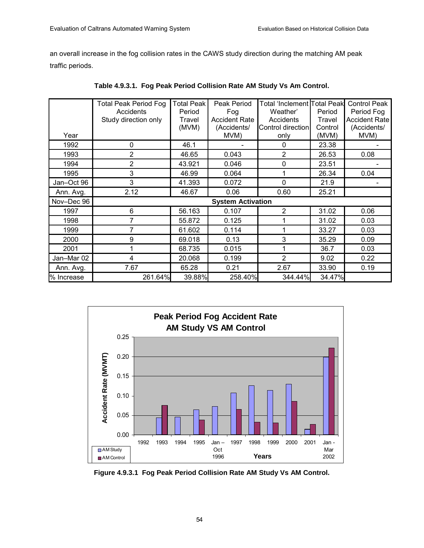an overall increase in the fog collision rates in the CAWS study direction during the matching AM peak traffic periods.

|            | <b>Total Peak Period Fog</b><br>Accidents<br>Study direction only | <b>Total Peak</b><br>Period<br>Travel | Peak Period<br>Fog<br><b>Accident Rate</b> | <b>Total 'Inclement Total Peak</b><br>Weather'<br>Accidents | Period<br>Travel | <b>Control Peak</b><br>Period Fog<br><b>Accident Rate</b> |
|------------|-------------------------------------------------------------------|---------------------------------------|--------------------------------------------|-------------------------------------------------------------|------------------|-----------------------------------------------------------|
|            |                                                                   | (MVM)                                 | (Accidents/                                | Control direction                                           | Control          | (Accidents/                                               |
| Year       |                                                                   |                                       | MVM)                                       | only                                                        | (MVM)            | MVM)                                                      |
| 1992       | 0                                                                 | 46.1                                  |                                            | 0                                                           | 23.38            |                                                           |
| 1993       | $\overline{2}$                                                    | 46.65                                 | 0.043                                      | 2                                                           | 26.53            | 0.08                                                      |
| 1994       | $\overline{2}$                                                    | 43.921                                | 0.046                                      | $\mathbf 0$                                                 | 23.51            |                                                           |
| 1995       | 3                                                                 | 46.99                                 | 0.064                                      | 1                                                           | 26.34            | 0.04                                                      |
| Jan-Oct 96 | 3                                                                 | 41.393                                | 0.072                                      | $\Omega$                                                    | 21.9             |                                                           |
| Ann. Avg.  | 2.12                                                              | 46.67                                 | 0.06                                       | 0.60                                                        | 25.21            |                                                           |
| Nov-Dec 96 |                                                                   |                                       | <b>System Activation</b>                   |                                                             |                  |                                                           |
| 1997       | 6                                                                 | 56.163                                | 0.107                                      | 2                                                           | 31.02            | 0.06                                                      |
| 1998       | 7                                                                 | 55.872                                | 0.125                                      |                                                             | 31.02            | 0.03                                                      |
| 1999       | 7                                                                 | 61.602                                | 0.114                                      |                                                             | 33.27            | 0.03                                                      |
| 2000       | 9                                                                 | 69.018                                | 0.13                                       | 3                                                           | 35.29            | 0.09                                                      |
| 2001       | 1                                                                 | 68.735                                | 0.015                                      |                                                             | 36.7             | 0.03                                                      |
| Jan-Mar 02 | 4                                                                 | 20.068                                | 0.199                                      | $\overline{2}$                                              | 9.02             | 0.22                                                      |
| Ann. Avg.  | 7.67                                                              | 65.28                                 | 0.21                                       | 2.67                                                        | 33.90            | 0.19                                                      |
| % Increase | 261.64%                                                           | 39.88%                                | 258.40%                                    | 344.44%                                                     | 34.47%           |                                                           |

**Table 4.9.3.1. Fog Peak Period Collision Rate AM Study Vs Am Control.** 



**Figure 4.9.3.1 Fog Peak Period Collision Rate AM Study Vs AM Control.**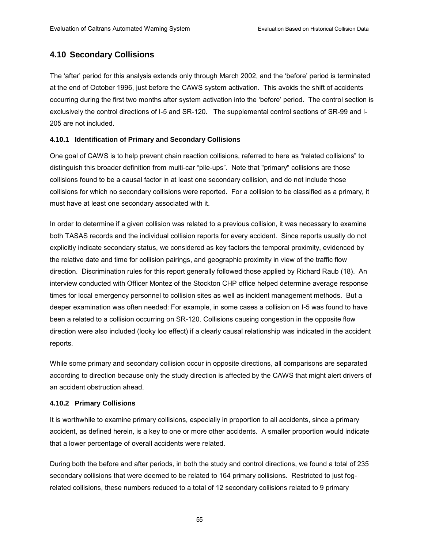## **4.10 Secondary Collisions**

The 'after' period for this analysis extends only through March 2002, and the 'before' period is terminated at the end of October 1996, just before the CAWS system activation. This avoids the shift of accidents occurring during the first two months after system activation into the 'before' period. The control section is exclusively the control directions of I-5 and SR-120. The supplemental control sections of SR-99 and I-205 are not included.

### **4.10.1 Identification of Primary and Secondary Collisions**

One goal of CAWS is to help prevent chain reaction collisions, referred to here as "related collisions" to distinguish this broader definition from multi-car "pile-ups". Note that "primary" collisions are those collisions found to be a causal factor in at least one secondary collision, and do not include those collisions for which no secondary collisions were reported. For a collision to be classified as a primary, it must have at least one secondary associated with it.

In order to determine if a given collision was related to a previous collision, it was necessary to examine both TASAS records and the individual collision reports for every accident. Since reports usually do not explicitly indicate secondary status, we considered as key factors the temporal proximity, evidenced by the relative date and time for collision pairings, and geographic proximity in view of the traffic flow direction. Discrimination rules for this report generally followed those applied by Richard Raub (18). An interview conducted with Officer Montez of the Stockton CHP office helped determine average response times for local emergency personnel to collision sites as well as incident management methods. But a deeper examination was often needed: For example, in some cases a collision on I-5 was found to have been a related to a collision occurring on SR-120. Collisions causing congestion in the opposite flow direction were also included (looky loo effect) if a clearly causal relationship was indicated in the accident reports.

While some primary and secondary collision occur in opposite directions, all comparisons are separated according to direction because only the study direction is affected by the CAWS that might alert drivers of an accident obstruction ahead.

#### **4.10.2 Primary Collisions**

It is worthwhile to examine primary collisions, especially in proportion to all accidents, since a primary accident, as defined herein, is a key to one or more other accidents. A smaller proportion would indicate that a lower percentage of overall accidents were related.

During both the before and after periods, in both the study and control directions, we found a total of 235 secondary collisions that were deemed to be related to 164 primary collisions. Restricted to just fogrelated collisions, these numbers reduced to a total of 12 secondary collisions related to 9 primary

55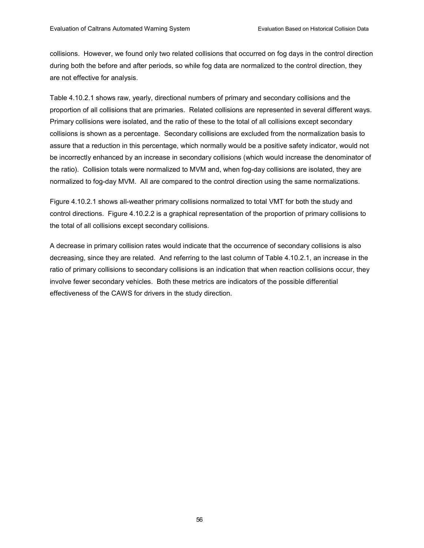collisions. However, we found only two related collisions that occurred on fog days in the control direction during both the before and after periods, so while fog data are normalized to the control direction, they are not effective for analysis.

Table 4.10.2.1 shows raw, yearly, directional numbers of primary and secondary collisions and the proportion of all collisions that are primaries. Related collisions are represented in several different ways. Primary collisions were isolated, and the ratio of these to the total of all collisions except secondary collisions is shown as a percentage. Secondary collisions are excluded from the normalization basis to assure that a reduction in this percentage, which normally would be a positive safety indicator, would not be incorrectly enhanced by an increase in secondary collisions (which would increase the denominator of the ratio). Collision totals were normalized to MVM and, when fog-day collisions are isolated, they are normalized to fog-day MVM. All are compared to the control direction using the same normalizations.

Figure 4.10.2.1 shows all-weather primary collisions normalized to total VMT for both the study and control directions. Figure 4.10.2.2 is a graphical representation of the proportion of primary collisions to the total of all collisions except secondary collisions.

A decrease in primary collision rates would indicate that the occurrence of secondary collisions is also decreasing, since they are related. And referring to the last column of Table 4.10.2.1, an increase in the ratio of primary collisions to secondary collisions is an indication that when reaction collisions occur, they involve fewer secondary vehicles. Both these metrics are indicators of the possible differential effectiveness of the CAWS for drivers in the study direction.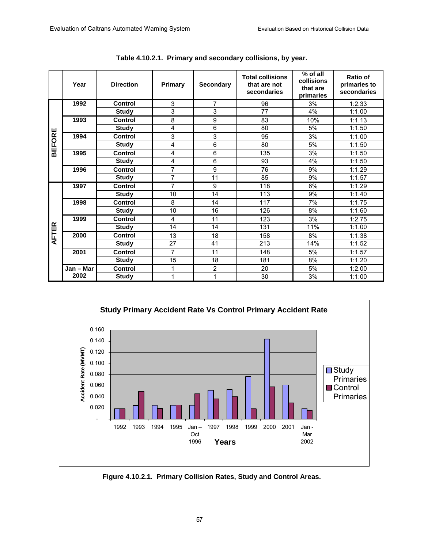|              | Year      | <b>Direction</b> | <b>Primary</b>  | <b>Secondary</b> | <b>Total collisions</b><br>that are not<br>secondaries | % of all<br>collisions<br>that are<br>primaries | <b>Ratio of</b><br>primaries to<br>secondaries |
|--------------|-----------|------------------|-----------------|------------------|--------------------------------------------------------|-------------------------------------------------|------------------------------------------------|
|              | 1992      | <b>Control</b>   | 3               | 7                | 96                                                     | 3%                                              | 1:2.33                                         |
|              |           | <b>Study</b>     | 3               | 3                | 77                                                     | 4%                                              | 1:1.00                                         |
|              | 1993      | <b>Control</b>   | 8               | 9                | 83                                                     | 10%                                             | 1:1.13                                         |
| Щ            |           | <b>Study</b>     | 4               | $\overline{6}$   | 80                                                     | 5%                                              | 1:1.50                                         |
|              | 1994      | <b>Control</b>   | 3               | 3                | 95                                                     | 3%                                              | 1:1.00                                         |
| <b>BEFOR</b> |           | <b>Study</b>     | $\overline{4}$  | 6                | 80                                                     | 5%                                              | 1:1.50                                         |
|              | 1995      | <b>Control</b>   | $\overline{4}$  | 6                | 135                                                    | 3%                                              | 1:1.50                                         |
|              |           | <b>Study</b>     | $\overline{4}$  | 6                | 93                                                     | 4%                                              | 1:1.50                                         |
|              | 1996      | <b>Control</b>   | 7               | 9                | 76                                                     | 9%                                              | 1:1.29                                         |
|              |           | <b>Study</b>     | $\overline{7}$  | $\overline{11}$  | 85                                                     | 9%                                              | 1:1.57                                         |
|              | 1997      | <b>Control</b>   | $\overline{7}$  | $\overline{9}$   | 118                                                    | 6%                                              | 1:1.29                                         |
|              |           | <b>Study</b>     | 10              | 14               | 113                                                    | 9%                                              | 1:1.40                                         |
|              | 1998      | <b>Control</b>   | 8               | 14               | 117                                                    | 7%                                              | 1:1.75                                         |
|              |           | <b>Study</b>     | $\overline{10}$ | 16               | 126                                                    | 8%                                              | 1:1.60                                         |
|              | 1999      | <b>Control</b>   | 4               | 11               | 123                                                    | 3%                                              | 1:2.75                                         |
| <b>FTER</b>  |           | <b>Study</b>     | 14              | 14               | 131                                                    | 11%                                             | 1:1.00                                         |
|              | 2000      | <b>Control</b>   | 13              | 18               | 158                                                    | 8%                                              | 1:1.38                                         |
| ₹            |           | <b>Study</b>     | 27              | 41               | 213                                                    | 14%                                             | 1:1.52                                         |
|              | 2001      | Control          | 7               | 11               | 148                                                    | 5%                                              | 1:1.57                                         |
|              |           | <b>Study</b>     | 15              | 18               | 181                                                    | 8%                                              | 1:1.20                                         |
|              | Jan - Mar | <b>Control</b>   | 1               | $\overline{2}$   | 20                                                     | 5%                                              | 1:2.00                                         |
|              | 2002      | <b>Study</b>     | 1               | 1                | 30                                                     | 3%                                              | 1:1:00                                         |

**Table 4.10.2.1. Primary and secondary collisions, by year.** 



**Figure 4.10.2.1. Primary Collision Rates, Study and Control Areas.**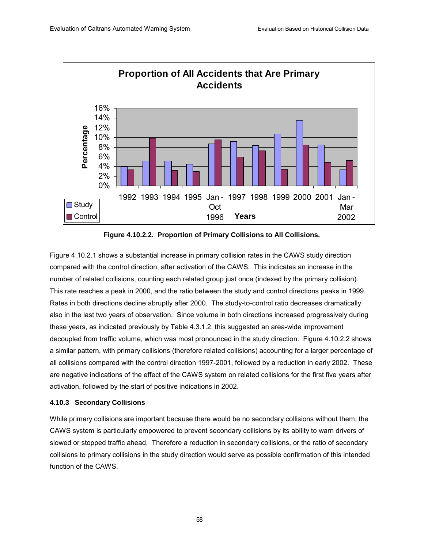

**Figure 4.10.2.2. Proportion of Primary Collisions to All Collisions.** 

Figure 4.10.2.1 shows a substantial increase in primary collision rates in the CAWS study direction compared with the control direction, after activation of the CAWS. This indicates an increase in the number of related collisions, counting each related group just once (indexed by the primary collision). This rate reaches a peak in 2000, and the ratio between the study and control directions peaks in 1999. Rates in both directions decline abruptly after 2000. The study-to-control ratio decreases dramatically also in the last two years of observation. Since volume in both directions increased progressively during these years, as indicated previously by Table 4.3.1.2, this suggested an area-wide improvement decoupled from traffic volume, which was most pronounced in the study direction. Figure 4.10.2.2 shows a similar pattern, with primary collisions (therefore related collisions) accounting for a larger percentage of all collisions compared with the control direction 1997-2001, followed by a reduction in early 2002. These are negative indications of the effect of the CAWS system on related collisions for the first five years after activation, followed by the start of positive indications in 2002.

#### **4.10.3 Secondary Collisions**

While primary collisions are important because there would be no secondary collisions without them, the CAWS system is particularly empowered to prevent secondary collisions by its ability to warn drivers of slowed or stopped traffic ahead. Therefore a reduction in secondary collisions, or the ratio of secondary collisions to primary collisions in the study direction would serve as possible confirmation of this intended function of the CAWS.

58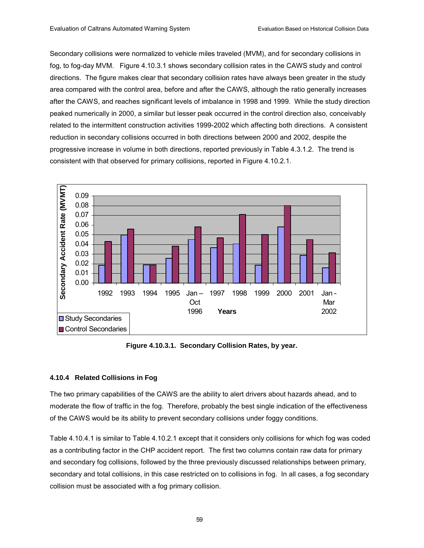Secondary collisions were normalized to vehicle miles traveled (MVM), and for secondary collisions in fog, to fog-day MVM. Figure 4.10.3.1 shows secondary collision rates in the CAWS study and control directions. The figure makes clear that secondary collision rates have always been greater in the study area compared with the control area, before and after the CAWS, although the ratio generally increases after the CAWS, and reaches significant levels of imbalance in 1998 and 1999. While the study direction peaked numerically in 2000, a similar but lesser peak occurred in the control direction also, conceivably related to the intermittent construction activities 1999-2002 which affecting both directions. A consistent reduction in secondary collisions occurred in both directions between 2000 and 2002, despite the progressive increase in volume in both directions, reported previously in Table 4.3.1.2. The trend is consistent with that observed for primary collisions, reported in Figure 4.10.2.1.



**Figure 4.10.3.1. Secondary Collision Rates, by year.** 

#### **4.10.4 Related Collisions in Fog**

The two primary capabilities of the CAWS are the ability to alert drivers about hazards ahead, and to moderate the flow of traffic in the fog. Therefore, probably the best single indication of the effectiveness of the CAWS would be its ability to prevent secondary collisions under foggy conditions.

Table 4.10.4.1 is similar to Table 4.10.2.1 except that it considers only collisions for which fog was coded as a contributing factor in the CHP accident report. The first two columns contain raw data for primary and secondary fog collisions, followed by the three previously discussed relationships between primary, secondary and total collisions, in this case restricted on to collisions in fog. In all cases, a fog secondary collision must be associated with a fog primary collision.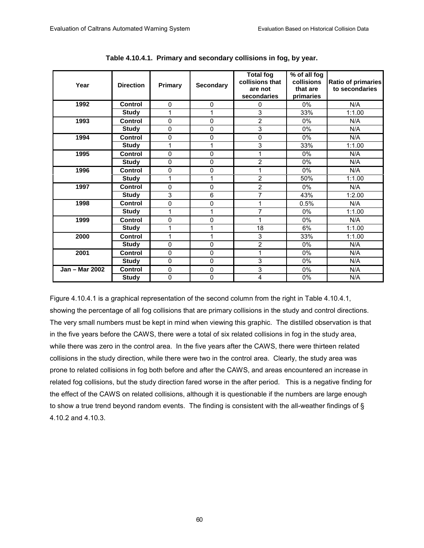| Year             | <b>Direction</b> | Primary      | <b>Secondary</b> | <b>Total fog</b><br>collisions that<br>are not<br>secondaries | % of all fog<br>collisions<br>that are<br>primaries | <b>Ratio of primaries</b><br>to secondaries |
|------------------|------------------|--------------|------------------|---------------------------------------------------------------|-----------------------------------------------------|---------------------------------------------|
| 1992             | <b>Control</b>   | $\Omega$     | $\mathbf 0$      | 0                                                             | $0\%$                                               | N/A                                         |
|                  | <b>Study</b>     | 1            | 1                | 3                                                             | 33%                                                 | 1:1.00                                      |
| 1993             | Control          | 0            | 0                | $\overline{2}$                                                | 0%                                                  | N/A                                         |
|                  | <b>Study</b>     | 0            | 0                | 3                                                             | $0\%$                                               | N/A                                         |
| 1994             | Control          | 0            | 0                | 0                                                             | 0%                                                  | N/A                                         |
|                  | <b>Study</b>     | 1            | 1                | 3                                                             | 33%                                                 | 1:1.00                                      |
| 1995             | <b>Control</b>   | $\mathbf{0}$ | 0                |                                                               | $0\%$                                               | N/A                                         |
|                  | <b>Study</b>     | $\mathbf 0$  | 0                | $\overline{2}$                                                | 0%                                                  | N/A                                         |
| 1996             | Control          | 0            | 0                |                                                               | $0\%$                                               | N/A                                         |
|                  | <b>Study</b>     | 1            | 1                | $\overline{2}$                                                | 50%                                                 | 1:1.00                                      |
| 1997             | <b>Control</b>   | 0            | 0                | 2                                                             | 0%                                                  | N/A                                         |
|                  | <b>Study</b>     | 3            | $\overline{6}$   | $\overline{7}$                                                | 43%                                                 | 1:2.00                                      |
| 1998             | <b>Control</b>   | 0            | 0                |                                                               | 0.5%                                                | N/A                                         |
|                  | <b>Study</b>     | 1            | 1                | 7                                                             | 0%                                                  | 1:1.00                                      |
| 1999             | Control          | $\mathbf{0}$ | 0                |                                                               | 0%                                                  | N/A                                         |
|                  | <b>Study</b>     | 1            | 1                | 18                                                            | 6%                                                  | 1:1.00                                      |
| 2000             | <b>Control</b>   | 1            | 1                | 3                                                             | 33%                                                 | 1:1.00                                      |
|                  | <b>Study</b>     | $\mathbf{0}$ | 0                | $\overline{2}$                                                | 0%                                                  | N/A                                         |
| 2001             | <b>Control</b>   | 0            | 0                |                                                               | 0%                                                  | N/A                                         |
|                  | <b>Study</b>     | 0            | 0                | 3                                                             | $0\%$                                               | N/A                                         |
| Jan - Mar $2002$ | <b>Control</b>   | $\mathbf 0$  | $\mathbf 0$      | 3                                                             | 0%                                                  | N/A                                         |
|                  | <b>Study</b>     | 0            | 0                | 4                                                             | 0%                                                  | N/A                                         |

**Table 4.10.4.1. Primary and secondary collisions in fog, by year.** 

Figure 4.10.4.1 is a graphical representation of the second column from the right in Table 4.10.4.1, showing the percentage of all fog collisions that are primary collisions in the study and control directions. The very small numbers must be kept in mind when viewing this graphic. The distilled observation is that in the five years before the CAWS, there were a total of six related collisions in fog in the study area, while there was zero in the control area. In the five years after the CAWS, there were thirteen related collisions in the study direction, while there were two in the control area. Clearly, the study area was prone to related collisions in fog both before and after the CAWS, and areas encountered an increase in related fog collisions, but the study direction fared worse in the after period. This is a negative finding for the effect of the CAWS on related collisions, although it is questionable if the numbers are large enough to show a true trend beyond random events. The finding is consistent with the all-weather findings of § 4.10.2 and 4.10.3.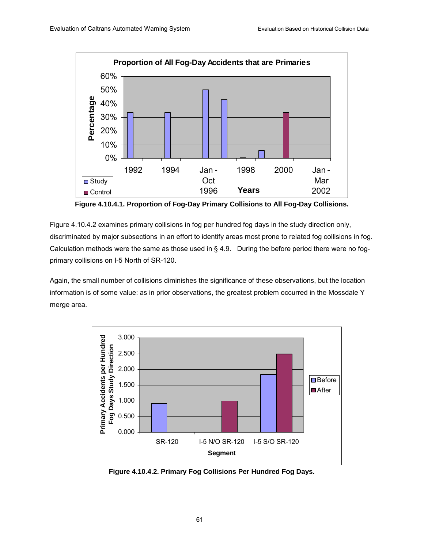

**Figure 4.10.4.1. Proportion of Fog-Day Primary Collisions to All Fog-Day Collisions.** 

Figure 4.10.4.2 examines primary collisions in fog per hundred fog days in the study direction only, discriminated by major subsections in an effort to identify areas most prone to related fog collisions in fog. Calculation methods were the same as those used in § 4.9. During the before period there were no fogprimary collisions on I-5 North of SR-120.

Again, the small number of collisions diminishes the significance of these observations, but the location information is of some value: as in prior observations, the greatest problem occurred in the Mossdale Y merge area.



**Figure 4.10.4.2. Primary Fog Collisions Per Hundred Fog Days.**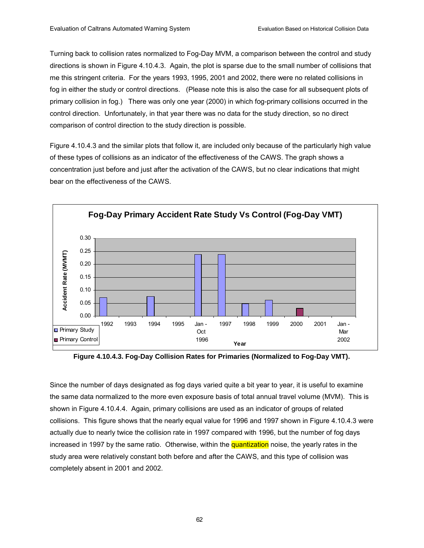Turning back to collision rates normalized to Fog-Day MVM, a comparison between the control and study directions is shown in Figure 4.10.4.3. Again, the plot is sparse due to the small number of collisions that me this stringent criteria. For the years 1993, 1995, 2001 and 2002, there were no related collisions in fog in either the study or control directions. (Please note this is also the case for all subsequent plots of primary collision in fog.) There was only one year (2000) in which fog-primary collisions occurred in the control direction. Unfortunately, in that year there was no data for the study direction, so no direct comparison of control direction to the study direction is possible.

Figure 4.10.4.3 and the similar plots that follow it, are included only because of the particularly high value of these types of collisions as an indicator of the effectiveness of the CAWS. The graph shows a concentration just before and just after the activation of the CAWS, but no clear indications that might bear on the effectiveness of the CAWS.



**Figure 4.10.4.3. Fog-Day Collision Rates for Primaries (Normalized to Fog-Day VMT).** 

Since the number of days designated as fog days varied quite a bit year to year, it is useful to examine the same data normalized to the more even exposure basis of total annual travel volume (MVM). This is shown in Figure 4.10.4.4. Again, primary collisions are used as an indicator of groups of related collisions. This figure shows that the nearly equal value for 1996 and 1997 shown in Figure 4.10.4.3 were actually due to nearly twice the collision rate in 1997 compared with 1996, but the number of fog days increased in 1997 by the same ratio. Otherwise, within the quantization noise, the yearly rates in the study area were relatively constant both before and after the CAWS, and this type of collision was completely absent in 2001 and 2002.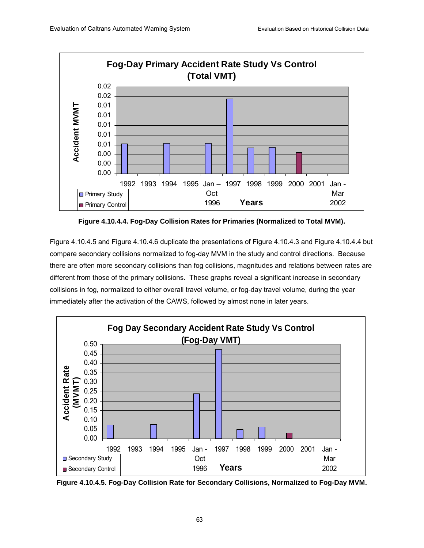

**Figure 4.10.4.4. Fog-Day Collision Rates for Primaries (Normalized to Total MVM).** 

Figure 4.10.4.5 and Figure 4.10.4.6 duplicate the presentations of Figure 4.10.4.3 and Figure 4.10.4.4 but compare secondary collisions normalized to fog-day MVM in the study and control directions. Because there are often more secondary collisions than fog collisions, magnitudes and relations between rates are different from those of the primary collisions. These graphs reveal a significant increase in secondary collisions in fog, normalized to either overall travel volume, or fog-day travel volume, during the year immediately after the activation of the CAWS, followed by almost none in later years.



**Figure 4.10.4.5. Fog-Day Collision Rate for Secondary Collisions, Normalized to Fog-Day MVM.**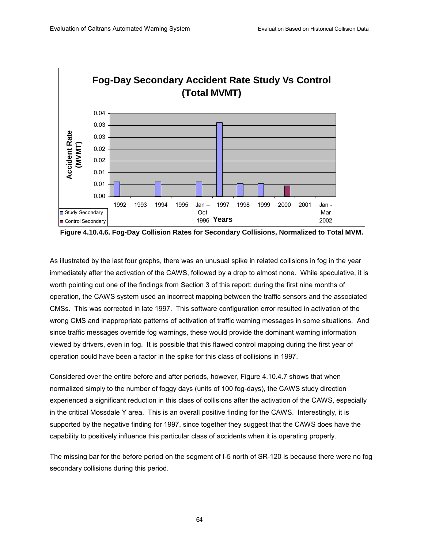

**Figure 4.10.4.6. Fog-Day Collision Rates for Secondary Collisions, Normalized to Total MVM.** 

As illustrated by the last four graphs, there was an unusual spike in related collisions in fog in the year immediately after the activation of the CAWS, followed by a drop to almost none. While speculative, it is worth pointing out one of the findings from Section 3 of this report: during the first nine months of operation, the CAWS system used an incorrect mapping between the traffic sensors and the associated CMSs. This was corrected in late 1997. This software configuration error resulted in activation of the wrong CMS and inappropriate patterns of activation of traffic warning messages in some situations. And since traffic messages override fog warnings, these would provide the dominant warning information viewed by drivers, even in fog. It is possible that this flawed control mapping during the first year of operation could have been a factor in the spike for this class of collisions in 1997.

Considered over the entire before and after periods, however, Figure 4.10.4.7 shows that when normalized simply to the number of foggy days (units of 100 fog-days), the CAWS study direction experienced a significant reduction in this class of collisions after the activation of the CAWS, especially in the critical Mossdale Y area. This is an overall positive finding for the CAWS. Interestingly, it is supported by the negative finding for 1997, since together they suggest that the CAWS does have the capability to positively influence this particular class of accidents when it is operating properly.

The missing bar for the before period on the segment of I-5 north of SR-120 is because there were no fog secondary collisions during this period.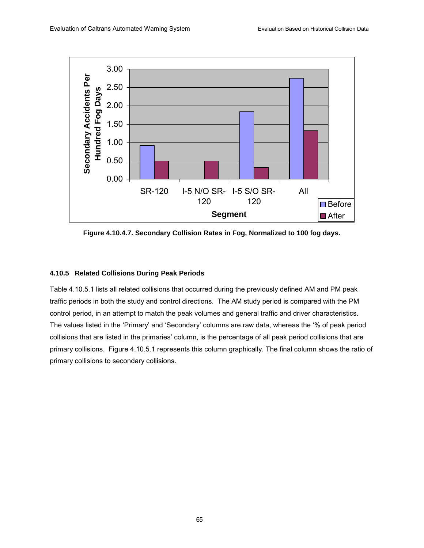

**Figure 4.10.4.7. Secondary Collision Rates in Fog, Normalized to 100 fog days.** 

### **4.10.5 Related Collisions During Peak Periods**

Table 4.10.5.1 lists all related collisions that occurred during the previously defined AM and PM peak traffic periods in both the study and control directions. The AM study period is compared with the PM control period, in an attempt to match the peak volumes and general traffic and driver characteristics. The values listed in the 'Primary' and 'Secondary' columns are raw data, whereas the '% of peak period collisions that are listed in the primaries' column, is the percentage of all peak period collisions that are primary collisions. Figure 4.10.5.1 represents this column graphically. The final column shows the ratio of primary collisions to secondary collisions.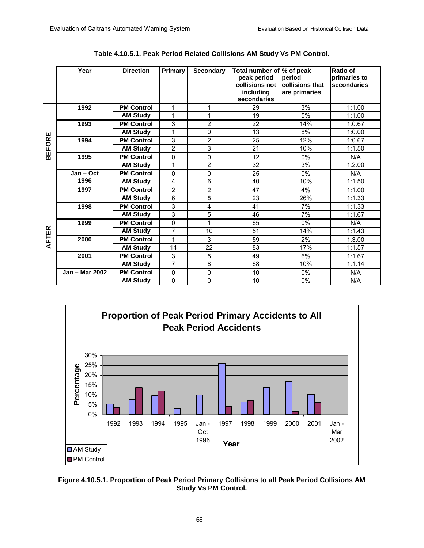|              | Year           | <b>Direction</b>  | Primary        | <b>Secondary</b> | Total number of % of peak<br>peak period<br>collisions not<br>including<br>secondaries | period<br>collisions that<br>are primaries | Ratio of<br>primaries to<br>secondaries |
|--------------|----------------|-------------------|----------------|------------------|----------------------------------------------------------------------------------------|--------------------------------------------|-----------------------------------------|
|              | 1992           | <b>PM Control</b> | 1              | 1                | 29                                                                                     | 3%                                         | 1:1.00                                  |
|              |                | <b>AM Study</b>   | 1              | 1                | 19                                                                                     | 5%                                         | 1:1.00                                  |
|              | 1993           | <b>PM Control</b> | 3              | 2                | 22                                                                                     | 14%                                        | 1:0.67                                  |
| ш            |                | <b>AM Study</b>   | 1              | $\Omega$         | 13                                                                                     | 8%                                         | 1:0.00                                  |
|              | 1994           | <b>PM Control</b> | 3              | 2                | 25                                                                                     | 12%                                        | 1:0.67                                  |
| <b>BEFOR</b> |                | <b>AM Study</b>   | 2              | 3                | 21                                                                                     | 10%                                        | 1:1.50                                  |
|              | 1995           | <b>PM Control</b> | $\Omega$       | $\Omega$         | 12                                                                                     | 0%                                         | N/A                                     |
|              |                | <b>AM Study</b>   | 1              | $\overline{2}$   | 32                                                                                     | 3%                                         | 1:2.00                                  |
|              | Jan - Oct      | <b>PM Control</b> | $\Omega$       | $\Omega$         | 25                                                                                     | $0\%$                                      | N/A                                     |
|              | 1996           | <b>AM Study</b>   | 4              | 6                | 40                                                                                     | 10%                                        | 1:1.50                                  |
|              | 1997           | <b>PM Control</b> | $\overline{2}$ | 2                | 47                                                                                     | 4%                                         | 1:1.00                                  |
|              |                | <b>AM Study</b>   | 6              | 8                | 23                                                                                     | 26%                                        | 1:1.33                                  |
|              | 1998           | <b>PM Control</b> | 3              | 4                | 41                                                                                     | 7%                                         | 1:1.33                                  |
|              |                | <b>AM Study</b>   | 3              | 5                | 46                                                                                     | 7%                                         | 1:1.67                                  |
|              | 1999           | <b>PM Control</b> | 0              | 1                | 65                                                                                     | $0\%$                                      | N/A                                     |
| <b>FTER</b>  |                | <b>AM Study</b>   | 7              | 10               | 51                                                                                     | 14%                                        | 1:1.43                                  |
|              | 2000           | <b>PM Control</b> | 1              | 3                | 59                                                                                     | 2%                                         | 1:3.00                                  |
| ⋖            |                | <b>AM Study</b>   | 14             | 22               | 83                                                                                     | 17%                                        | 1:1.57                                  |
|              | 2001           | <b>PM Control</b> | 3              | 5                | 49                                                                                     | 6%                                         | 1:1.67                                  |
|              |                | <b>AM Study</b>   | $\overline{7}$ | 8                | 68                                                                                     | 10%                                        | 1:1.14                                  |
|              | Jan - Mar 2002 | <b>PM Control</b> | 0              | $\Omega$         | 10                                                                                     | 0%                                         | N/A                                     |
|              |                | <b>AM Study</b>   | 0              | $\Omega$         | 10                                                                                     | 0%                                         | N/A                                     |

**Table 4.10.5.1. Peak Period Related Collisions AM Study Vs PM Control.** 



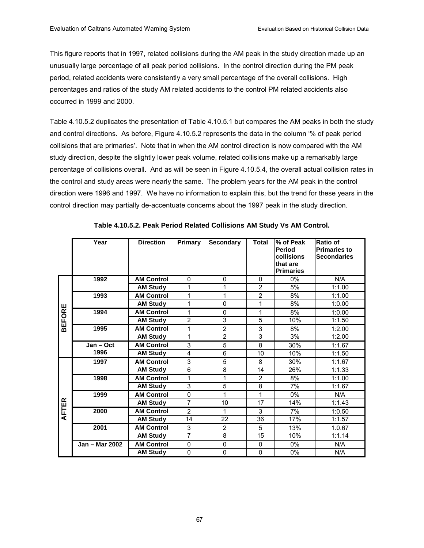This figure reports that in 1997, related collisions during the AM peak in the study direction made up an unusually large percentage of all peak period collisions. In the control direction during the PM peak period, related accidents were consistently a very small percentage of the overall collisions. High percentages and ratios of the study AM related accidents to the control PM related accidents also occurred in 1999 and 2000.

Table 4.10.5.2 duplicates the presentation of Table 4.10.5.1 but compares the AM peaks in both the study and control directions. As before, Figure 4.10.5.2 represents the data in the column '% of peak period collisions that are primaries'. Note that in when the AM control direction is now compared with the AM study direction, despite the slightly lower peak volume, related collisions make up a remarkably large percentage of collisions overall. And as will be seen in Figure 4.10.5.4, the overall actual collision rates in the control and study areas were nearly the same. The problem years for the AM peak in the control direction were 1996 and 1997. We have no information to explain this, but the trend for these years in the control direction may partially de-accentuate concerns about the 1997 peak in the study direction.

|               | Year           | <b>Direction</b>  | <b>Primary</b> | <b>Secondary</b> | <b>Total</b>   | % of Peak<br><b>Period</b><br>collisions<br>that are<br><b>Primaries</b> | <b>Ratio of</b><br><b>Primaries to</b><br><b>Secondaries</b> |
|---------------|----------------|-------------------|----------------|------------------|----------------|--------------------------------------------------------------------------|--------------------------------------------------------------|
|               | 1992           | <b>AM Control</b> | 0              | $\Omega$         | 0              | $0\%$                                                                    | N/A                                                          |
|               |                | <b>AM Study</b>   | 1              | 1                | $\overline{2}$ | 5%                                                                       | 1:1.00                                                       |
|               | 1993           | <b>AM Control</b> | 1              | 1                | $\overline{2}$ | 8%                                                                       | 1:1.00                                                       |
|               |                | <b>AM Study</b>   | 1              | 0                | 1              | 8%                                                                       | 1:0.00                                                       |
| <b>BEFORE</b> | 1994           | <b>AM Control</b> | 1              | 0                | 1              | 8%                                                                       | 1:0.00                                                       |
|               |                | <b>AM Study</b>   | $\overline{2}$ | 3                | 5              | 10%                                                                      | 1:1.50                                                       |
|               | 1995           | <b>AM Control</b> | 1              | $\overline{2}$   | 3              | 8%                                                                       | 1:2.00                                                       |
|               |                | <b>AM Study</b>   | 1              | $\overline{2}$   | 3              | 3%                                                                       | 1:2.00                                                       |
|               | Jan - Oct      | <b>AM Control</b> | 3              | 5                | 8              | 30%                                                                      | 1:1.67                                                       |
|               | 1996           | <b>AM Study</b>   | 4              | 6                | 10             | 10%                                                                      | 1:1.50                                                       |
|               | 1997           | <b>AM Control</b> | 3              | 5                | 8              | 30%                                                                      | 1:1.67                                                       |
|               |                | <b>AM Study</b>   | 6              | 8                | 14             | 26%                                                                      | 1:1.33                                                       |
|               | 1998           | <b>AM Control</b> | 1              | 1                | $\overline{2}$ | 8%                                                                       | 1:1.00                                                       |
|               |                | <b>AM Study</b>   | 3              | 5                | 8              | 7%                                                                       | 1:1.67                                                       |
|               | 1999           | <b>AM Control</b> | 0              | 1                | 1              | 0%                                                                       | N/A                                                          |
|               |                | <b>AM Study</b>   | $\overline{7}$ | 10               | 17             | 14%                                                                      | 1:1.43                                                       |
| <b>FTER</b>   | 2000           | <b>AM Control</b> | $\overline{2}$ | 1                | 3              | 7%                                                                       | 1:0.50                                                       |
| ⋖             |                | <b>AM Study</b>   | 14             | 22               | 36             | 17%                                                                      | 1:1.57                                                       |
|               | 2001           | <b>AM Control</b> | 3              | $\overline{2}$   | 5              | 13%                                                                      | 1.0.67                                                       |
|               |                | <b>AM Study</b>   | $\overline{7}$ | 8                | 15             | 10%                                                                      | 1:1.14                                                       |
|               | Jan - Mar 2002 | <b>AM Control</b> | $\Omega$       | 0                | $\Omega$       | 0%                                                                       | N/A                                                          |
|               |                | <b>AM Study</b>   | 0              | $\mathbf 0$      | $\mathbf{0}$   | 0%                                                                       | N/A                                                          |

**Table 4.10.5.2. Peak Period Related Collisions AM Study Vs AM Control.**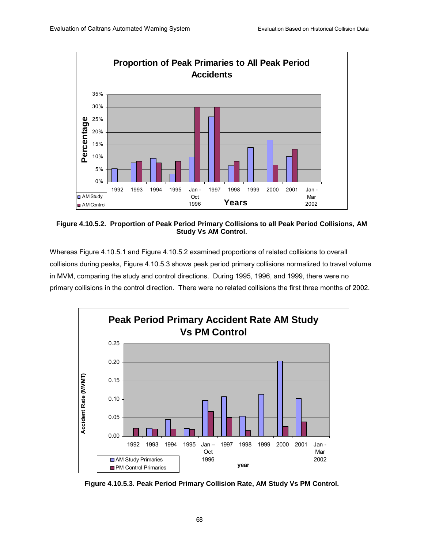

**Figure 4.10.5.2. Proportion of Peak Period Primary Collisions to all Peak Period Collisions, AM Study Vs AM Control.** 

Whereas Figure 4.10.5.1 and Figure 4.10.5.2 examined proportions of related collisions to overall collisions during peaks, Figure 4.10.5.3 shows peak period primary collisions normalized to travel volume in MVM, comparing the study and control directions. During 1995, 1996, and 1999, there were no primary collisions in the control direction. There were no related collisions the first three months of 2002.



**Figure 4.10.5.3. Peak Period Primary Collision Rate, AM Study Vs PM Control.**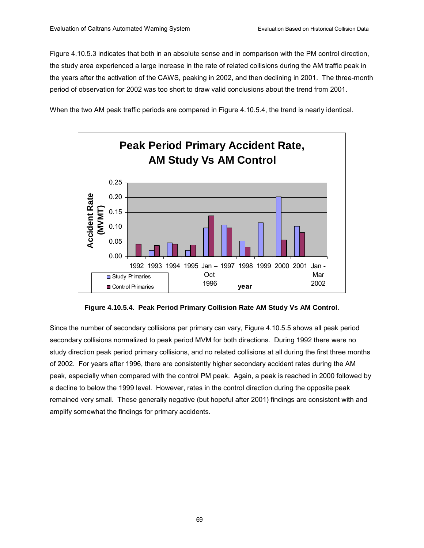Figure 4.10.5.3 indicates that both in an absolute sense and in comparison with the PM control direction, the study area experienced a large increase in the rate of related collisions during the AM traffic peak in the years after the activation of the CAWS, peaking in 2002, and then declining in 2001. The three-month period of observation for 2002 was too short to draw valid conclusions about the trend from 2001.

When the two AM peak traffic periods are compared in Figure 4.10.5.4, the trend is nearly identical.



**Figure 4.10.5.4. Peak Period Primary Collision Rate AM Study Vs AM Control.** 

Since the number of secondary collisions per primary can vary, Figure 4.10.5.5 shows all peak period secondary collisions normalized to peak period MVM for both directions. During 1992 there were no study direction peak period primary collisions, and no related collisions at all during the first three months of 2002. For years after 1996, there are consistently higher secondary accident rates during the AM peak, especially when compared with the control PM peak. Again, a peak is reached in 2000 followed by a decline to below the 1999 level. However, rates in the control direction during the opposite peak remained very small. These generally negative (but hopeful after 2001) findings are consistent with and amplify somewhat the findings for primary accidents.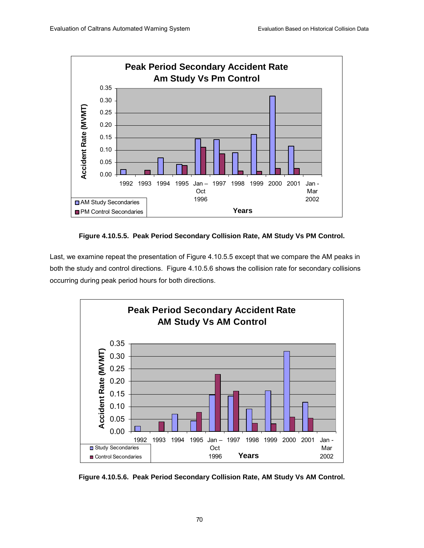

**Figure 4.10.5.5. Peak Period Secondary Collision Rate, AM Study Vs PM Control.** 

Last, we examine repeat the presentation of Figure 4.10.5.5 except that we compare the AM peaks in both the study and control directions. Figure 4.10.5.6 shows the collision rate for secondary collisions occurring during peak period hours for both directions.



**Figure 4.10.5.6. Peak Period Secondary Collision Rate, AM Study Vs AM Control.**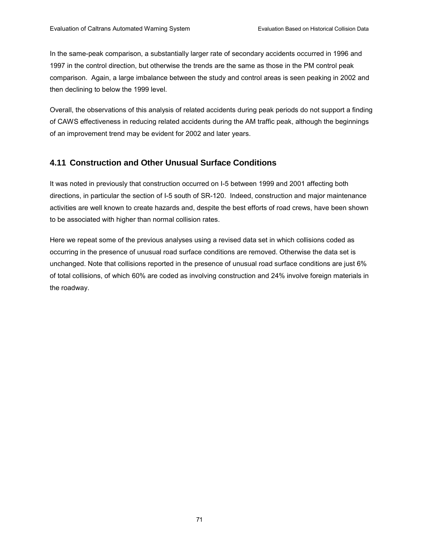In the same-peak comparison, a substantially larger rate of secondary accidents occurred in 1996 and 1997 in the control direction, but otherwise the trends are the same as those in the PM control peak comparison. Again, a large imbalance between the study and control areas is seen peaking in 2002 and then declining to below the 1999 level.

Overall, the observations of this analysis of related accidents during peak periods do not support a finding of CAWS effectiveness in reducing related accidents during the AM traffic peak, although the beginnings of an improvement trend may be evident for 2002 and later years.

# **4.11 Construction and Other Unusual Surface Conditions**

It was noted in previously that construction occurred on I-5 between 1999 and 2001 affecting both directions, in particular the section of I-5 south of SR-120. Indeed, construction and major maintenance activities are well known to create hazards and, despite the best efforts of road crews, have been shown to be associated with higher than normal collision rates.

Here we repeat some of the previous analyses using a revised data set in which collisions coded as occurring in the presence of unusual road surface conditions are removed. Otherwise the data set is unchanged. Note that collisions reported in the presence of unusual road surface conditions are just 6% of total collisions, of which 60% are coded as involving construction and 24% involve foreign materials in the roadway.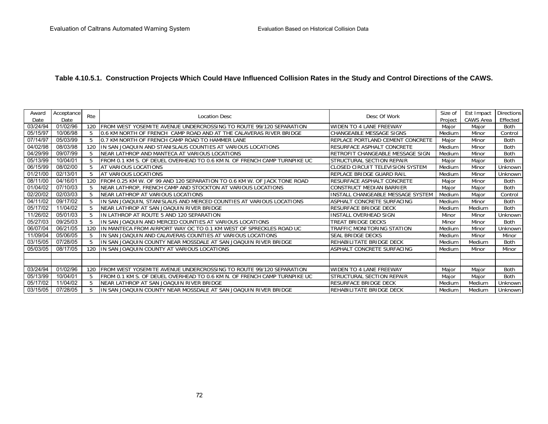## **Table 4.10.5.1. Construction Projects Which Could Have Influenced Collision Rates in the Study and Control Directions of the CAWS.**

| Award    | Acceptance |     |                                                                          |                                   | Size of | Est Impact | <b>Directions</b> |
|----------|------------|-----|--------------------------------------------------------------------------|-----------------------------------|---------|------------|-------------------|
| Date     | Date       | Rte | <b>Location Desc</b>                                                     | Desc Of Work                      | Project | CAWS Area  | Effected          |
| 03/24/94 | 01/02/96   | 120 | FROM WEST YOSEMITE AVENUE UNDERCROSSING TO ROUTE 99/120 SEPARATION       | WIDEN TO 4 LANE FREEWAY           | Major   | Major      | <b>Both</b>       |
| 05/15/97 | 10/06/98   | 5   | 0.6 KM NORTH OF FRENCH CAMP ROAD AND AT THE CALAVERAS RIVER BRIDGE       | CHANGEABLE MESSAGE SIGNS          | Medium  | Minor      | Control           |
| 07/14/97 | 05/03/99   | 5.  | 0.7 KM NORTH OF FRENCH CAMP ROAD TO HAMMER LANE                          | REPLACE PORTLAND CEMENT CONCRETE  | Major   | Minor      | <b>Both</b>       |
| 04/02/98 | 08/03/98   | 120 | IIN SAN JOAQUIN AND STANISLAUS COUNTIES AT VARIOUS LOCATIONS             | RESURFACE ASPHALT CONCRETE        | Medium  | Minor      | Both              |
| 04/29/99 | 09/07/99   | 5   | NEAR LATHROP AND MANTECA AT VARIOUS LOCATIONS                            | RETROFIT CHANGEABLE MESSAGE SIGN  | Medium  | Minor      | <b>Both</b>       |
| 05/13/99 | 10/04/01   |     | FROM 0.1 KM S. OF DEUEL OVERHEAD TO 0.6 KM N. OF FRENCH CAMP TURNPIKE UC | STRUCTURAL SECTION REPAIR         | Major   | Major      | Both              |
| 06/15/99 | 08/02/00   |     | AT VARIOUS LOCATIONS                                                     | CLOSED CIRCUIT TELEVISION SYSTEM  | Medium  | Minor      | Unknown           |
| 01/21/00 | 02/13/01   | 5   | AT VARIOUS LOCATIONS                                                     | REPLACE BRIDGE GUARD RAIL         | Medium  | Minor      | Unknown           |
| 08/11/00 | 04/16/01   | 120 | FROM 0.25 KM W. OF 99 AND 120 SEPARATION TO 0.6 KM W. OF JACK TONE ROAD  | RESURFACE ASPHALT CONCRETE        | Major   | Minor      | Both              |
| 01/04/02 | 07/10/03   | 5   | NEAR LATHROP, FRENCH CAMP AND STOCKTON AT VARIOUS LOCATIONS              | CONSTRUCT MEDIAN BARRIER          | Major   | Major      | Both              |
| 02/20/02 | 02/03/03   |     | NEAR LATHROP AT VARIOUS LOCATIONS                                        | INSTALL CHANGEABLE MESSAGE SYSTEM | Medium  | Major      | Control           |
| 04/11/02 | 09/17/02   |     | IN SAN JOAQUIN, STANISLAUS AND MERCED COUNTIES AT VARIOUS LOCATIONS      | ASPHALT CONCRETE SURFACING        | Medium  | Minor      | Both              |
| 05/17/02 | 11/04/02   | 5   | NEAR LATHROP AT SAN JOAQUIN RIVER BRIDGE                                 | RESURFACE BRIDGE DECK             | Medium  | Medium     | Both              |
| 11/26/02 | 05/01/03   |     | IN LATHROP AT ROUTE 5 AND 120 SEPARATION                                 | <b>INSTALL OVERHEAD SIGN</b>      | Minor   | Minor      | Unknown           |
| 05/27/03 | 09/25/03   |     | IN SAN JOAQUIN AND MERCED COUNTIES AT VARIOUS LOCATIONS                  | TREAT BRIDGE DECKS                | Minor   | Minor      | Both              |
| 06/07/04 | 06/21/05   | 120 | IN MANTECA FROM AIRPORT WAY OC TO 0.1 KM WEST OF SPRECKLES ROAD UC       | TRAFFIC MONITORING STATION        | Medium  | Minor      | Unknown           |
| 11/09/04 | 05/06/05   | 5   | IN SAN JOAQUIN AND CALAVERAS COUNTIES AT VARIOUS LOCATIONS               | SEAL BRIDGE DECKS                 | Medium  | Minor      | Minor             |
| 03/15/05 | 07/28/05   | 5   | IN SAN JOAQUIN COUNTY NEAR MOSSDALE AT SAN JOAQUIN RIVER BRIDGE          | REHABILITATE BRIDGE DECK          | Medium  | Medium     | Both              |
| 05/03/05 | 08/17/05   | 120 | IN SAN JOAQUIN COUNTY AT VARIOUS LOCATIONS                               | ASPHALT CONCRETE SURFACING        | Medium  | Minor      | Minor             |
|          |            |     |                                                                          |                                   |         |            |                   |
|          |            |     |                                                                          |                                   |         |            |                   |
| 03/24/94 | 01/02/96   | 120 | FROM WEST YOSEMITE AVENUE UNDERCROSSING TO ROUTE 99/120 SEPARATION       | WIDEN TO 4 LANE FREEWAY           | Major   | Major      | <b>Both</b>       |
| 05/13/99 | 10/04/01   | 5   | FROM 0.1 KM S. OF DEUEL OVERHEAD TO 0.6 KM N. OF FRENCH CAMP TURNPIKE UC | STRUCTURAL SECTION REPAIR         | Major   | Major      | Both              |
| 05/17/02 | 11/04/02   | 5   | NEAR LATHROP AT SAN JOAOUIN RIVER BRIDGE                                 | RESURFACE BRIDGE DECK             | Medium  | Medium     | Unknown           |
| 03/15/05 | 07/28/05   |     | IIN SAN JOAQUIN COUNTY NEAR MOSSDALE AT SAN JOAQUIN RIVER BRIDGE         | REHABILITATE BRIDGE DECK          | Medium  | Medium     | Unknown           |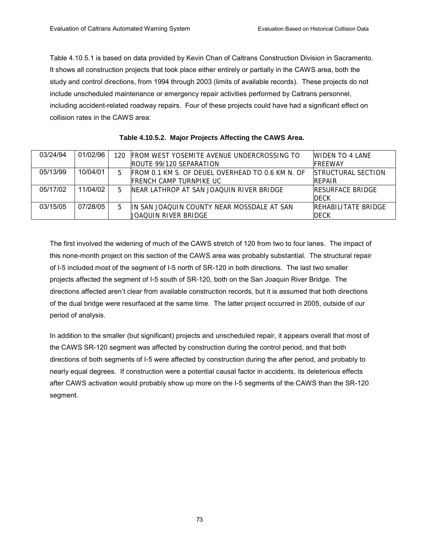Table 4.10.5.1 is based on data provided by Kevin Chan of Caltrans Construction Division in Sacramento. It shows all construction projects that took place either entirely or partially in the CAWS area, both the study and control directions, from 1994 through 2003 (limits of available records). These projects do not include unscheduled maintenance or emergency repair activities performed by Caltrans personnel, including accident-related roadway repairs. Four of these projects could have had a significant effect on collision rates in the CAWS area:

| 03/24/94 | 01/02/96 | 120. | <b>IFROM WEST YOSEMITE AVENUE UNDERCROSSING TO</b> | WIDEN TO 4 LANE            |
|----------|----------|------|----------------------------------------------------|----------------------------|
|          |          |      | <b>IROUTE 99/120 SEPARATION</b>                    | <b>IFRFFWAY</b>            |
| 05/13/99 | 10/04/01 | 5    | FROM 0.1 KM S. OF DEUEL OVERHEAD TO 0.6 KM N. OF   | <b>ISTRUCTURAL SECTION</b> |
|          |          |      | IFRENCH CAMP TURNPIKE UC                           | <b>RFPAIR</b>              |
| 05/17/02 | 11/04/02 | 5    | INFAR LATHROP AT SAN JOAOUIN RIVER BRIDGE          | <b>IRESURFACE BRIDGE</b>   |
|          |          |      |                                                    | <b>DECK</b>                |
| 03/15/05 | 07/28/05 | 5    | IIN SAN JOAQUIN COUNTY NEAR MOSSDALE AT SAN        | <b>REHABILITATE BRIDGE</b> |
|          |          |      | UOAOUIN RIVER BRIDGE                               | <b>DECK</b>                |

**Table 4.10.5.2. Major Projects Affecting the CAWS Area.** 

The first involved the widening of much of the CAWS stretch of 120 from two to four lanes. The impact of this none-month project on this section of the CAWS area was probably substantial. The structural repair of I-5 included most of the segment of I-5 north of SR-120 in both directions. The last two smaller projects affected the segment of I-5 south of SR-120, both on the San Joaquin River Bridge. The directions affected arenít clear from available construction records, but it is assumed that both directions of the dual bridge were resurfaced at the same time. The latter project occurred in 2005, outside of our period of analysis.

In addition to the smaller (but significant) projects and unscheduled repair, it appears overall that most of the CAWS SR-120 segment was affected by construction during the control period, and that both directions of both segments of I-5 were affected by construction during the after period, and probably to nearly equal degrees. If construction were a potential causal factor in accidents, its deleterious effects after CAWS activation would probably show up more on the I-5 segments of the CAWS than the SR-120 segment.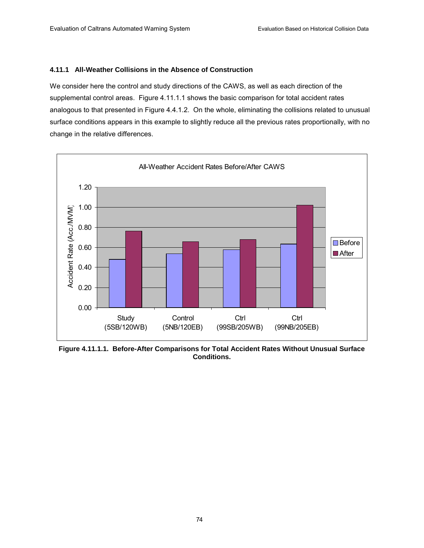#### **4.11.1 All-Weather Collisions in the Absence of Construction**

We consider here the control and study directions of the CAWS, as well as each direction of the supplemental control areas. Figure 4.11.1.1 shows the basic comparison for total accident rates analogous to that presented in Figure 4.4.1.2. On the whole, eliminating the collisions related to unusual surface conditions appears in this example to slightly reduce all the previous rates proportionally, with no change in the relative differences.



**Figure 4.11.1.1. Before-After Comparisons for Total Accident Rates Without Unusual Surface Conditions.**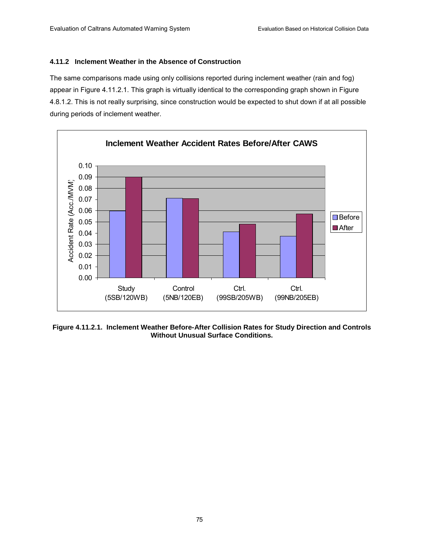#### **4.11.2 Inclement Weather in the Absence of Construction**

The same comparisons made using only collisions reported during inclement weather (rain and fog) appear in Figure 4.11.2.1. This graph is virtually identical to the corresponding graph shown in Figure 4.8.1.2. This is not really surprising, since construction would be expected to shut down if at all possible during periods of inclement weather.



**Figure 4.11.2.1. Inclement Weather Before-After Collision Rates for Study Direction and Controls Without Unusual Surface Conditions.**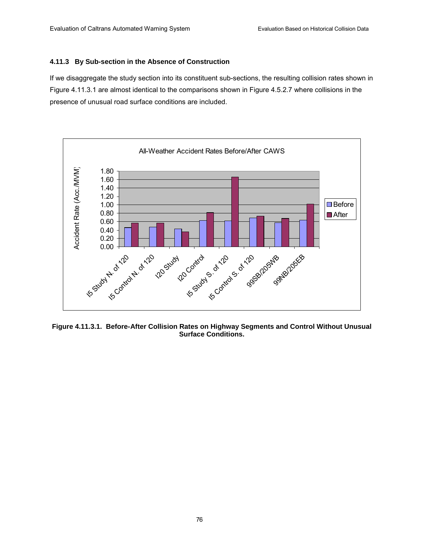#### **4.11.3 By Sub-section in the Absence of Construction**

If we disaggregate the study section into its constituent sub-sections, the resulting collision rates shown in Figure 4.11.3.1 are almost identical to the comparisons shown in Figure 4.5.2.7 where collisions in the presence of unusual road surface conditions are included.



**Figure 4.11.3.1. Before-After Collision Rates on Highway Segments and Control Without Unusual Surface Conditions.**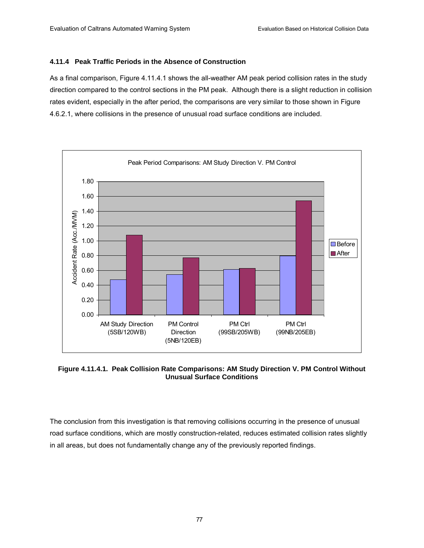#### **4.11.4 Peak Traffic Periods in the Absence of Construction**

As a final comparison, Figure 4.11.4.1 shows the all-weather AM peak period collision rates in the study direction compared to the control sections in the PM peak. Although there is a slight reduction in collision rates evident, especially in the after period, the comparisons are very similar to those shown in Figure 4.6.2.1, where collisions in the presence of unusual road surface conditions are included.



**Figure 4.11.4.1. Peak Collision Rate Comparisons: AM Study Direction V. PM Control Without Unusual Surface Conditions** 

The conclusion from this investigation is that removing collisions occurring in the presence of unusual road surface conditions, which are mostly construction-related, reduces estimated collision rates slightly in all areas, but does not fundamentally change any of the previously reported findings.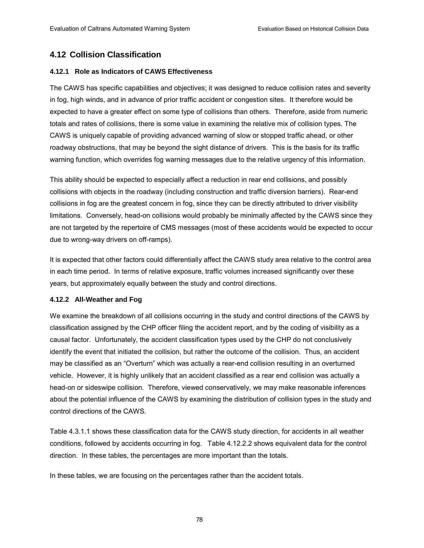## **4.12 Collision Classification**

#### **4.12.1 Role as Indicators of CAWS Effectiveness**

The CAWS has specific capabilities and objectives; it was designed to reduce collision rates and severity in fog, high winds, and in advance of prior traffic accident or congestion sites. It therefore would be expected to have a greater effect on some type of collisions than others. Therefore, aside from numeric totals and rates of collisions, there is some value in examining the relative mix of collision types. The CAWS is uniquely capable of providing advanced warning of slow or stopped traffic ahead, or other roadway obstructions, that may be beyond the sight distance of drivers. This is the basis for its traffic warning function, which overrides fog warning messages due to the relative urgency of this information.

This ability should be expected to especially affect a reduction in rear end collisions, and possibly collisions with objects in the roadway (including construction and traffic diversion barriers). Rear-end collisions in fog are the greatest concern in fog, since they can be directly attributed to driver visibility limitations. Conversely, head-on collisions would probably be minimally affected by the CAWS since they are not targeted by the repertoire of CMS messages (most of these accidents would be expected to occur due to wrong-way drivers on off-ramps).

It is expected that other factors could differentially affect the CAWS study area relative to the control area in each time period. In terms of relative exposure, traffic volumes increased significantly over these years, but approximately equally between the study and control directions.

#### **4.12.2 All-Weather and Fog**

We examine the breakdown of all collisions occurring in the study and control directions of the CAWS by classification assigned by the CHP officer filing the accident report, and by the coding of visibility as a causal factor. Unfortunately, the accident classification types used by the CHP do not conclusively identify the event that initiated the collision, but rather the outcome of the collision. Thus, an accident may be classified as an "Overturn" which was actually a rear-end collision resulting in an overturned vehicle. However, it is highly unlikely that an accident classified as a rear end collision was actually a head-on or sideswipe collision. Therefore, viewed conservatively, we may make reasonable inferences about the potential influence of the CAWS by examining the distribution of collision types in the study and control directions of the CAWS.

Table 4.3.1.1 shows these classification data for the CAWS study direction, for accidents in all weather conditions, followed by accidents occurring in fog. Table 4.12.2.2 shows equivalent data for the control direction. In these tables, the percentages are more important than the totals.

In these tables, we are focusing on the percentages rather than the accident totals.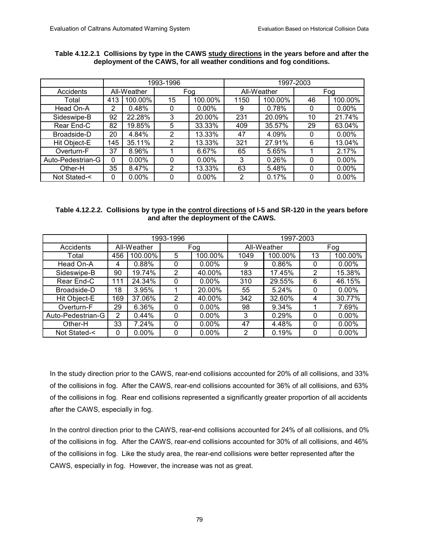|                   |     |             | 1993-1996 |          |      | 1997-2003   |          |          |  |
|-------------------|-----|-------------|-----------|----------|------|-------------|----------|----------|--|
| Accidents         |     | All-Weather | Fog       |          |      | All-Weather | Fog      |          |  |
| Total             | 413 | 100.00%     | 15        | 100.00%  | 1150 | 100.00%     | 46       | 100.00%  |  |
| Head On-A         | 2   | 0.48%       | 0         | $0.00\%$ | 9    | 0.78%       | 0        | $0.00\%$ |  |
| Sideswipe-B       | 92  | 22.28%      | 3         | 20.00%   | 231  | 20.09%      | 10       | 21.74%   |  |
| Rear End-C        | 82  | 19.85%      | 5         | 33.33%   | 409  | 35.57%      | 29       | 63.04%   |  |
| Broadside-D       | 20  | 4.84%       | 2         | 13.33%   | 47   | 4.09%       | 0        | $0.00\%$ |  |
| Hit Object-E      | 145 | 35.11%      | 2         | 13.33%   | 321  | 27.91%      | 6        | 13.04%   |  |
| Overturn-F        | 37  | 8.96%       |           | 6.67%    | 65   | 5.65%       |          | 2.17%    |  |
| Auto-Pedestrian-G | 0   | $0.00\%$    | 0         | $0.00\%$ | 3    | 0.26%       | 0        | $0.00\%$ |  |
| Other-H           | 35  | 8.47%       | 2         | 13.33%   | 63   | 5.48%       | 0        | $0.00\%$ |  |
| Not Stated-<      | 0   | $0.00\%$    | 0         | $0.00\%$ | 2    | 0.17%       | $\Omega$ | $0.00\%$ |  |

## **Table 4.12.2.1 Collisions by type in the CAWS study directions in the years before and after the deployment of the CAWS, for all weather conditions and fog conditions.**

## **Table 4.12.2.2. Collisions by type in the control directions of I-5 and SR-120 in the years before and after the deployment of the CAWS.**

|                   |                |             | 1993-1996 |          | 1997-2003 |             |     |          |  |
|-------------------|----------------|-------------|-----------|----------|-----------|-------------|-----|----------|--|
| <b>Accidents</b>  |                | All-Weather |           | Fog      |           | All-Weather | Fog |          |  |
| Total             | 456            | 100.00%     | 5         | 100.00%  | 1049      | 100.00%     | 13  | 100.00%  |  |
| Head On-A         | 4              | 0.88%       | 0         | $0.00\%$ | 9         | 0.86%       | 0   | $0.00\%$ |  |
| Sideswipe-B       | 90             | 19.74%      | 2         | 40.00%   | 183       | 17.45%      | 2   | 15.38%   |  |
| Rear End-C        | 111            | 24.34%      | 0         | $0.00\%$ | 310       | 29.55%      | 6   | 46.15%   |  |
| Broadside-D       | 18             | 3.95%       |           | 20.00%   | 55        | 5.24%       | 0   | $0.00\%$ |  |
| Hit Object-E      | 169            | 37.06%      | 2         | 40.00%   | 342       | 32.60%      | 4   | 30.77%   |  |
| Overturn-F        | 29             | 6.36%       | 0         | $0.00\%$ | 98        | 9.34%       |     | 7.69%    |  |
| Auto-Pedestrian-G | $\overline{2}$ | 0.44%       | 0         | $0.00\%$ | 3         | 0.29%       | 0   | $0.00\%$ |  |
| Other-H           | 33             | 7.24%       | 0         | $0.00\%$ | 47        | 4.48%       | 0   | $0.00\%$ |  |
| Not Stated-<      |                | $0.00\%$    | 0         | $0.00\%$ | 2         | 0.19%       | 0   | $0.00\%$ |  |

In the study direction prior to the CAWS, rear-end collisions accounted for 20% of all collisions, and 33% of the collisions in fog. After the CAWS, rear-end collisions accounted for 36% of all collisions, and 63% of the collisions in fog. Rear end collisions represented a significantly greater proportion of all accidents after the CAWS, especially in fog.

In the control direction prior to the CAWS, rear-end collisions accounted for 24% of all collisions, and 0% of the collisions in fog. After the CAWS, rear-end collisions accounted for 30% of all collisions, and 46% of the collisions in fog. Like the study area, the rear-end collisions were better represented after the CAWS, especially in fog. However, the increase was not as great.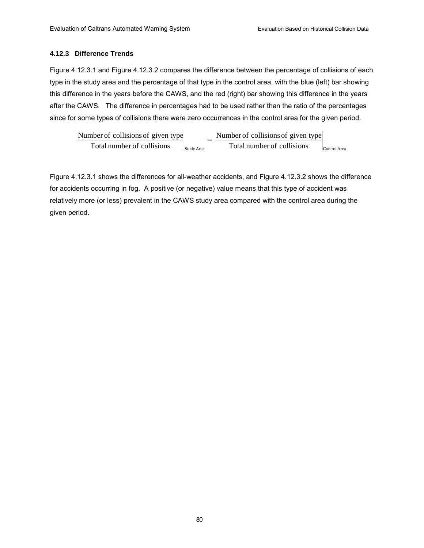## **4.12.3 Difference Trends**

Figure 4.12.3.1 and Figure 4.12.3.2 compares the difference between the percentage of collisions of each type in the study area and the percentage of that type in the control area, with the blue (left) bar showing this difference in the years before the CAWS, and the red (right) bar showing this difference in the years after the CAWS. The difference in percentages had to be used rather than the ratio of the percentages since for some types of collisions there were zero occurrences in the control area for the given period.

 $\left| \mathcal{S}_{\text{tudy Area}} \right|$  Total number of collisions  $\left| \mathcal{S}_{\text{control Area}} \right|$ Number of collisions of given type Total number of collisions Number of collisions of given type

Figure 4.12.3.1 shows the differences for all-weather accidents, and Figure 4.12.3.2 shows the difference for accidents occurring in fog. A positive (or negative) value means that this type of accident was relatively more (or less) prevalent in the CAWS study area compared with the control area during the given period.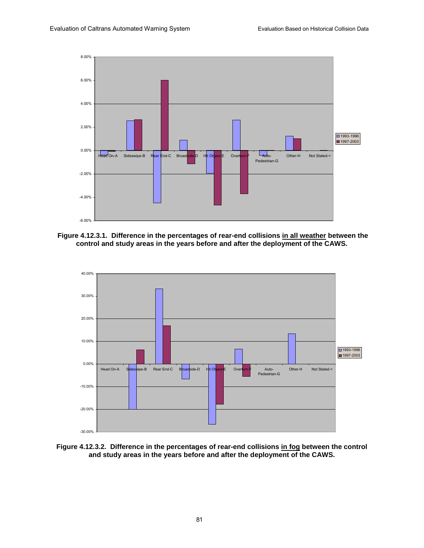





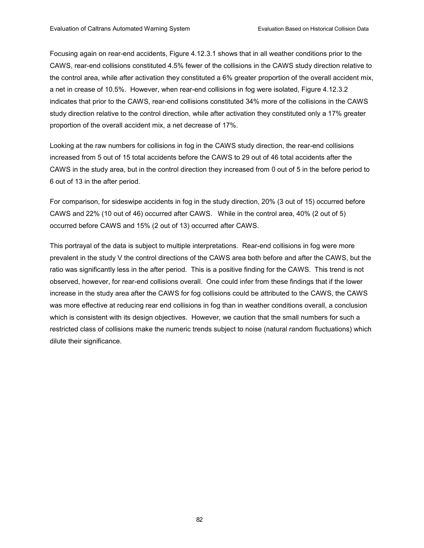Focusing again on rear-end accidents, Figure 4.12.3.1 shows that in all weather conditions prior to the CAWS, rear-end collisions constituted 4.5% fewer of the collisions in the CAWS study direction relative to the control area, while after activation they constituted a 6% greater proportion of the overall accident mix, a net in crease of 10.5%. However, when rear-end collisions in fog were isolated, Figure 4.12.3.2 indicates that prior to the CAWS, rear-end collisions constituted 34% more of the collisions in the CAWS study direction relative to the control direction, while after activation they constituted only a 17% greater proportion of the overall accident mix, a net decrease of 17%.

Looking at the raw numbers for collisions in fog in the CAWS study direction, the rear-end collisions increased from 5 out of 15 total accidents before the CAWS to 29 out of 46 total accidents after the CAWS in the study area, but in the control direction they increased from 0 out of 5 in the before period to 6 out of 13 in the after period.

For comparison, for sideswipe accidents in fog in the study direction, 20% (3 out of 15) occurred before CAWS and 22% (10 out of 46) occurred after CAWS. While in the control area, 40% (2 out of 5) occurred before CAWS and 15% (2 out of 13) occurred after CAWS.

This portrayal of the data is subject to multiple interpretations. Rear-end collisions in fog were more prevalent in the study V the control directions of the CAWS area both before and after the CAWS, but the ratio was significantly less in the after period. This is a positive finding for the CAWS. This trend is not observed, however, for rear-end collisions overall. One could infer from these findings that if the lower increase in the study area after the CAWS for fog collisions could be attributed to the CAWS, the CAWS was more effective at reducing rear end collisions in fog than in weather conditions overall, a conclusion which is consistent with its design objectives. However, we caution that the small numbers for such a restricted class of collisions make the numeric trends subject to noise (natural random fluctuations) which dilute their significance.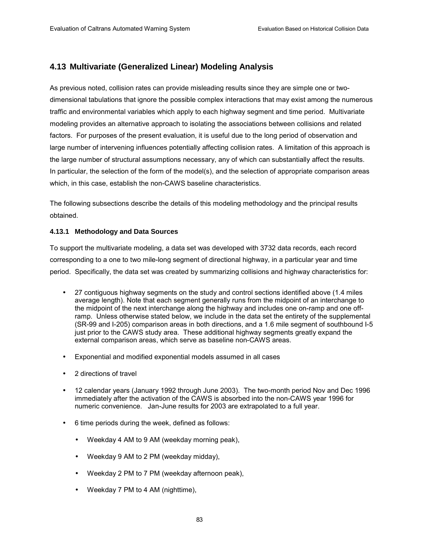## **4.13 Multivariate (Generalized Linear) Modeling Analysis**

As previous noted, collision rates can provide misleading results since they are simple one or twodimensional tabulations that ignore the possible complex interactions that may exist among the numerous traffic and environmental variables which apply to each highway segment and time period. Multivariate modeling provides an alternative approach to isolating the associations between collisions and related factors. For purposes of the present evaluation, it is useful due to the long period of observation and large number of intervening influences potentially affecting collision rates. A limitation of this approach is the large number of structural assumptions necessary, any of which can substantially affect the results. In particular, the selection of the form of the model(s), and the selection of appropriate comparison areas which, in this case, establish the non-CAWS baseline characteristics.

The following subsections describe the details of this modeling methodology and the principal results obtained.

#### **4.13.1 Methodology and Data Sources**

To support the multivariate modeling, a data set was developed with 3732 data records, each record corresponding to a one to two mile-long segment of directional highway, in a particular year and time period. Specifically, the data set was created by summarizing collisions and highway characteristics for:

- 27 contiguous highway segments on the study and control sections identified above (1.4 miles average length). Note that each segment generally runs from the midpoint of an interchange to the midpoint of the next interchange along the highway and includes one on-ramp and one offramp. Unless otherwise stated below, we include in the data set the entirety of the supplemental (SR-99 and I-205) comparison areas in both directions, and a 1.6 mile segment of southbound I-5 just prior to the CAWS study area. These additional highway segments greatly expand the external comparison areas, which serve as baseline non-CAWS areas.
- Exponential and modified exponential models assumed in all cases
- 2 directions of travel
- 12 calendar years (January 1992 through June 2003). The two-month period Nov and Dec 1996 immediately after the activation of the CAWS is absorbed into the non-CAWS year 1996 for numeric convenience. Jan-June results for 2003 are extrapolated to a full year.
- 6 time periods during the week, defined as follows:
	- Weekday 4 AM to 9 AM (weekday morning peak),
	- Weekday 9 AM to 2 PM (weekday midday),
	- Weekday 2 PM to 7 PM (weekday afternoon peak),
	- Weekday 7 PM to 4 AM (nighttime),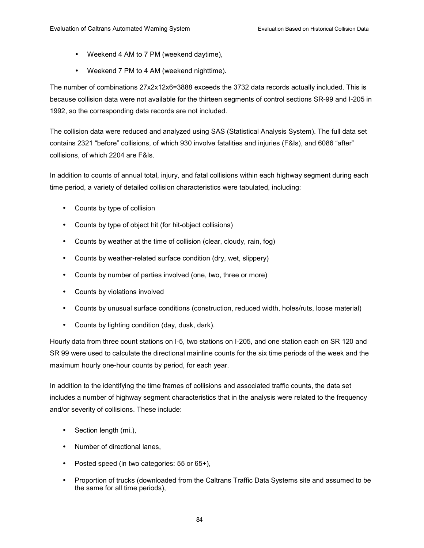- Weekend 4 AM to 7 PM (weekend daytime),
- Weekend 7 PM to 4 AM (weekend nighttime).

The number of combinations 27x2x12x6=3888 exceeds the 3732 data records actually included. This is because collision data were not available for the thirteen segments of control sections SR-99 and I-205 in 1992, so the corresponding data records are not included.

The collision data were reduced and analyzed using SAS (Statistical Analysis System). The full data set contains 2321 "before" collisions, of which 930 involve fatalities and injuries (F&Is), and 6086 "after" collisions, of which 2204 are F&Is.

In addition to counts of annual total, injury, and fatal collisions within each highway segment during each time period, a variety of detailed collision characteristics were tabulated, including:

- Counts by type of collision
- Counts by type of object hit (for hit-object collisions)
- Counts by weather at the time of collision (clear, cloudy, rain, fog)
- Counts by weather-related surface condition (dry, wet, slippery)
- Counts by number of parties involved (one, two, three or more)
- Counts by violations involved
- Counts by unusual surface conditions (construction, reduced width, holes/ruts, loose material)
- Counts by lighting condition (day, dusk, dark).

Hourly data from three count stations on I-5, two stations on I-205, and one station each on SR 120 and SR 99 were used to calculate the directional mainline counts for the six time periods of the week and the maximum hourly one-hour counts by period, for each year.

In addition to the identifying the time frames of collisions and associated traffic counts, the data set includes a number of highway segment characteristics that in the analysis were related to the frequency and/or severity of collisions. These include:

- Section length (mi.),
- Number of directional lanes,
- Posted speed (in two categories: 55 or 65+),
- Proportion of trucks (downloaded from the Caltrans Traffic Data Systems site and assumed to be the same for all time periods),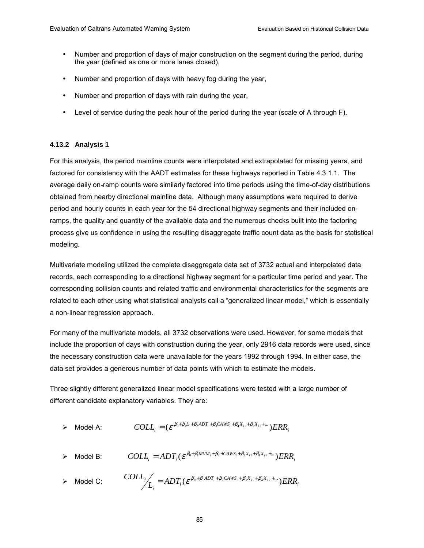- Number and proportion of days of major construction on the segment during the period, during the year (defined as one or more lanes closed),
- Number and proportion of days with heavy fog during the year,
- Number and proportion of days with rain during the year,
- Level of service during the peak hour of the period during the year (scale of A through F).

#### **4.13.2 Analysis 1**

For this analysis, the period mainline counts were interpolated and extrapolated for missing years, and factored for consistency with the AADT estimates for these highways reported in Table 4.3.1.1. The average daily on-ramp counts were similarly factored into time periods using the time-of-day distributions obtained from nearby directional mainline data. Although many assumptions were required to derive period and hourly counts in each year for the 54 directional highway segments and their included onramps, the quality and quantity of the available data and the numerous checks built into the factoring process give us confidence in using the resulting disaggregate traffic count data as the basis for statistical modeling.

Multivariate modeling utilized the complete disaggregate data set of 3732 actual and interpolated data records, each corresponding to a directional highway segment for a particular time period and year. The corresponding collision counts and related traffic and environmental characteristics for the segments are related to each other using what statistical analysts call a "generalized linear model," which is essentially a non-linear regression approach.

For many of the multivariate models, all 3732 observations were used. However, for some models that include the proportion of days with construction during the year, only 2916 data records were used, since the necessary construction data were unavailable for the years 1992 through 1994. In either case, the data set provides a generous number of data points with which to estimate the models.

Three slightly different generalized linear model specifications were tested with a large number of different candidate explanatory variables. They are:

$$
\triangleright \quad \text{Model A:} \qquad \qquad COLL_i = (\varepsilon^{\beta_0 + \beta_1 L_i + \beta_2 ADT_i + \beta_3 CAWS_i + \beta_4 X_{i1} + \beta_5 X_{i2} + \dots})ERR_i
$$

$$
\triangleright \quad \text{Model B:} \qquad \qquad COLL_i = ADT_i(\varepsilon^{\beta_0 + \beta_1 MVM_i + \beta_2 + CAWS_i + \beta_3 X_{i1} + \beta_4 X_{i2} + \dots}) \text{ERR}_i
$$

$$
\triangleright \quad \text{Model C:} \qquad \text{COLL}_i / L_i = ADT_i (\varepsilon^{\beta_0 + \beta_1 ADT_i + \beta_2 CAWS_i + \beta_3 X_{i1} + \beta_4 X_{i2} + \dots}) ERR_i
$$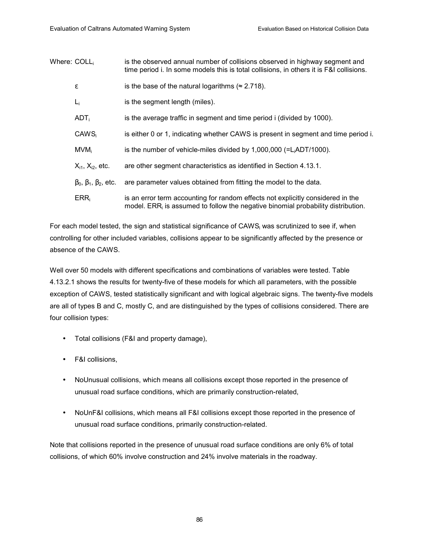| Where: COLL, |                                          | is the observed annual number of collisions observed in highway segment and<br>time period i. In some models this is total collisions, in others it is F&I collisions.          |
|--------------|------------------------------------------|---------------------------------------------------------------------------------------------------------------------------------------------------------------------------------|
|              | ε                                        | is the base of the natural logarithms ( $\approx$ 2.718).                                                                                                                       |
|              | $L_i$                                    | is the segment length (miles).                                                                                                                                                  |
|              | ADT <sub>i</sub>                         | is the average traffic in segment and time period i (divided by 1000).                                                                                                          |
|              | CAWS <sub>i</sub>                        | is either 0 or 1, indicating whether CAWS is present in segment and time period i.                                                                                              |
|              | $MVM_i$                                  | is the number of vehicle-miles divided by $1,000,000$ (=L <sub>i</sub> ADT/1000).                                                                                               |
|              | $X_{i1}$ , $X_{i2}$ , etc.               | are other segment characteristics as identified in Section 4.13.1.                                                                                                              |
|              | $\beta_0$ , $\beta_1$ , $\beta_2$ , etc. | are parameter values obtained from fitting the model to the data.                                                                                                               |
|              | $ERR_i$                                  | is an error term accounting for random effects not explicitly considered in the<br>model. ERR <sub>i</sub> is assumed to follow the negative binomial probability distribution. |

For each model tested, the sign and statistical significance of CAWS<sub>i</sub> was scrutinized to see if, when controlling for other included variables, collisions appear to be significantly affected by the presence or absence of the CAWS.

Well over 50 models with different specifications and combinations of variables were tested. Table 4.13.2.1 shows the results for twenty-five of these models for which all parameters, with the possible exception of CAWS, tested statistically significant and with logical algebraic signs. The twenty-five models are all of types B and C, mostly C, and are distinguished by the types of collisions considered. There are four collision types:

- Total collisions (F&I and property damage),
- F&I collisions,
- NoUnusual collisions, which means all collisions except those reported in the presence of unusual road surface conditions, which are primarily construction-related,
- NoUnF&I collisions, which means all F&I collisions except those reported in the presence of unusual road surface conditions, primarily construction-related.

Note that collisions reported in the presence of unusual road surface conditions are only 6% of total collisions, of which 60% involve construction and 24% involve materials in the roadway.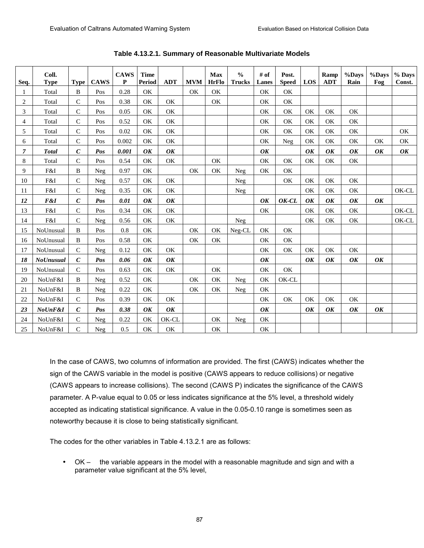| Seq.           | Coll.<br><b>Type</b> | <b>Type</b>      | <b>CAWS</b> | <b>CAWS</b><br>$\mathbf{P}$ | <b>Time</b><br><b>Period</b> | <b>ADT</b> | <b>MVM</b> | <b>Max</b><br><b>HrFlo</b> | $\frac{0}{0}$<br><b>Trucks</b> | # of<br>Lanes | Post.<br><b>Speed</b> | LOS | Ramp<br><b>ADT</b> | %Days<br>Rain | %Days<br>Fog | % Days<br>Const. |
|----------------|----------------------|------------------|-------------|-----------------------------|------------------------------|------------|------------|----------------------------|--------------------------------|---------------|-----------------------|-----|--------------------|---------------|--------------|------------------|
|                | Total                | B                | Pos         | 0.28                        | OK                           |            | OK         | OK                         |                                | OK            | OK                    |     |                    |               |              |                  |
| 1              |                      |                  |             |                             |                              | OK         |            |                            |                                |               |                       |     |                    |               |              |                  |
| $\overline{2}$ | Total                | $\mathsf{C}$     | Pos         | 0.38                        | OK                           |            |            | OK                         |                                | OK            | OK                    |     |                    |               |              |                  |
| 3              | Total                | $\mathsf{C}$     | Pos         | 0.05                        | OK                           | OK         |            |                            |                                | OK            | OK                    | OK  | OK                 | OK            |              |                  |
| $\overline{4}$ | Total                | $\mathbf C$      | Pos         | 0.52                        | OK                           | OK         |            |                            |                                | OK            | OK                    | OK  | OK                 | OK            |              |                  |
| 5              | Total                | $\mathsf{C}$     | Pos         | 0.02                        | OK                           | OK         |            |                            |                                | OK            | OK                    | OK  | OK                 | OK            |              | OK               |
| 6              | Total                | $\mathsf{C}$     | Pos         | 0.002                       | <b>OK</b>                    | OK         |            |                            |                                | OK            | Neg                   | OK  | OK                 | OK            | OK           | OK               |
| $\overline{7}$ | <b>Total</b>         | $\mathcal{C}$    | Pos         | 0.001                       | OK                           | OK         |            |                            |                                | OK            |                       | OK  | OK                 | OK            | OK           | OK               |
| 8              | Total                | $\mathsf{C}$     | Pos         | 0.54                        | OK                           | OK         |            | OK                         |                                | OK            | OK                    | OK  | OK                 | OK            |              |                  |
| 9              | F&I                  | B                | Neg         | 0.97                        | OK                           |            | OK         | OK                         | <b>Neg</b>                     | OK            | OK                    |     |                    |               |              |                  |
| 10             | F&I                  | $\mathbf C$      | Neg         | 0.57                        | OK                           | OK         |            |                            | Neg                            |               | OK                    | OK  | OK                 | OK            |              |                  |
| 11             | F&I                  | $\mathsf{C}$     | Neg         | 0.35                        | OK                           | OK         |            |                            | Neg                            |               |                       | OK  | OK                 | OK            |              | OK-CL            |
| 12             | F&I                  | $\boldsymbol{C}$ | Pos         | 0.01                        | OK                           | OK         |            |                            |                                | OK            | OK-CL                 | OK  | OK                 | OK            | OK           |                  |
| 13             | F&I                  | $\mathcal{C}$    | Pos         | 0.34                        | OK                           | OK         |            |                            |                                | OK            |                       | OK  | OK                 | OK            |              | OK-CL            |
| 14             | F&I                  | $\mathsf{C}$     | Neg         | 0.56                        | OK                           | OK         |            |                            | Neg                            |               |                       | OK  | OK                 | OK            |              | OK-CL            |
| 15             | NoUnusual            | B                | Pos         | 0.8                         | OK                           |            | OK         | OK                         | Neg-CL                         | OK            | OK                    |     |                    |               |              |                  |
| 16             | NoUnusual            | B                | Pos         | 0.58                        | OK                           |            | OK         | OK                         |                                | OK            | OK                    |     |                    |               |              |                  |
| 17             | NoUnusual            | $\mathsf{C}$     | Neg         | 0.12                        | OK                           | <b>OK</b>  |            |                            |                                | OK            | <b>OK</b>             | OK  | OK                 | OK            |              |                  |
| 18             | <b>NoUnusual</b>     | $\boldsymbol{C}$ | Pos         | 0.06                        | OK                           | OK         |            |                            |                                | OK            |                       | OK  | OK                 | OK            | OK           |                  |
| 19             | NoUnusual            | $\mathsf{C}$     | Pos         | 0.63                        | OK                           | OK         |            | OK                         |                                | OK            | OK                    |     |                    |               |              |                  |
| 20             | NoUnF&I              | B                | Neg         | 0.52                        | OK                           |            | OK         | OK                         | Neg                            | OK            | OK-CL                 |     |                    |               |              |                  |
| 21             | NoUnF&I              | B                | Neg         | 0.22                        | OK                           |            | OK         | OK                         | Neg                            | OK            |                       |     |                    |               |              |                  |
| 22             | NoUnF&I              | $\mathcal{C}$    | Pos         | 0.39                        | <b>OK</b>                    | OK         |            |                            |                                | OK            | <b>OK</b>             | OK  | OK                 | OK            |              |                  |
| 23             | NoUnF&I              | $\boldsymbol{C}$ | Pos         | 0.38                        | OK                           | OK         |            |                            |                                | OK            |                       | OK  | OK                 | OK            | OK           |                  |
| 24             | NoUnF&I              | $\mathbf C$      | Neg         | 0.22                        | OK                           | OK-CL      |            | OK                         | Neg                            | OK            |                       |     |                    |               |              |                  |
| 25             | NoUnF&I              | $\mathbf C$      | Neg         | 0.5                         | OK                           | OK         |            | OK                         |                                | OK            |                       |     |                    |               |              |                  |

**Table 4.13.2.1. Summary of Reasonable Multivariate Models** 

In the case of CAWS, two columns of information are provided. The first (CAWS) indicates whether the sign of the CAWS variable in the model is positive (CAWS appears to reduce collisions) or negative (CAWS appears to increase collisions). The second (CAWS P) indicates the significance of the CAWS parameter. A P-value equal to 0.05 or less indicates significance at the 5% level, a threshold widely accepted as indicating statistical significance. A value in the 0.05-0.10 range is sometimes seen as noteworthy because it is close to being statistically significant.

The codes for the other variables in Table 4.13.2.1 are as follows:

• OK  $-$  the variable appears in the model with a reasonable magnitude and sign and with a parameter value significant at the 5% level,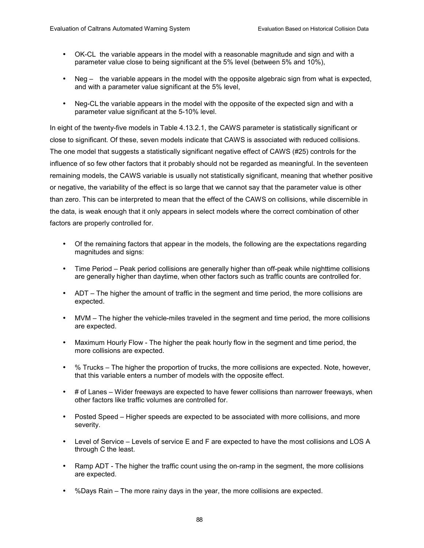- OK-CL the variable appears in the model with a reasonable magnitude and sign and with a parameter value close to being significant at the 5% level (between 5% and 10%),
- Neg  $-$  the variable appears in the model with the opposite algebraic sign from what is expected, and with a parameter value significant at the 5% level,
- Neg-CL the variable appears in the model with the opposite of the expected sign and with a parameter value significant at the 5-10% level.

In eight of the twenty-five models in Table 4.13.2.1, the CAWS parameter is statistically significant or close to significant. Of these, seven models indicate that CAWS is associated with reduced collisions. The one model that suggests a statistically significant negative effect of CAWS (#25) controls for the influence of so few other factors that it probably should not be regarded as meaningful. In the seventeen remaining models, the CAWS variable is usually not statistically significant, meaning that whether positive or negative, the variability of the effect is so large that we cannot say that the parameter value is other than zero. This can be interpreted to mean that the effect of the CAWS on collisions, while discernible in the data, is weak enough that it only appears in select models where the correct combination of other factors are properly controlled for.

- Of the remaining factors that appear in the models, the following are the expectations regarding magnitudes and signs:
- Time Period Peak period collisions are generally higher than off-peak while nighttime collisions are generally higher than daytime, when other factors such as traffic counts are controlled for.
- ADT  $-$  The higher the amount of traffic in the segment and time period, the more collisions are expected.
- $MVM The higher the vehicle-miles traveled in the segment and time period, the more collisions$ are expected.
- Maximum Hourly Flow The higher the peak hourly flow in the segment and time period, the more collisions are expected.
- $\bullet$  % Trucks The higher the proportion of trucks, the more collisions are expected. Note, however, that this variable enters a number of models with the opposite effect.
- $\bullet$  # of Lanes Wider freeways are expected to have fewer collisions than narrower freeways, when other factors like traffic volumes are controlled for.
- Posted Speed Higher speeds are expected to be associated with more collisions, and more severity.
- $\bullet$  Level of Service Levels of service E and F are expected to have the most collisions and LOS A through C the least.
- Ramp ADT The higher the traffic count using the on-ramp in the segment, the more collisions are expected.
- %Days Rain  $-$  The more rainy days in the year, the more collisions are expected.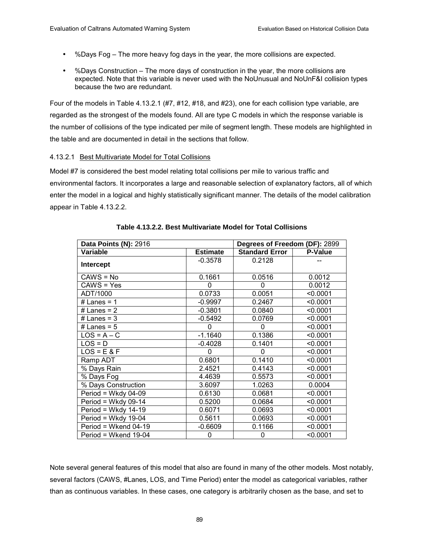- $%$ Days Fog  $-$  The more heavy fog days in the year, the more collisions are expected.
- %Days Construction  $-$  The more days of construction in the year, the more collisions are expected. Note that this variable is never used with the NoUnusual and NoUnF&I collision types because the two are redundant.

Four of the models in Table 4.13.2.1 (#7, #12, #18, and #23), one for each collision type variable, are regarded as the strongest of the models found. All are type C models in which the response variable is the number of collisions of the type indicated per mile of segment length. These models are highlighted in the table and are documented in detail in the sections that follow.

#### 4.13.2.1 Best Multivariate Model for Total Collisions

Model #7 is considered the best model relating total collisions per mile to various traffic and environmental factors. It incorporates a large and reasonable selection of explanatory factors, all of which enter the model in a logical and highly statistically significant manner. The details of the model calibration appear in Table 4.13.2.2.

| Data Points (N): 2916 | Degrees of Freedom (DF): 2899 |                       |          |  |
|-----------------------|-------------------------------|-----------------------|----------|--|
| Variable              | <b>Estimate</b>               | <b>Standard Error</b> | P-Value  |  |
| Intercept             | $-0.3578$                     | 0.2128                |          |  |
| CAWS = No             | 0.1661                        | 0.0516                | 0.0012   |  |
| CAWS = Yes            | 0                             | 0                     | 0.0012   |  |
| ADT/1000              | 0.0733                        | 0.0051                | < 0.0001 |  |
| # Lanes = $1$         | $-0.9997$                     | 0.2467                | < 0.0001 |  |
| # Lanes = $2$         | $-0.3801$                     | 0.0840                | < 0.0001 |  |
| # Lanes = $3$         | $-0.5492$                     | 0.0769                | < 0.0001 |  |
| # Lanes = $5$         | $\Omega$                      | $\Omega$              | < 0.0001 |  |
| $LOS = A - C$         | $-1.1640$                     | 0.1386                | < 0.0001 |  |
| $LOS = D$             | $-0.4028$                     | 0.1401                | < 0.0001 |  |
| $LOS = E & F$         | 0                             | $\Omega$              | < 0.0001 |  |
| Ramp ADT              | 0.6801                        | 0.1410                | < 0.0001 |  |
| % Days Rain           | 2.4521                        | 0.4143                | < 0.0001 |  |
| % Days Fog            | 4.4639                        | 0.5573                | < 0.0001 |  |
| % Days Construction   | 3.6097                        | 1.0263                | 0.0004   |  |
| Period = Wkdy $04-09$ | 0.6130                        | 0.0681                | < 0.0001 |  |
| Period = Wkdy 09-14   | 0.5200                        | 0.0684                | < 0.0001 |  |
| Period = Wkdy $14-19$ | 0.6071                        | 0.0693                | < 0.0001 |  |
| Period = Wkdy $19-04$ | 0.5611                        | 0.0693                | < 0.0001 |  |
| Period = Wkend 04-19  | -0.6609                       | 0.1166                | < 0.0001 |  |
| Period = Wkend 19-04  | 0                             | 0                     | < 0.0001 |  |

#### **Table 4.13.2.2. Best Multivariate Model for Total Collisions**

Note several general features of this model that also are found in many of the other models. Most notably, several factors (CAWS, #Lanes, LOS, and Time Period) enter the model as categorical variables, rather than as continuous variables. In these cases, one category is arbitrarily chosen as the base, and set to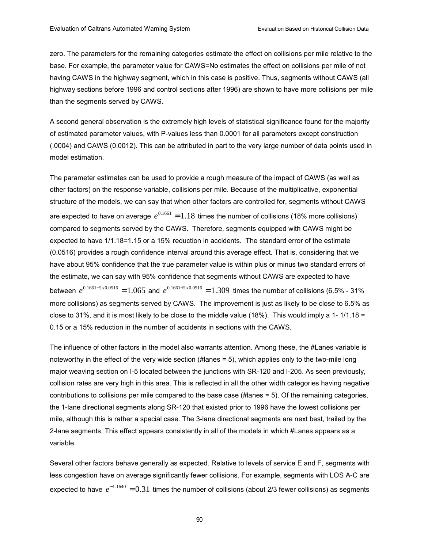zero. The parameters for the remaining categories estimate the effect on collisions per mile relative to the base. For example, the parameter value for CAWS=No estimates the effect on collisions per mile of not having CAWS in the highway segment, which in this case is positive. Thus, segments without CAWS (all highway sections before 1996 and control sections after 1996) are shown to have more collisions per mile than the segments served by CAWS.

A second general observation is the extremely high levels of statistical significance found for the majority of estimated parameter values, with P-values less than 0.0001 for all parameters except construction (.0004) and CAWS (0.0012). This can be attributed in part to the very large number of data points used in model estimation.

The parameter estimates can be used to provide a rough measure of the impact of CAWS (as well as other factors) on the response variable, collisions per mile. Because of the multiplicative, exponential structure of the models, we can say that when other factors are controlled for, segments without CAWS are expected to have on average  $e^{0.1661} = 1.18$  times the number of collisions (18% more collisions) compared to segments served by the CAWS. Therefore, segments equipped with CAWS might be expected to have 1/1.18=1.15 or a 15% reduction in accidents. The standard error of the estimate (0.0516) provides a rough confidence interval around this average effect. That is, considering that we have about 95% confidence that the true parameter value is within plus or minus two standard errors of the estimate, we can say with 95% confidence that segments without CAWS are expected to have between  $e^{0.1661 - 2x0.0516} = 1.065$  and  $e^{0.1661 + 2x0.0516} = 1.309$  times the number of collisions (6.5% - 31%) more collisions) as segments served by CAWS. The improvement is just as likely to be close to 6.5% as close to 31%, and it is most likely to be close to the middle value (18%). This would imply a 1-1/1.18 = 0.15 or a 15% reduction in the number of accidents in sections with the CAWS.

The influence of other factors in the model also warrants attention. Among these, the #Lanes variable is noteworthy in the effect of the very wide section (#lanes = 5), which applies only to the two-mile long major weaving section on I-5 located between the junctions with SR-120 and I-205. As seen previously, collision rates are very high in this area. This is reflected in all the other width categories having negative contributions to collisions per mile compared to the base case (#lanes = 5). Of the remaining categories, the 1-lane directional segments along SR-120 that existed prior to 1996 have the lowest collisions per mile, although this is rather a special case. The 3-lane directional segments are next best, trailed by the 2-lane segments. This effect appears consistently in all of the models in which #Lanes appears as a variable.

Several other factors behave generally as expected. Relative to levels of service E and F, segments with less congestion have on average significantly fewer collisions. For example, segments with LOS A-C are expected to have  $e^{-1.1640} = 0.31$  times the number of collisions (about 2/3 fewer collisions) as segments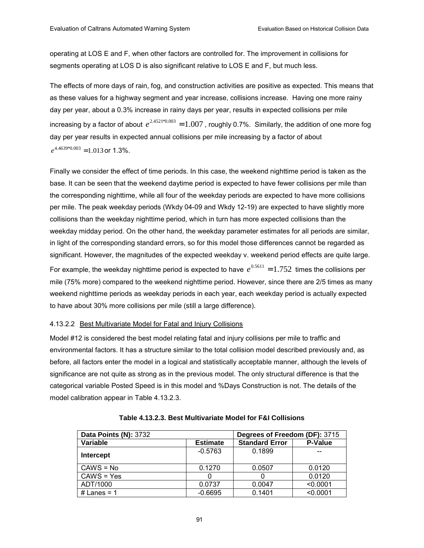operating at LOS E and F, when other factors are controlled for. The improvement in collisions for segments operating at LOS D is also significant relative to LOS E and F, but much less.

The effects of more days of rain, fog, and construction activities are positive as expected. This means that as these values for a highway segment and year increase, collisions increase. Having one more rainy day per year, about a 0.3% increase in rainy days per year, results in expected collisions per mile increasing by a factor of about  $e^{2.4521*0.003}$  =  $1.007$  , roughly 0.7%. Similarly, the addition of one more fog day per year results in expected annual collisions per mile increasing by a factor of about  $e^{4.4639*0.003}$  = 1.013 or 1.3%.

Finally we consider the effect of time periods. In this case, the weekend nighttime period is taken as the base. It can be seen that the weekend daytime period is expected to have fewer collisions per mile than the corresponding nighttime, while all four of the weekday periods are expected to have more collisions per mile. The peak weekday periods (Wkdy 04-09 and Wkdy 12-19) are expected to have slightly more collisions than the weekday nighttime period, which in turn has more expected collisions than the weekday midday period. On the other hand, the weekday parameter estimates for all periods are similar, in light of the corresponding standard errors, so for this model those differences cannot be regarded as significant. However, the magnitudes of the expected weekday v. weekend period effects are quite large. For example, the weekday nighttime period is expected to have  $e^{0.5611} = 1.752$  times the collisions per mile (75% more) compared to the weekend nighttime period. However, since there are 2/5 times as many weekend nighttime periods as weekday periods in each year, each weekday period is actually expected to have about 30% more collisions per mile (still a large difference).

#### 4.13.2.2 Best Multivariate Model for Fatal and Injury Collisions

Model #12 is considered the best model relating fatal and injury collisions per mile to traffic and environmental factors. It has a structure similar to the total collision model described previously and, as before, all factors enter the model in a logical and statistically acceptable manner, although the levels of significance are not quite as strong as in the previous model. The only structural difference is that the categorical variable Posted Speed is in this model and %Days Construction is not. The details of the model calibration appear in Table 4.13.2.3.

| Data Points (N): 3732 | Degrees of Freedom (DF): 3715 |                       |                |  |
|-----------------------|-------------------------------|-----------------------|----------------|--|
| Variable              | <b>Estimate</b>               | <b>Standard Error</b> | <b>P-Value</b> |  |
| Intercept             | $-0.5763$                     | 0.1899                |                |  |
| $CAWS = No$           | 0.1270                        | 0.0507                | 0.0120         |  |
| $CANS = Yes$          |                               |                       | 0.0120         |  |
| ADT/1000              | 0.0737                        | 0.0047                | < 0.0001       |  |
| # Lanes = $1$         | $-0.6695$                     | 0.1401                | < 0.0001       |  |

|  | Table 4.13.2.3. Best Multivariate Model for F&I Collisions_ |  |  |
|--|-------------------------------------------------------------|--|--|
|--|-------------------------------------------------------------|--|--|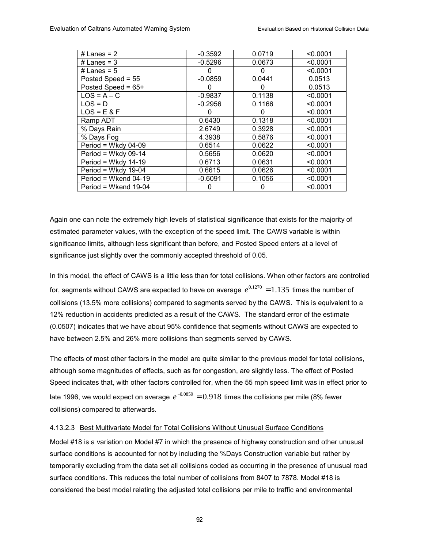| # Lanes = $2$          | $-0.3592$ | 0.0719 | < 0.0001 |
|------------------------|-----------|--------|----------|
| # Lanes = $3$          | $-0.5296$ | 0.0673 | < 0.0001 |
| # Lanes = $5$          | 0         | 0      | < 0.0001 |
| Posted Speed = 55      | $-0.0859$ | 0.0441 | 0.0513   |
| Posted Speed = $65+$   | $\Omega$  | 0      | 0.0513   |
| $LOS = A - C$          | $-0.9837$ | 0.1138 | < 0.0001 |
| $LOS = D$              | $-0.2956$ | 0.1166 | < 0.0001 |
| $LOS = E & F$          | 0         | 0      | < 0.0001 |
| Ramp ADT               | 0.6430    | 0.1318 | < 0.0001 |
| % Days Rain            | 2.6749    | 0.3928 | < 0.0001 |
| % Days Fog             | 4.3938    | 0.5876 | < 0.0001 |
| Period = Wkdy $04-09$  | 0.6514    | 0.0622 | < 0.0001 |
| Period = Wkdy $09-14$  | 0.5656    | 0.0620 | < 0.0001 |
| Period = Wkdy $14-19$  | 0.6713    | 0.0631 | < 0.0001 |
| Period = Wkdy $19-04$  | 0.6615    | 0.0626 | < 0.0001 |
| Period = Wkend $04-19$ | $-0.6091$ | 0.1056 | < 0.0001 |
| Period = Wkend 19-04   | 0         | 0      | < 0.0001 |

Again one can note the extremely high levels of statistical significance that exists for the majority of estimated parameter values, with the exception of the speed limit. The CAWS variable is within significance limits, although less significant than before, and Posted Speed enters at a level of significance just slightly over the commonly accepted threshold of 0.05.

In this model, the effect of CAWS is a little less than for total collisions. When other factors are controlled for, segments without CAWS are expected to have on average  $e^{0.1270} = 1.135$  times the number of collisions (13.5% more collisions) compared to segments served by the CAWS. This is equivalent to a 12% reduction in accidents predicted as a result of the CAWS. The standard error of the estimate (0.0507) indicates that we have about 95% confidence that segments without CAWS are expected to have between 2.5% and 26% more collisions than segments served by CAWS.

The effects of most other factors in the model are quite similar to the previous model for total collisions, although some magnitudes of effects, such as for congestion, are slightly less. The effect of Posted Speed indicates that, with other factors controlled for, when the 55 mph speed limit was in effect prior to late 1996, we would expect on average  $e^{-0.0859} = 0.918$  times the collisions per mile (8% fewer collisions) compared to afterwards.

## 4.13.2.3 Best Multivariate Model for Total Collisions Without Unusual Surface Conditions

Model #18 is a variation on Model #7 in which the presence of highway construction and other unusual surface conditions is accounted for not by including the %Days Construction variable but rather by temporarily excluding from the data set all collisions coded as occurring in the presence of unusual road surface conditions. This reduces the total number of collisions from 8407 to 7878. Model #18 is considered the best model relating the adjusted total collisions per mile to traffic and environmental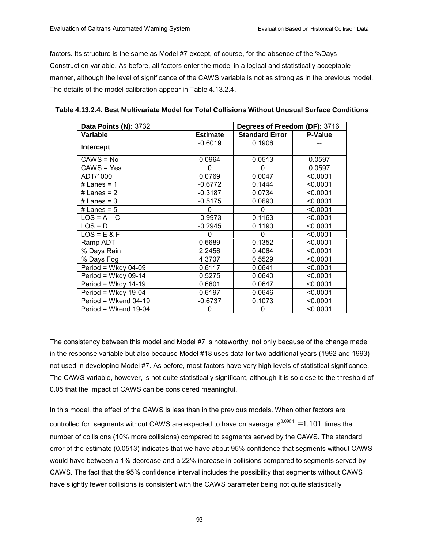factors. Its structure is the same as Model #7 except, of course, for the absence of the %Days Construction variable. As before, all factors enter the model in a logical and statistically acceptable manner, although the level of significance of the CAWS variable is not as strong as in the previous model. The details of the model calibration appear in Table 4.13.2.4.

| Data Points (N): 3732 |                 | Degrees of Freedom (DF): 3716 |                |
|-----------------------|-----------------|-------------------------------|----------------|
| Variable              | <b>Estimate</b> | <b>Standard Error</b>         | <b>P-Value</b> |
| <b>Intercept</b>      | $-0.6019$       | 0.1906                        |                |
| $CAWS = No$           | 0.0964          | 0.0513                        | 0.0597         |
| CAWS = Yes            | 0               | 0                             | 0.0597         |
| ADT/1000              | 0.0769          | 0.0047                        | < 0.0001       |
| # Lanes = $1$         | $-0.6772$       | 0.1444                        | < 0.0001       |
| # Lanes = $2$         | $-0.3187$       | 0.0734                        | < 0.0001       |
| $#$ Lanes = 3         | $-0.5175$       | 0.0690                        | < 0.0001       |
| # Lanes = $5$         | 0               | 0                             | < 0.0001       |
| $LOS = A - C$         | $-0.9973$       | 0.1163                        | < 0.0001       |
| $LOS = D$             | $-0.2945$       | 0.1190                        | < 0.0001       |
| $LOS = E & F$         |                 | 0                             | < 0.0001       |
| Ramp ADT              | 0.6689          | 0.1352                        | < 0.0001       |
| % Days Rain           | 2.2456          | 0.4064                        | < 0.0001       |
| % Days Fog            | 4.3707          | 0.5529                        | < 0.0001       |
| Period = Wkdy $04-09$ | 0.6117          | 0.0641                        | < 0.0001       |
| Period = Wkdy $09-14$ | 0.5275          | 0.0640                        | < 0.0001       |
| Period = Wkdy $14-19$ | 0.6601          | 0.0647                        | < 0.0001       |
| Period = Wkdy 19-04   | 0.6197          | 0.0646                        | < 0.0001       |
| Period = Wkend 04-19  | $-0.6737$       | 0.1073                        | < 0.0001       |
| Period = Wkend 19-04  | 0               | 0                             | < 0.0001       |

**Table 4.13.2.4. Best Multivariate Model for Total Collisions Without Unusual Surface Conditions** 

The consistency between this model and Model #7 is noteworthy, not only because of the change made in the response variable but also because Model #18 uses data for two additional years (1992 and 1993) not used in developing Model #7. As before, most factors have very high levels of statistical significance. The CAWS variable, however, is not quite statistically significant, although it is so close to the threshold of 0.05 that the impact of CAWS can be considered meaningful.

In this model, the effect of the CAWS is less than in the previous models. When other factors are controlled for, segments without CAWS are expected to have on average  $e^{0.0964} = 1.101$  times the number of collisions (10% more collisions) compared to segments served by the CAWS. The standard error of the estimate (0.0513) indicates that we have about 95% confidence that segments without CAWS would have between a 1% decrease and a 22% increase in collisions compared to segments served by CAWS. The fact that the 95% confidence interval includes the possibility that segments without CAWS have slightly fewer collisions is consistent with the CAWS parameter being not quite statistically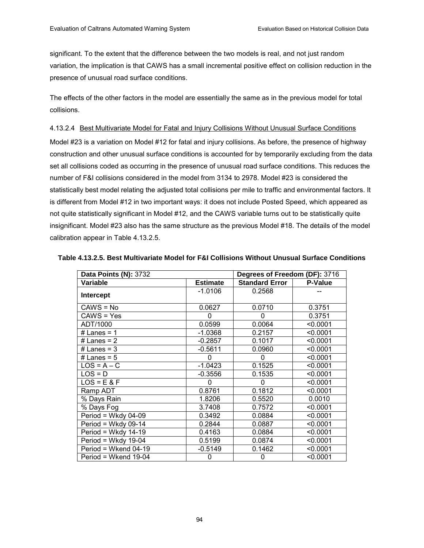significant. To the extent that the difference between the two models is real, and not just random variation, the implication is that CAWS has a small incremental positive effect on collision reduction in the presence of unusual road surface conditions.

The effects of the other factors in the model are essentially the same as in the previous model for total collisions.

## 4.13.2.4 Best Multivariate Model for Fatal and Injury Collisions Without Unusual Surface Conditions

Model #23 is a variation on Model #12 for fatal and injury collisions. As before, the presence of highway construction and other unusual surface conditions is accounted for by temporarily excluding from the data set all collisions coded as occurring in the presence of unusual road surface conditions. This reduces the number of F&I collisions considered in the model from 3134 to 2978. Model #23 is considered the statistically best model relating the adjusted total collisions per mile to traffic and environmental factors. It is different from Model #12 in two important ways: it does not include Posted Speed, which appeared as not quite statistically significant in Model #12, and the CAWS variable turns out to be statistically quite insignificant. Model #23 also has the same structure as the previous Model #18. The details of the model calibration appear in Table 4.13.2.5.

| <b>Data Points (N): 3732</b> |                 | Degrees of Freedom (DF): 3716 |                |  |
|------------------------------|-----------------|-------------------------------|----------------|--|
| Variable                     | <b>Estimate</b> | <b>Standard Error</b>         | <b>P-Value</b> |  |
| Intercept                    | $-1.0106$       | 0.2568                        |                |  |
| $CAWS = No$                  | 0.0627          | 0.0710                        | 0.3751         |  |
| CAWS = Yes                   | $\Omega$        | 0                             | 0.3751         |  |
| ADT/1000                     | 0.0599          | 0.0064                        | < 0.0001       |  |
| # Lanes = $1$                | $-1.0368$       | 0.2157                        | < 0.0001       |  |
| # Lanes = $2$                | $-0.2857$       | 0.1017                        | < 0.0001       |  |
| # Lanes = $3$                | $-0.5611$       | 0.0960                        | < 0.0001       |  |
| # Lanes = $5$                | 0               | 0                             | < 0.0001       |  |
| $LOS = A - C$                | $-1.0423$       | 0.1525                        | < 0.0001       |  |
| $LOS = D$                    | $-0.3556$       | 0.1535                        | < 0.0001       |  |
| $LOS = E & F$                | 0               | 0                             | < 0.0001       |  |
| Ramp ADT                     | 0.8761          | 0.1812                        | < 0.0001       |  |
| % Days Rain                  | 1.8206          | 0.5520                        | 0.0010         |  |
| % Days Fog                   | 3.7408          | 0.7572                        | < 0.0001       |  |
| Period = Wkdy 04-09          | 0.3492          | 0.0884                        | < 0.0001       |  |
| Period = Wkdy 09-14          | 0.2844          | 0.0887                        | < 0.0001       |  |
| Period = Wkdy $14-19$        | 0.4163          | 0.0884                        | < 0.0001       |  |
| Period = Wkdy 19-04          | 0.5199          | 0.0874                        | < 0.0001       |  |
| $Period = Wkend 04-19$       | $-0.5149$       | 0.1462                        | < 0.0001       |  |
| Period = Wkend 19-04         | 0               | 0                             | < 0.0001       |  |

#### **Table 4.13.2.5. Best Multivariate Model for F&I Collisions Without Unusual Surface Conditions**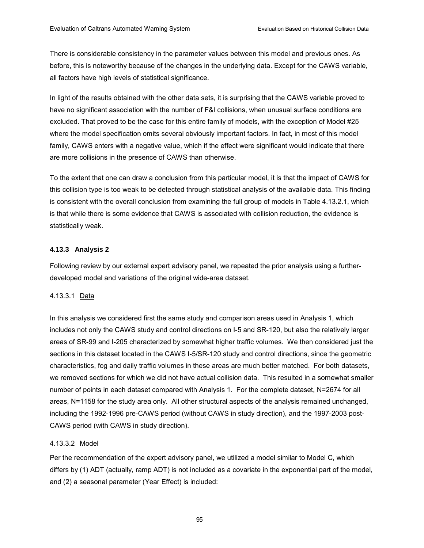There is considerable consistency in the parameter values between this model and previous ones. As before, this is noteworthy because of the changes in the underlying data. Except for the CAWS variable, all factors have high levels of statistical significance.

In light of the results obtained with the other data sets, it is surprising that the CAWS variable proved to have no significant association with the number of F&I collisions, when unusual surface conditions are excluded. That proved to be the case for this entire family of models, with the exception of Model #25 where the model specification omits several obviously important factors. In fact, in most of this model family, CAWS enters with a negative value, which if the effect were significant would indicate that there are more collisions in the presence of CAWS than otherwise.

To the extent that one can draw a conclusion from this particular model, it is that the impact of CAWS for this collision type is too weak to be detected through statistical analysis of the available data. This finding is consistent with the overall conclusion from examining the full group of models in Table 4.13.2.1, which is that while there is some evidence that CAWS is associated with collision reduction, the evidence is statistically weak.

## **4.13.3 Analysis 2**

Following review by our external expert advisory panel, we repeated the prior analysis using a furtherdeveloped model and variations of the original wide-area dataset.

## 4.13.3.1 Data

In this analysis we considered first the same study and comparison areas used in Analysis 1, which includes not only the CAWS study and control directions on I-5 and SR-120, but also the relatively larger areas of SR-99 and I-205 characterized by somewhat higher traffic volumes. We then considered just the sections in this dataset located in the CAWS I-5/SR-120 study and control directions, since the geometric characteristics, fog and daily traffic volumes in these areas are much better matched. For both datasets, we removed sections for which we did not have actual collision data. This resulted in a somewhat smaller number of points in each dataset compared with Analysis 1. For the complete dataset, N=2674 for all areas, N=1158 for the study area only. All other structural aspects of the analysis remained unchanged, including the 1992-1996 pre-CAWS period (without CAWS in study direction), and the 1997-2003 post-CAWS period (with CAWS in study direction).

## 4.13.3.2 Model

Per the recommendation of the expert advisory panel, we utilized a model similar to Model C, which differs by (1) ADT (actually, ramp ADT) is not included as a covariate in the exponential part of the model, and (2) a seasonal parameter (Year Effect) is included: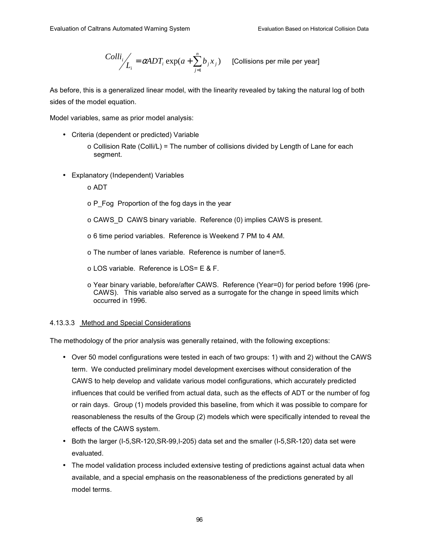$$
Colli_j/
$$
<sub>L<sub>i</sub></sub> =  $\alpha$ ADT<sub>i</sub> exp( $a + \sum_{j=1}^{n} b_j x_j$ ) [Collisions per mile per year]

As before, this is a generalized linear model, with the linearity revealed by taking the natural log of both sides of the model equation.

Model variables, same as prior model analysis:

- Criteria (dependent or predicted) Variable
	- $\circ$  Collision Rate (Colli/L) = The number of collisions divided by Length of Lane for each segment.
- Explanatory (Independent) Variables
	- $\circ$  ADT
	- $\circ$  P\_Fog Proportion of the fog days in the year
	- o CAWS\_D CAWS binary variable. Reference (0) implies CAWS is present.
	- o 6 time period variables. Reference is Weekend 7 PM to 4 AM.
	- o The number of lanes variable. Reference is number of lane=5.
	- o LOS variable. Reference is LOS= E & F.
	- o Year binary variable, before/after CAWS. Reference (Year=0) for period before 1996 (pre-CAWS). This variable also served as a surrogate for the change in speed limits which occurred in 1996.

#### 4.13.3.3 Method and Special Considerations

The methodology of the prior analysis was generally retained, with the following exceptions:

- Over 50 model configurations were tested in each of two groups: 1) with and 2) without the CAWS term. We conducted preliminary model development exercises without consideration of the CAWS to help develop and validate various model configurations, which accurately predicted influences that could be verified from actual data, such as the effects of ADT or the number of fog or rain days. Group (1) models provided this baseline, from which it was possible to compare for reasonableness the results of the Group (2) models which were specifically intended to reveal the effects of the CAWS system.
- Both the larger (I-5, SR-120, SR-99, I-205) data set and the smaller (I-5, SR-120) data set were evaluated.
- The model validation process included extensive testing of predictions against actual data when available, and a special emphasis on the reasonableness of the predictions generated by all model terms.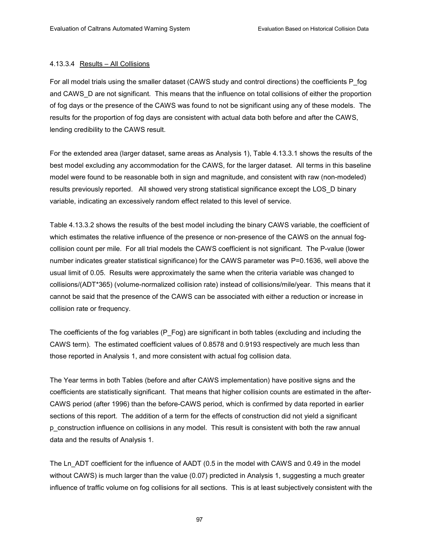#### 4.13.3.4 Results - All Collisions

For all model trials using the smaller dataset (CAWS study and control directions) the coefficients P\_fog and CAWS\_D are not significant. This means that the influence on total collisions of either the proportion of fog days or the presence of the CAWS was found to not be significant using any of these models. The results for the proportion of fog days are consistent with actual data both before and after the CAWS, lending credibility to the CAWS result.

For the extended area (larger dataset, same areas as Analysis 1), Table 4.13.3.1 shows the results of the best model excluding any accommodation for the CAWS, for the larger dataset. All terms in this baseline model were found to be reasonable both in sign and magnitude, and consistent with raw (non-modeled) results previously reported. All showed very strong statistical significance except the LOS\_D binary variable, indicating an excessively random effect related to this level of service.

Table 4.13.3.2 shows the results of the best model including the binary CAWS variable, the coefficient of which estimates the relative influence of the presence or non-presence of the CAWS on the annual fogcollision count per mile. For all trial models the CAWS coefficient is not significant. The P-value (lower number indicates greater statistical significance) for the CAWS parameter was P=0.1636, well above the usual limit of 0.05. Results were approximately the same when the criteria variable was changed to collisions/(ADT\*365) (volume-normalized collision rate) instead of collisions/mile/year. This means that it cannot be said that the presence of the CAWS can be associated with either a reduction or increase in collision rate or frequency.

The coefficients of the fog variables (P\_Fog) are significant in both tables (excluding and including the CAWS term). The estimated coefficient values of 0.8578 and 0.9193 respectively are much less than those reported in Analysis 1, and more consistent with actual fog collision data.

The Year terms in both Tables (before and after CAWS implementation) have positive signs and the coefficients are statistically significant. That means that higher collision counts are estimated in the after-CAWS period (after 1996) than the before-CAWS period, which is confirmed by data reported in earlier sections of this report. The addition of a term for the effects of construction did not yield a significant p\_construction influence on collisions in any model. This result is consistent with both the raw annual data and the results of Analysis 1.

The Ln\_ADT coefficient for the influence of AADT (0.5 in the model with CAWS and 0.49 in the model without CAWS) is much larger than the value (0.07) predicted in Analysis 1, suggesting a much greater influence of traffic volume on fog collisions for all sections. This is at least subjectively consistent with the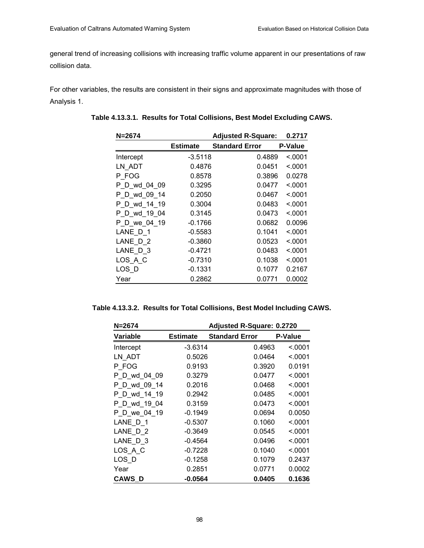general trend of increasing collisions with increasing traffic volume apparent in our presentations of raw collision data.

For other variables, the results are consistent in their signs and approximate magnitudes with those of Analysis 1.

| $N = 2674$   |                 | <b>Adjusted R-Square:</b> | 0.2717  |
|--------------|-----------------|---------------------------|---------|
|              | <b>Estimate</b> | <b>Standard Error</b>     | P-Value |
| Intercept    | $-3.5118$       | 0.4889                    | < 0001  |
| LN ADT       | 0.4876          | 0.0451                    | < 0001  |
| P FOG        | 0.8578          | 0.3896                    | 0.0278  |
| P D wd 04 09 | 0.3295          | 0.0477                    | < 0001  |
| P_D_wd_09_14 | 0.2050          | 0.0467                    | < 0001  |
| P D wd 14 19 | 0.3004          | 0.0483                    | < 0001  |
| P_D_wd_19_04 | 0.3145          | 0.0473                    | < 0001  |
| P D we 04 19 | $-0.1766$       | 0.0682                    | 0.0096  |
| LANE D 1     | $-0.5583$       | 0.1041                    | <.0001  |
| LANE D 2     | $-0.3860$       | 0.0523                    | < 0001  |
| LANE D 3     | $-0.4721$       | 0.0483                    | < 0001  |
| LOS A C      | $-0.7310$       | 0.1038                    | < 0001  |
| $LOS_D$      | $-0.1331$       | 0.1077                    | 0.2167  |
| Year         | 0.2862          | 0.0771                    | 0.0002  |

**Table 4.13.3.1. Results for Total Collisions, Best Model Excluding CAWS.** 

|  |  | Table 4.13.3.2. Results for Total Collisions, Best Model Including CAWS. |  |  |  |
|--|--|--------------------------------------------------------------------------|--|--|--|
|--|--|--------------------------------------------------------------------------|--|--|--|

| $N = 2674$   |                 | <b>Adjusted R-Square: 0.2720</b> |         |
|--------------|-----------------|----------------------------------|---------|
| Variable     | <b>Estimate</b> | <b>Standard Error</b>            | P-Value |
| Intercept    | $-3.6314$       | 0.4963                           | < 0.001 |
| LN ADT       | 0.5026          | 0.0464                           | < 0001  |
| P FOG        | 0.9193          | 0.3920                           | 0.0191  |
| P D wd 04 09 | 0.3279          | 0.0477                           | < 0.001 |
| P D wd 09 14 | 0.2016          | 0.0468                           | < 0.001 |
| P D wd 14 19 | 0.2942          | 0.0485                           | < 0001  |
| P D wd 19 04 | 0.3159          | 0.0473                           | < 0.001 |
| P D we 04 19 | $-0.1949$       | 0.0694                           | 0.0050  |
| LANE D 1     | $-0.5307$       | 0.1060                           | < 0.001 |
| LANE D 2     | $-0.3649$       | 0.0545                           | < 0.001 |
| LANE D 3     | $-0.4564$       | 0.0496                           | < 0.001 |
| $LOS_A_C$    | $-0.7228$       | 0.1040                           | < 0001  |
| LOS_D        | $-0.1258$       | 0.1079                           | 0.2437  |
| Year         | 0.2851          | 0.0771                           | 0.0002  |
| CAWS_D       | $-0.0564$       | 0.0405                           | 0.1636  |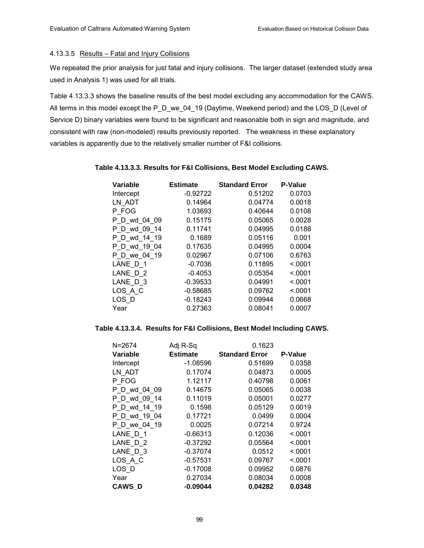## 4.13.3.5 Results - Fatal and Injury Collisions

We repeated the prior analysis for just fatal and injury collisions. The larger dataset (extended study area used in Analysis 1) was used for all trials.

Table 4.13.3.3 shows the baseline results of the best model excluding any accommodation for the CAWS. All terms in this model except the P\_D\_we\_04\_19 (Daytime, Weekend period) and the LOS\_D (Level of Service D) binary variables were found to be significant and reasonable both in sign and magnitude, and consistent with raw (non-modeled) results previously reported. The weakness in these explanatory variables is apparently due to the relatively smaller number of F&I collisions.

| Variable     | <b>Estimate</b> | <b>Standard Error</b> | <b>P-Value</b> |
|--------------|-----------------|-----------------------|----------------|
| Intercept    | $-0.92722$      | 0.51202               | 0.0703         |
| LN ADT       | 0.14964         | 0.04774               | 0.0018         |
| P FOG        | 1.03693         | 0.40644               | 0.0108         |
| P D wd 04 09 | 0.15175         | 0.05065               | 0.0028         |
| P_D_wd_09 14 | 0.11741         | 0.04995               | 0.0188         |
| P D wd 14 19 | 0.1689          | 0.05116               | 0.001          |
| P D wd 19 04 | 0.17635         | 0.04995               | 0.0004         |
| P D we 04 19 | 0.02967         | 0.07106               | 0.6763         |
| LANE D 1     | $-0.7036$       | 0.11895               | < 0001         |
| LANE D 2     | $-0.4053$       | 0.05354               | < 0001         |
| LANE D 3     | $-0.39533$      | 0.04991               | < 0001         |
| LOS A C      | $-0.58685$      | 0.09762               | < 0001         |
| LOS D        | $-0.18243$      | 0.09944               | 0.0668         |
| Year         | 0.27363         | 0.08041               | 0.0007         |

## **Table 4.13.3.3. Results for F&I Collisions, Best Model Excluding CAWS.**

## **Table 4.13.3.4. Results for F&I Collisions, Best Model Including CAWS.**

| $N = 2674$    | Adj R-Sq        | 0.1623                |                |
|---------------|-----------------|-----------------------|----------------|
| Variable      | <b>Estimate</b> | <b>Standard Error</b> | <b>P-Value</b> |
| Intercept     | $-1.08596$      | 0.51699               | 0.0358         |
| LN ADT        | 0.17074         | 0.04873               | 0.0005         |
| P FOG         | 1.12117         | 0.40798               | 0.0061         |
| P D wd 04 09  | 0.14675         | 0.05065               | 0.0038         |
| P D wd 09 14  | 0.11019         | 0.05001               | 0.0277         |
| P D wd 14 19  | 0.1598          | 0.05129               | 0.0019         |
| P D wd 19 04  | 0.17721         | 0.0499                | 0.0004         |
| P D we 04 19  | 0.0025          | 0.07214               | 0.9724         |
| LANE D 1      | $-0.66313$      | 0.12036               | < 0001         |
| LANE D 2      | $-0.37292$      | 0.05564               | < 0001         |
| LANE D 3      | $-0.37074$      | 0.0512                | < 0.001        |
| $LOS_A_C$     | $-0.57531$      | 0.09767               | < 0001         |
| LOS D         | $-0.17008$      | 0.09952               | 0.0876         |
| Year          | 0.27034         | 0.08034               | 0.0008         |
| <b>CAWS D</b> | $-0.09044$      | 0.04282               | 0.0348         |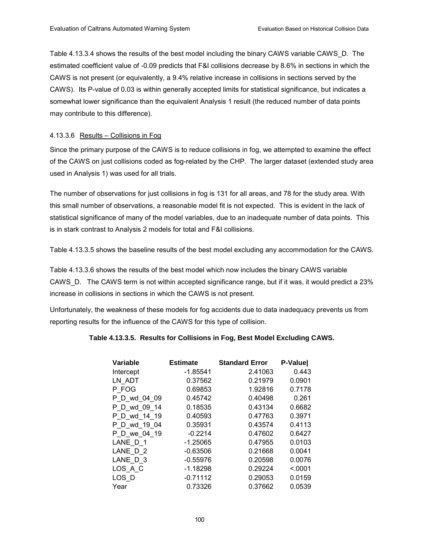Table 4.13.3.4 shows the results of the best model including the binary CAWS variable CAWS\_D. The estimated coefficient value of -0.09 predicts that F&I collisions decrease by 8.6% in sections in which the CAWS is not present (or equivalently, a 9.4% relative increase in collisions in sections served by the CAWS). Its P-value of 0.03 is within generally accepted limits for statistical significance, but indicates a somewhat lower significance than the equivalent Analysis 1 result (the reduced number of data points may contribute to this difference).

### 4.13.3.6 Results – Collisions in Fog

Since the primary purpose of the CAWS is to reduce collisions in fog, we attempted to examine the effect of the CAWS on just collisions coded as fog-related by the CHP. The larger dataset (extended study area used in Analysis 1) was used for all trials.

The number of observations for just collisions in fog is 131 for all areas, and 78 for the study area. With this small number of observations, a reasonable model fit is not expected. This is evident in the lack of statistical significance of many of the model variables, due to an inadequate number of data points. This is in stark contrast to Analysis 2 models for total and F&I collisions.

Table 4.13.3.5 shows the baseline results of the best model excluding any accommodation for the CAWS.

Table 4.13.3.6 shows the results of the best model which now includes the binary CAWS variable CAWS\_D. The CAWS term is not within accepted significance range, but if it was, it would predict a 23% increase in collisions in sections in which the CAWS is not present.

Unfortunately, the weakness of these models for fog accidents due to data inadequacy prevents us from reporting results for the influence of the CAWS for this type of collision.

## **Table 4.13.3.5. Results for Collisions in Fog, Best Model Excluding CAWS.**

| Variable     | <b>Estimate</b> | <b>Standard Error</b> | P-Valuel |
|--------------|-----------------|-----------------------|----------|
| Intercept    | $-1.85541$      | 2.41063               | 0.443    |
| LN ADT       | 0.37562         | 0.21979               | 0.0901   |
| P FOG        | 0.69853         | 1.92816               | 0.7178   |
| P D wd 04 09 | 0.45742         | 0.40498               | 0.261    |
| P D wd 09 14 | 0.18535         | 0.43134               | 0.6682   |
| P D wd 14 19 | 0.40593         | 0.47763               | 0.3971   |
| P D wd 19 04 | 0.35931         | 0.43574               | 0.4113   |
| P D we 04 19 | $-0.2214$       | 0.47602               | 0.6427   |
| LANE D 1     | $-1.25065$      | 0.47955               | 0.0103   |
| LANE D 2     | $-0.63506$      | 0.21668               | 0.0041   |
| LANE D 3     | $-0.55976$      | 0.20598               | 0.0076   |
| LOS A C      | $-1.18298$      | 0.29224               | < 0.001  |
| LOS D        | $-0.71112$      | 0.29053               | 0.0159   |
| Year         | 0.73326         | 0.37662               | 0.0539   |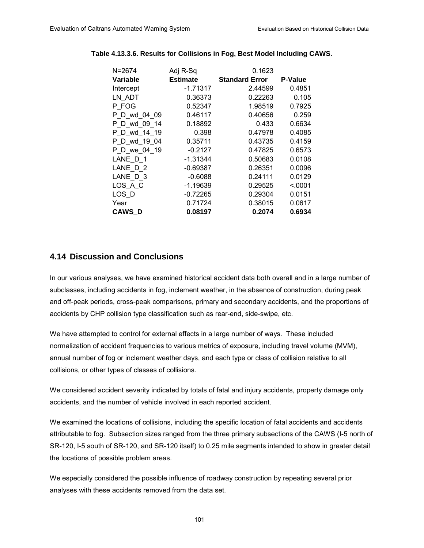| N=2674        | Adj R-Sq        | 0.1623                |                |
|---------------|-----------------|-----------------------|----------------|
| Variable      | <b>Estimate</b> | <b>Standard Error</b> | <b>P-Value</b> |
| Intercept     | -1.71317        | 2.44599               | 0.4851         |
| LN ADT        | 0.36373         | 0.22263               | 0.105          |
| P FOG         | 0.52347         | 1.98519               | 0.7925         |
| P D wd 04 09  | 0.46117         | 0.40656               | 0.259          |
| P D wd 09 14  | 0.18892         | 0.433                 | 0.6634         |
| P D wd 14 19  | 0.398           | 0.47978               | 0.4085         |
| P D wd 19 04  | 0.35711         | 0.43735               | 0.4159         |
| P D we 04 19  | $-0.2127$       | 0.47825               | 0.6573         |
| LANE D 1      | -1.31344        | 0.50683               | 0.0108         |
| LANE D 2      | -0.69387        | 0.26351               | 0.0096         |
| LANE D 3      | $-0.6088$       | 0.24111               | 0.0129         |
| LOS A C       | $-1.19639$      | 0.29525               | < 0001         |
| LOS D         | $-0.72265$      | 0.29304               | 0.0151         |
| Year          | 0.71724         | 0.38015               | 0.0617         |
| <b>CAWS D</b> | 0.08197         | 0.2074                | 0.6934         |

## **Table 4.13.3.6. Results for Collisions in Fog, Best Model Including CAWS.**

# **4.14 Discussion and Conclusions**

In our various analyses, we have examined historical accident data both overall and in a large number of subclasses, including accidents in fog, inclement weather, in the absence of construction, during peak and off-peak periods, cross-peak comparisons, primary and secondary accidents, and the proportions of accidents by CHP collision type classification such as rear-end, side-swipe, etc.

We have attempted to control for external effects in a large number of ways. These included normalization of accident frequencies to various metrics of exposure, including travel volume (MVM), annual number of fog or inclement weather days, and each type or class of collision relative to all collisions, or other types of classes of collisions.

We considered accident severity indicated by totals of fatal and injury accidents, property damage only accidents, and the number of vehicle involved in each reported accident.

We examined the locations of collisions, including the specific location of fatal accidents and accidents attributable to fog. Subsection sizes ranged from the three primary subsections of the CAWS (I-5 north of SR-120, I-5 south of SR-120, and SR-120 itself) to 0.25 mile segments intended to show in greater detail the locations of possible problem areas.

We especially considered the possible influence of roadway construction by repeating several prior analyses with these accidents removed from the data set.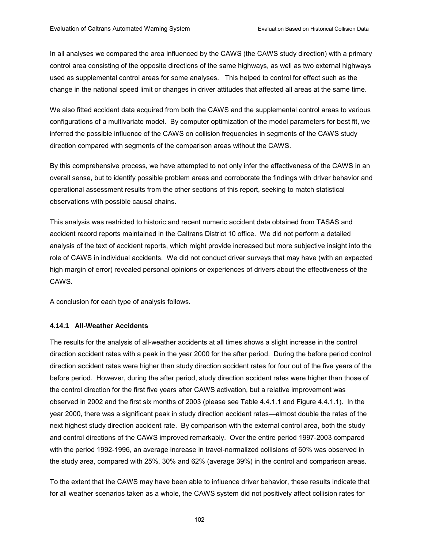In all analyses we compared the area influenced by the CAWS (the CAWS study direction) with a primary control area consisting of the opposite directions of the same highways, as well as two external highways used as supplemental control areas for some analyses. This helped to control for effect such as the change in the national speed limit or changes in driver attitudes that affected all areas at the same time.

We also fitted accident data acquired from both the CAWS and the supplemental control areas to various configurations of a multivariate model. By computer optimization of the model parameters for best fit, we inferred the possible influence of the CAWS on collision frequencies in segments of the CAWS study direction compared with segments of the comparison areas without the CAWS.

By this comprehensive process, we have attempted to not only infer the effectiveness of the CAWS in an overall sense, but to identify possible problem areas and corroborate the findings with driver behavior and operational assessment results from the other sections of this report, seeking to match statistical observations with possible causal chains.

This analysis was restricted to historic and recent numeric accident data obtained from TASAS and accident record reports maintained in the Caltrans District 10 office. We did not perform a detailed analysis of the text of accident reports, which might provide increased but more subjective insight into the role of CAWS in individual accidents. We did not conduct driver surveys that may have (with an expected high margin of error) revealed personal opinions or experiences of drivers about the effectiveness of the CAWS.

A conclusion for each type of analysis follows.

#### **4.14.1 All-Weather Accidents**

The results for the analysis of all-weather accidents at all times shows a slight increase in the control direction accident rates with a peak in the year 2000 for the after period. During the before period control direction accident rates were higher than study direction accident rates for four out of the five years of the before period. However, during the after period, study direction accident rates were higher than those of the control direction for the first five years after CAWS activation, but a relative improvement was observed in 2002 and the first six months of 2003 (please see Table 4.4.1.1 and Figure 4.4.1.1). In the year 2000, there was a significant peak in study direction accident rates—almost double the rates of the next highest study direction accident rate. By comparison with the external control area, both the study and control directions of the CAWS improved remarkably. Over the entire period 1997-2003 compared with the period 1992-1996, an average increase in travel-normalized collisions of 60% was observed in the study area, compared with 25%, 30% and 62% (average 39%) in the control and comparison areas.

To the extent that the CAWS may have been able to influence driver behavior, these results indicate that for all weather scenarios taken as a whole, the CAWS system did not positively affect collision rates for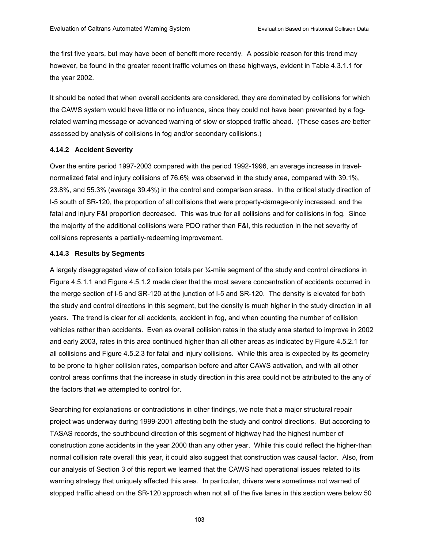the first five years, but may have been of benefit more recently. A possible reason for this trend may however, be found in the greater recent traffic volumes on these highways, evident in Table 4.3.1.1 for the year 2002.

It should be noted that when overall accidents are considered, they are dominated by collisions for which the CAWS system would have little or no influence, since they could not have been prevented by a fogrelated warning message or advanced warning of slow or stopped traffic ahead. (These cases are better assessed by analysis of collisions in fog and/or secondary collisions.)

#### **4.14.2 Accident Severity**

Over the entire period 1997-2003 compared with the period 1992-1996, an average increase in travelnormalized fatal and injury collisions of 76.6% was observed in the study area, compared with 39.1%, 23.8%, and 55.3% (average 39.4%) in the control and comparison areas. In the critical study direction of I-5 south of SR-120, the proportion of all collisions that were property-damage-only increased, and the fatal and injury F&I proportion decreased. This was true for all collisions and for collisions in fog. Since the majority of the additional collisions were PDO rather than F&I, this reduction in the net severity of collisions represents a partially-redeeming improvement.

#### **4.14.3 Results by Segments**

A largely disaggregated view of collision totals per  $\frac{1}{4}$ -mile segment of the study and control directions in Figure 4.5.1.1 and Figure 4.5.1.2 made clear that the most severe concentration of accidents occurred in the merge section of I-5 and SR-120 at the junction of I-5 and SR-120. The density is elevated for both the study and control directions in this segment, but the density is much higher in the study direction in all years. The trend is clear for all accidents, accident in fog, and when counting the number of collision vehicles rather than accidents. Even as overall collision rates in the study area started to improve in 2002 and early 2003, rates in this area continued higher than all other areas as indicated by Figure 4.5.2.1 for all collisions and Figure 4.5.2.3 for fatal and injury collisions. While this area is expected by its geometry to be prone to higher collision rates, comparison before and after CAWS activation, and with all other control areas confirms that the increase in study direction in this area could not be attributed to the any of the factors that we attempted to control for.

Searching for explanations or contradictions in other findings, we note that a major structural repair project was underway during 1999-2001 affecting both the study and control directions. But according to TASAS records, the southbound direction of this segment of highway had the highest number of construction zone accidents in the year 2000 than any other year. While this could reflect the higher-than normal collision rate overall this year, it could also suggest that construction was causal factor. Also, from our analysis of Section 3 of this report we learned that the CAWS had operational issues related to its warning strategy that uniquely affected this area. In particular, drivers were sometimes not warned of stopped traffic ahead on the SR-120 approach when not all of the five lanes in this section were below 50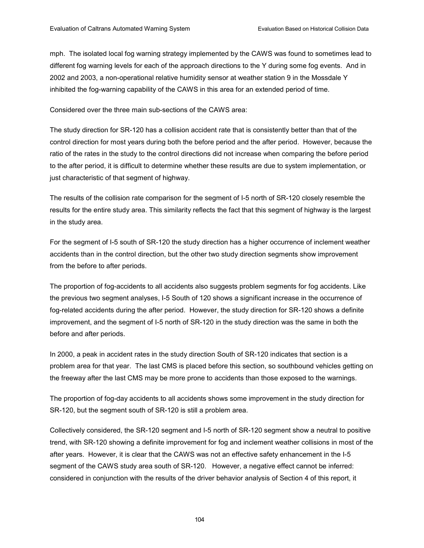mph. The isolated local fog warning strategy implemented by the CAWS was found to sometimes lead to different fog warning levels for each of the approach directions to the Y during some fog events. And in 2002 and 2003, a non-operational relative humidity sensor at weather station 9 in the Mossdale Y inhibited the fog-warning capability of the CAWS in this area for an extended period of time.

Considered over the three main sub-sections of the CAWS area:

The study direction for SR-120 has a collision accident rate that is consistently better than that of the control direction for most years during both the before period and the after period. However, because the ratio of the rates in the study to the control directions did not increase when comparing the before period to the after period, it is difficult to determine whether these results are due to system implementation, or just characteristic of that segment of highway.

The results of the collision rate comparison for the segment of I-5 north of SR-120 closely resemble the results for the entire study area. This similarity reflects the fact that this segment of highway is the largest in the study area.

For the segment of I-5 south of SR-120 the study direction has a higher occurrence of inclement weather accidents than in the control direction, but the other two study direction segments show improvement from the before to after periods.

The proportion of fog-accidents to all accidents also suggests problem segments for fog accidents. Like the previous two segment analyses, I-5 South of 120 shows a significant increase in the occurrence of fog-related accidents during the after period. However, the study direction for SR-120 shows a definite improvement, and the segment of I-5 north of SR-120 in the study direction was the same in both the before and after periods.

In 2000, a peak in accident rates in the study direction South of SR-120 indicates that section is a problem area for that year. The last CMS is placed before this section, so southbound vehicles getting on the freeway after the last CMS may be more prone to accidents than those exposed to the warnings.

The proportion of fog-day accidents to all accidents shows some improvement in the study direction for SR-120, but the segment south of SR-120 is still a problem area.

Collectively considered, the SR-120 segment and I-5 north of SR-120 segment show a neutral to positive trend, with SR-120 showing a definite improvement for fog and inclement weather collisions in most of the after years. However, it is clear that the CAWS was not an effective safety enhancement in the I-5 segment of the CAWS study area south of SR-120. However, a negative effect cannot be inferred: considered in conjunction with the results of the driver behavior analysis of Section 4 of this report, it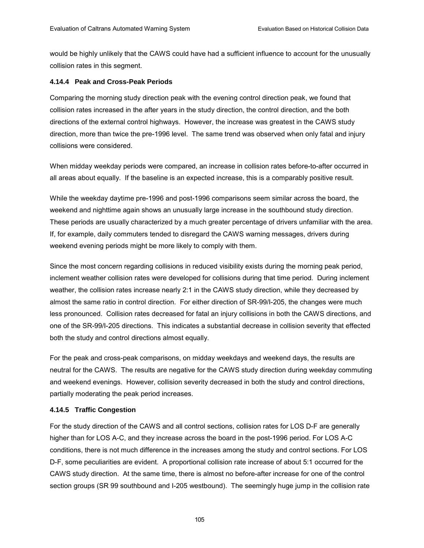would be highly unlikely that the CAWS could have had a sufficient influence to account for the unusually collision rates in this segment.

# **4.14.4 Peak and Cross-Peak Periods**

Comparing the morning study direction peak with the evening control direction peak, we found that collision rates increased in the after years in the study direction, the control direction, and the both directions of the external control highways. However, the increase was greatest in the CAWS study direction, more than twice the pre-1996 level. The same trend was observed when only fatal and injury collisions were considered.

When midday weekday periods were compared, an increase in collision rates before-to-after occurred in all areas about equally. If the baseline is an expected increase, this is a comparably positive result.

While the weekday daytime pre-1996 and post-1996 comparisons seem similar across the board, the weekend and nighttime again shows an unusually large increase in the southbound study direction. These periods are usually characterized by a much greater percentage of drivers unfamiliar with the area. If, for example, daily commuters tended to disregard the CAWS warning messages, drivers during weekend evening periods might be more likely to comply with them.

Since the most concern regarding collisions in reduced visibility exists during the morning peak period, inclement weather collision rates were developed for collisions during that time period. During inclement weather, the collision rates increase nearly 2:1 in the CAWS study direction, while they decreased by almost the same ratio in control direction. For either direction of SR-99/I-205, the changes were much less pronounced. Collision rates decreased for fatal an injury collisions in both the CAWS directions, and one of the SR-99/I-205 directions. This indicates a substantial decrease in collision severity that effected both the study and control directions almost equally.

For the peak and cross-peak comparisons, on midday weekdays and weekend days, the results are neutral for the CAWS. The results are negative for the CAWS study direction during weekday commuting and weekend evenings. However, collision severity decreased in both the study and control directions, partially moderating the peak period increases.

# **4.14.5 Traffic Congestion**

For the study direction of the CAWS and all control sections, collision rates for LOS D-F are generally higher than for LOS A-C, and they increase across the board in the post-1996 period. For LOS A-C conditions, there is not much difference in the increases among the study and control sections. For LOS D-F, some peculiarities are evident. A proportional collision rate increase of about 5:1 occurred for the CAWS study direction. At the same time, there is almost no before-after increase for one of the control section groups (SR 99 southbound and I-205 westbound). The seemingly huge jump in the collision rate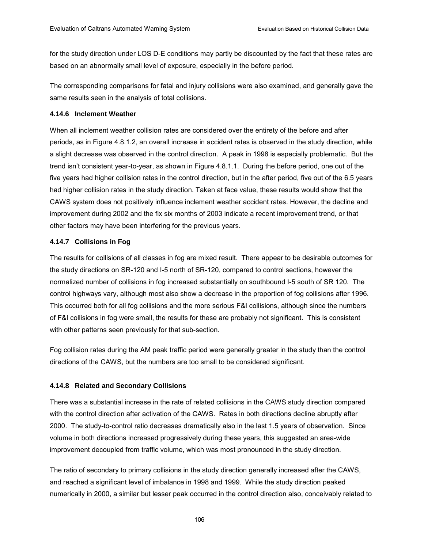for the study direction under LOS D-E conditions may partly be discounted by the fact that these rates are based on an abnormally small level of exposure, especially in the before period.

The corresponding comparisons for fatal and injury collisions were also examined, and generally gave the same results seen in the analysis of total collisions.

#### **4.14.6 Inclement Weather**

When all inclement weather collision rates are considered over the entirety of the before and after periods, as in Figure 4.8.1.2, an overall increase in accident rates is observed in the study direction, while a slight decrease was observed in the control direction. A peak in 1998 is especially problematic. But the trend isnít consistent year-to-year, as shown in Figure 4.8.1.1. During the before period, one out of the five years had higher collision rates in the control direction, but in the after period, five out of the 6.5 years had higher collision rates in the study direction. Taken at face value, these results would show that the CAWS system does not positively influence inclement weather accident rates. However, the decline and improvement during 2002 and the fix six months of 2003 indicate a recent improvement trend, or that other factors may have been interfering for the previous years.

#### **4.14.7 Collisions in Fog**

The results for collisions of all classes in fog are mixed result. There appear to be desirable outcomes for the study directions on SR-120 and I-5 north of SR-120, compared to control sections, however the normalized number of collisions in fog increased substantially on southbound I-5 south of SR 120. The control highways vary, although most also show a decrease in the proportion of fog collisions after 1996. This occurred both for all fog collisions and the more serious F&I collisions, although since the numbers of F&I collisions in fog were small, the results for these are probably not significant. This is consistent with other patterns seen previously for that sub-section.

Fog collision rates during the AM peak traffic period were generally greater in the study than the control directions of the CAWS, but the numbers are too small to be considered significant.

# **4.14.8 Related and Secondary Collisions**

There was a substantial increase in the rate of related collisions in the CAWS study direction compared with the control direction after activation of the CAWS. Rates in both directions decline abruptly after 2000. The study-to-control ratio decreases dramatically also in the last 1.5 years of observation. Since volume in both directions increased progressively during these years, this suggested an area-wide improvement decoupled from traffic volume, which was most pronounced in the study direction.

The ratio of secondary to primary collisions in the study direction generally increased after the CAWS, and reached a significant level of imbalance in 1998 and 1999. While the study direction peaked numerically in 2000, a similar but lesser peak occurred in the control direction also, conceivably related to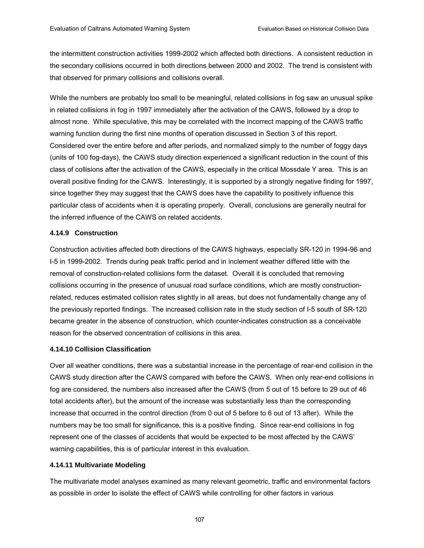the intermittent construction activities 1999-2002 which affected both directions. A consistent reduction in the secondary collisions occurred in both directions between 2000 and 2002. The trend is consistent with that observed for primary collisions and collisions overall.

While the numbers are probably too small to be meaningful, related collisions in fog saw an unusual spike in related collisions in fog in 1997 immediately after the activation of the CAWS, followed by a drop to almost none. While speculative, this may be correlated with the incorrect mapping of the CAWS traffic warning function during the first nine months of operation discussed in Section 3 of this report. Considered over the entire before and after periods, and normalized simply to the number of foggy days (units of 100 fog-days), the CAWS study direction experienced a significant reduction in the count of this class of collisions after the activation of the CAWS, especially in the critical Mossdale Y area. This is an overall positive finding for the CAWS. Interestingly, it is supported by a strongly negative finding for 1997, since together they may suggest that the CAWS does have the capability to positively influence this particular class of accidents when it is operating properly. Overall, conclusions are generally neutral for the inferred influence of the CAWS on related accidents.

# **4.14.9 Construction**

Construction activities affected both directions of the CAWS highways, especially SR-120 in 1994-96 and I-5 in 1999-2002. Trends during peak traffic period and in inclement weather differed little with the removal of construction-related collisions form the dataset. Overall it is concluded that removing collisions occurring in the presence of unusual road surface conditions, which are mostly constructionrelated, reduces estimated collision rates slightly in all areas, but does not fundamentally change any of the previously reported findings. The increased collision rate in the study section of I-5 south of SR-120 became greater in the absence of construction, which counter-indicates construction as a conceivable reason for the observed concentration of collisions in this area.

# **4.14.10 Collision Classification**

Over all weather conditions, there was a substantial increase in the percentage of rear-end collision in the CAWS study direction after the CAWS compared with before the CAWS. When only rear-end collisions in fog are considered, the numbers also increased after the CAWS (from 5 out of 15 before to 29 out of 46 total accidents after), but the amount of the increase was substantially less than the corresponding increase that occurred in the control direction (from 0 out of 5 before to 6 out of 13 after). While the numbers may be too small for significance, this is a positive finding. Since rear-end collisions in fog represent one of the classes of accidents that would be expected to be most affected by the CAWS' warning capabilities, this is of particular interest in this evaluation.

# **4.14.11 Multivariate Modeling**

The multivariate model analyses examined as many relevant geometric, traffic and environmental factors as possible in order to isolate the effect of CAWS while controlling for other factors in various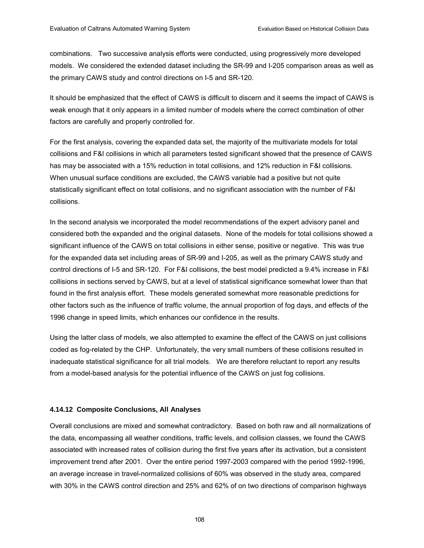combinations. Two successive analysis efforts were conducted, using progressively more developed models. We considered the extended dataset including the SR-99 and I-205 comparison areas as well as the primary CAWS study and control directions on I-5 and SR-120.

It should be emphasized that the effect of CAWS is difficult to discern and it seems the impact of CAWS is weak enough that it only appears in a limited number of models where the correct combination of other factors are carefully and properly controlled for.

For the first analysis, covering the expanded data set, the majority of the multivariate models for total collisions and F&I collisions in which all parameters tested significant showed that the presence of CAWS has may be associated with a 15% reduction in total collisions, and 12% reduction in F&I collisions. When unusual surface conditions are excluded, the CAWS variable had a positive but not quite statistically significant effect on total collisions, and no significant association with the number of F&I collisions.

In the second analysis we incorporated the model recommendations of the expert advisory panel and considered both the expanded and the original datasets. None of the models for total collisions showed a significant influence of the CAWS on total collisions in either sense, positive or negative. This was true for the expanded data set including areas of SR-99 and I-205, as well as the primary CAWS study and control directions of I-5 and SR-120. For F&I collisions, the best model predicted a 9.4% increase in F&I collisions in sections served by CAWS, but at a level of statistical significance somewhat lower than that found in the first analysis effort. These models generated somewhat more reasonable predictions for other factors such as the influence of traffic volume, the annual proportion of fog days, and effects of the 1996 change in speed limits, which enhances our confidence in the results.

Using the latter class of models, we also attempted to examine the effect of the CAWS on just collisions coded as fog-related by the CHP. Unfortunately, the very small numbers of these collisions resulted in inadequate statistical significance for all trial models. We are therefore reluctant to report any results from a model-based analysis for the potential influence of the CAWS on just fog collisions.

#### **4.14.12 Composite Conclusions, All Analyses**

Overall conclusions are mixed and somewhat contradictory. Based on both raw and all normalizations of the data, encompassing all weather conditions, traffic levels, and collision classes, we found the CAWS associated with increased rates of collision during the first five years after its activation, but a consistent improvement trend after 2001. Over the entire period 1997-2003 compared with the period 1992-1996, an average increase in travel-normalized collisions of 60% was observed in the study area, compared with 30% in the CAWS control direction and 25% and 62% of on two directions of comparison highways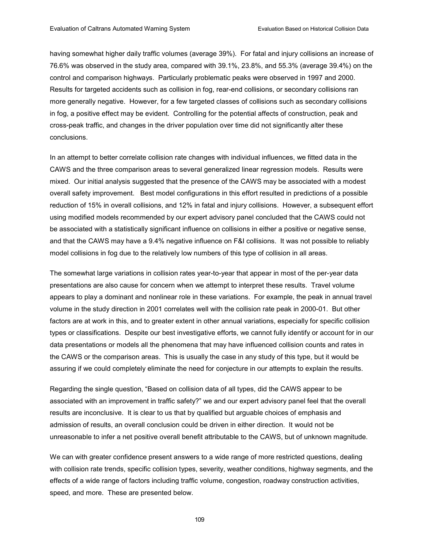having somewhat higher daily traffic volumes (average 39%). For fatal and injury collisions an increase of 76.6% was observed in the study area, compared with 39.1%, 23.8%, and 55.3% (average 39.4%) on the control and comparison highways. Particularly problematic peaks were observed in 1997 and 2000. Results for targeted accidents such as collision in fog, rear-end collisions, or secondary collisions ran more generally negative. However, for a few targeted classes of collisions such as secondary collisions in fog, a positive effect may be evident. Controlling for the potential affects of construction, peak and cross-peak traffic, and changes in the driver population over time did not significantly alter these conclusions.

In an attempt to better correlate collision rate changes with individual influences, we fitted data in the CAWS and the three comparison areas to several generalized linear regression models. Results were mixed. Our initial analysis suggested that the presence of the CAWS may be associated with a modest overall safety improvement. Best model configurations in this effort resulted in predictions of a possible reduction of 15% in overall collisions, and 12% in fatal and injury collisions. However, a subsequent effort using modified models recommended by our expert advisory panel concluded that the CAWS could not be associated with a statistically significant influence on collisions in either a positive or negative sense, and that the CAWS may have a 9.4% negative influence on F&I collisions. It was not possible to reliably model collisions in fog due to the relatively low numbers of this type of collision in all areas.

The somewhat large variations in collision rates year-to-year that appear in most of the per-year data presentations are also cause for concern when we attempt to interpret these results. Travel volume appears to play a dominant and nonlinear role in these variations. For example, the peak in annual travel volume in the study direction in 2001 correlates well with the collision rate peak in 2000-01. But other factors are at work in this, and to greater extent in other annual variations, especially for specific collision types or classifications. Despite our best investigative efforts, we cannot fully identify or account for in our data presentations or models all the phenomena that may have influenced collision counts and rates in the CAWS or the comparison areas. This is usually the case in any study of this type, but it would be assuring if we could completely eliminate the need for conjecture in our attempts to explain the results.

Regarding the single question, "Based on collision data of all types, did the CAWS appear to be associated with an improvement in traffic safety?" we and our expert advisory panel feel that the overall results are inconclusive. It is clear to us that by qualified but arguable choices of emphasis and admission of results, an overall conclusion could be driven in either direction. It would not be unreasonable to infer a net positive overall benefit attributable to the CAWS, but of unknown magnitude.

We can with greater confidence present answers to a wide range of more restricted questions, dealing with collision rate trends, specific collision types, severity, weather conditions, highway segments, and the effects of a wide range of factors including traffic volume, congestion, roadway construction activities, speed, and more. These are presented below.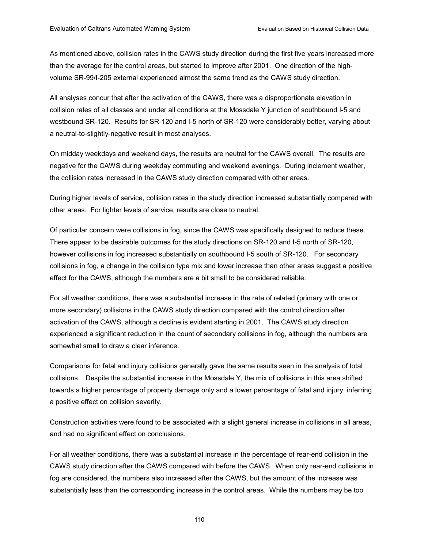As mentioned above, collision rates in the CAWS study direction during the first five years increased more than the average for the control areas, but started to improve after 2001. One direction of the highvolume SR-99/I-205 external experienced almost the same trend as the CAWS study direction.

All analyses concur that after the activation of the CAWS, there was a disproportionate elevation in collision rates of all classes and under all conditions at the Mossdale Y junction of southbound I-5 and westbound SR-120. Results for SR-120 and I-5 north of SR-120 were considerably better, varying about a neutral-to-slightly-negative result in most analyses.

On midday weekdays and weekend days, the results are neutral for the CAWS overall. The results are negative for the CAWS during weekday commuting and weekend evenings. During inclement weather, the collision rates increased in the CAWS study direction compared with other areas.

During higher levels of service, collision rates in the study direction increased substantially compared with other areas. For lighter levels of service, results are close to neutral.

Of particular concern were collisions in fog, since the CAWS was specifically designed to reduce these. There appear to be desirable outcomes for the study directions on SR-120 and I-5 north of SR-120, however collisions in fog increased substantially on southbound I-5 south of SR-120. For secondary collisions in fog, a change in the collision type mix and lower increase than other areas suggest a positive effect for the CAWS, although the numbers are a bit small to be considered reliable.

For all weather conditions, there was a substantial increase in the rate of related (primary with one or more secondary) collisions in the CAWS study direction compared with the control direction after activation of the CAWS, although a decline is evident starting in 2001. The CAWS study direction experienced a significant reduction in the count of secondary collisions in fog, although the numbers are somewhat small to draw a clear inference.

Comparisons for fatal and injury collisions generally gave the same results seen in the analysis of total collisions. Despite the substantial increase in the Mossdale Y, the mix of collisions in this area shifted towards a higher percentage of property damage only and a lower percentage of fatal and injury, inferring a positive effect on collision severity.

Construction activities were found to be associated with a slight general increase in collisions in all areas, and had no significant effect on conclusions.

For all weather conditions, there was a substantial increase in the percentage of rear-end collision in the CAWS study direction after the CAWS compared with before the CAWS. When only rear-end collisions in fog are considered, the numbers also increased after the CAWS, but the amount of the increase was substantially less than the corresponding increase in the control areas. While the numbers may be too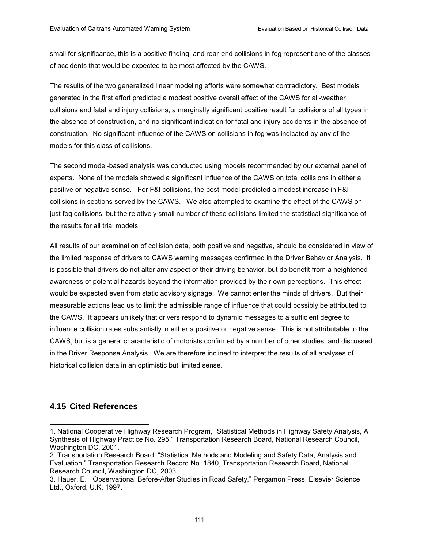small for significance, this is a positive finding, and rear-end collisions in fog represent one of the classes of accidents that would be expected to be most affected by the CAWS.

The results of the two generalized linear modeling efforts were somewhat contradictory. Best models generated in the first effort predicted a modest positive overall effect of the CAWS for all-weather collisions and fatal and injury collisions, a marginally significant positive result for collisions of all types in the absence of construction, and no significant indication for fatal and injury accidents in the absence of construction. No significant influence of the CAWS on collisions in fog was indicated by any of the models for this class of collisions.

The second model-based analysis was conducted using models recommended by our external panel of experts. None of the models showed a significant influence of the CAWS on total collisions in either a positive or negative sense. For F&I collisions, the best model predicted a modest increase in F&I collisions in sections served by the CAWS. We also attempted to examine the effect of the CAWS on just fog collisions, but the relatively small number of these collisions limited the statistical significance of the results for all trial models.

All results of our examination of collision data, both positive and negative, should be considered in view of the limited response of drivers to CAWS warning messages confirmed in the Driver Behavior Analysis. It is possible that drivers do not alter any aspect of their driving behavior, but do benefit from a heightened awareness of potential hazards beyond the information provided by their own perceptions. This effect would be expected even from static advisory signage. We cannot enter the minds of drivers. But their measurable actions lead us to limit the admissible range of influence that could possibly be attributed to the CAWS. It appears unlikely that drivers respond to dynamic messages to a sufficient degree to influence collision rates substantially in either a positive or negative sense. This is not attributable to the CAWS, but is a general characteristic of motorists confirmed by a number of other studies, and discussed in the Driver Response Analysis. We are therefore inclined to interpret the results of all analyses of historical collision data in an optimistic but limited sense.

# **4.15 Cited References**

l

<sup>1.</sup> National Cooperative Highway Research Program, "Statistical Methods in Highway Safety Analysis, A Synthesis of Highway Practice No. 295," Transportation Research Board, National Research Council, Washington DC, 2001.

<sup>2.</sup> Transportation Research Board, "Statistical Methods and Modeling and Safety Data, Analysis and Evaluation,î Transportation Research Record No. 1840, Transportation Research Board, National Research Council, Washington DC, 2003.

<sup>3.</sup> Hauer, E. "Observational Before-After Studies in Road Safety," Pergamon Press, Elsevier Science Ltd., Oxford, U.K. 1997.